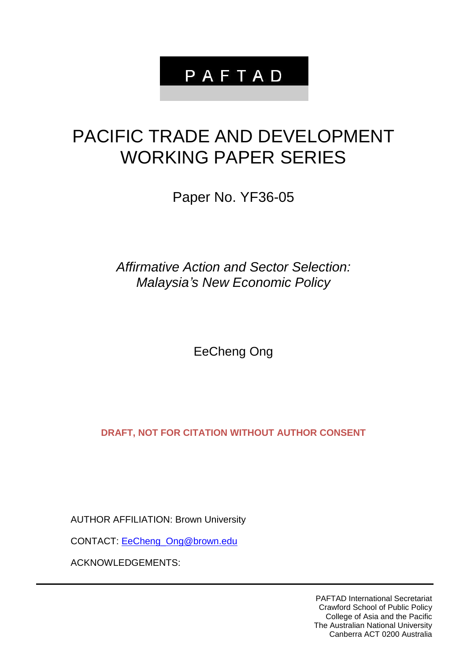# PAFTAD

# PACIFIC TRADE AND DEVELOPMENT WORKING PAPER SERIES

Paper No. YF36-05

*Affirmative Action and Sector Selection: Malaysia's New Economic Policy*

EeCheng Ong

**DRAFT, NOT FOR CITATION WITHOUT AUTHOR CONSENT**

AUTHOR AFFILIATION: Brown University

CONTACT: [EeCheng\\_Ong@brown.edu](mailto:EeCheng_Ong@brown.edu)

ACKNOWLEDGEMENTS:

PAFTAD International Secretariat Crawford School of Public Policy College of Asia and the Pacific The Australian National University Canberra ACT 0200 Australia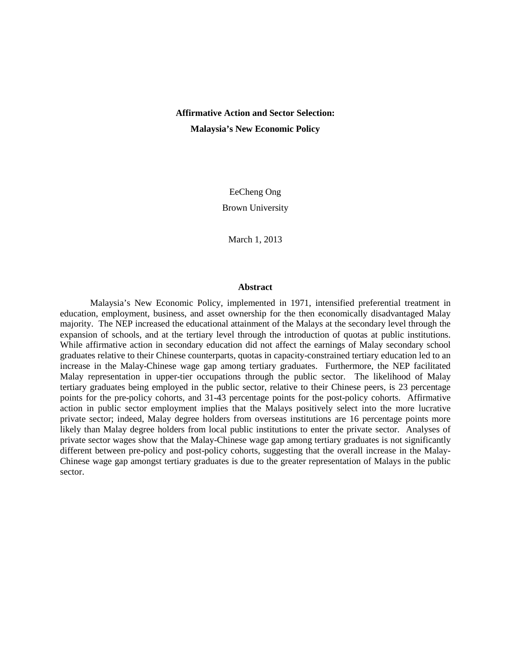# **Affirmative Action and Sector Selection: Malaysia's New Economic Policy**

EeCheng Ong Brown University

March 1, 2013

#### **Abstract**

Malaysia's New Economic Policy, implemented in 1971, intensified preferential treatment in education, employment, business, and asset ownership for the then economically disadvantaged Malay majority. The NEP increased the educational attainment of the Malays at the secondary level through the expansion of schools, and at the tertiary level through the introduction of quotas at public institutions. While affirmative action in secondary education did not affect the earnings of Malay secondary school graduates relative to their Chinese counterparts, quotas in capacity-constrained tertiary education led to an increase in the Malay-Chinese wage gap among tertiary graduates. Furthermore, the NEP facilitated Malay representation in upper-tier occupations through the public sector. The likelihood of Malay tertiary graduates being employed in the public sector, relative to their Chinese peers, is 23 percentage points for the pre-policy cohorts, and 31-43 percentage points for the post-policy cohorts. Affirmative action in public sector employment implies that the Malays positively select into the more lucrative private sector; indeed, Malay degree holders from overseas institutions are 16 percentage points more likely than Malay degree holders from local public institutions to enter the private sector. Analyses of private sector wages show that the Malay-Chinese wage gap among tertiary graduates is not significantly different between pre-policy and post-policy cohorts, suggesting that the overall increase in the Malay-Chinese wage gap amongst tertiary graduates is due to the greater representation of Malays in the public sector.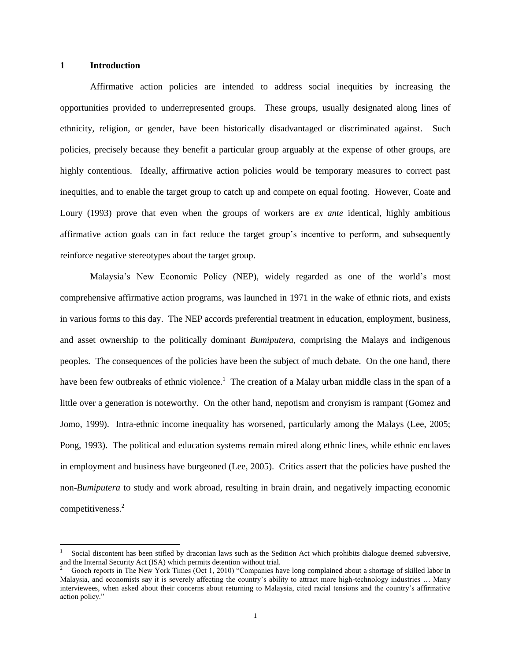#### **1 Introduction**

 $\overline{\phantom{a}}$ 

Affirmative action policies are intended to address social inequities by increasing the opportunities provided to underrepresented groups. These groups, usually designated along lines of ethnicity, religion, or gender, have been historically disadvantaged or discriminated against. Such policies, precisely because they benefit a particular group arguably at the expense of other groups, are highly contentious. Ideally, affirmative action policies would be temporary measures to correct past inequities, and to enable the target group to catch up and compete on equal footing. However, Coate and Loury (1993) prove that even when the groups of workers are *ex ante* identical, highly ambitious affirmative action goals can in fact reduce the target group's incentive to perform, and subsequently reinforce negative stereotypes about the target group.

Malaysia's New Economic Policy (NEP), widely regarded as one of the world's most comprehensive affirmative action programs, was launched in 1971 in the wake of ethnic riots, and exists in various forms to this day. The NEP accords preferential treatment in education, employment, business, and asset ownership to the politically dominant *Bumiputera*, comprising the Malays and indigenous peoples. The consequences of the policies have been the subject of much debate. On the one hand, there have been few outbreaks of ethnic violence.<sup>1</sup> The creation of a Malay urban middle class in the span of a little over a generation is noteworthy. On the other hand, nepotism and cronyism is rampant (Gomez and Jomo, 1999). Intra-ethnic income inequality has worsened, particularly among the Malays (Lee, 2005; Pong, 1993). The political and education systems remain mired along ethnic lines, while ethnic enclaves in employment and business have burgeoned (Lee, 2005). Critics assert that the policies have pushed the non-*Bumiputera* to study and work abroad, resulting in brain drain, and negatively impacting economic competitiveness.<sup>2</sup>

<sup>1</sup> Social discontent has been stifled by draconian laws such as the Sedition Act which prohibits dialogue deemed subversive, and the Internal Security Act (ISA) which permits detention without trial.

<sup>2</sup> Gooch reports in The New York Times (Oct 1, 2010) "Companies have long complained about a shortage of skilled labor in Malaysia, and economists say it is severely affecting the country's ability to attract more high-technology industries … Many interviewees, when asked about their concerns about returning to Malaysia, cited racial tensions and the country's affirmative action policy."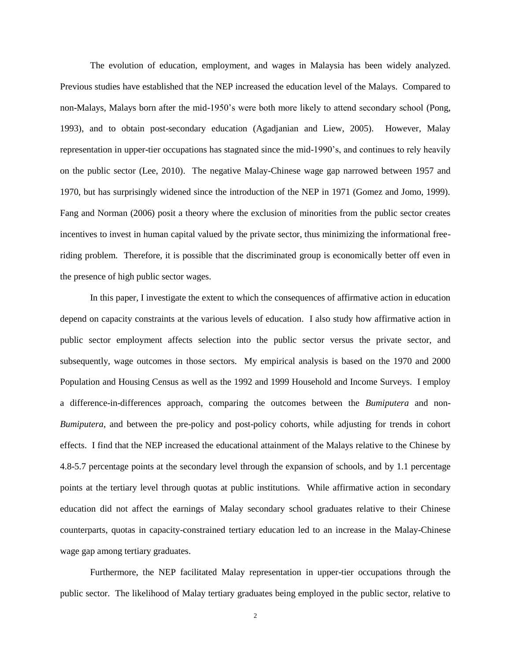The evolution of education, employment, and wages in Malaysia has been widely analyzed. Previous studies have established that the NEP increased the education level of the Malays. Compared to non-Malays, Malays born after the mid-1950's were both more likely to attend secondary school (Pong, 1993), and to obtain post-secondary education (Agadjanian and Liew, 2005). However, Malay representation in upper-tier occupations has stagnated since the mid-1990's, and continues to rely heavily on the public sector (Lee, 2010). The negative Malay-Chinese wage gap narrowed between 1957 and 1970, but has surprisingly widened since the introduction of the NEP in 1971 (Gomez and Jomo, 1999). Fang and Norman (2006) posit a theory where the exclusion of minorities from the public sector creates incentives to invest in human capital valued by the private sector, thus minimizing the informational freeriding problem. Therefore, it is possible that the discriminated group is economically better off even in the presence of high public sector wages.

In this paper, I investigate the extent to which the consequences of affirmative action in education depend on capacity constraints at the various levels of education. I also study how affirmative action in public sector employment affects selection into the public sector versus the private sector, and subsequently, wage outcomes in those sectors. My empirical analysis is based on the 1970 and 2000 Population and Housing Census as well as the 1992 and 1999 Household and Income Surveys. I employ a difference-in-differences approach, comparing the outcomes between the *Bumiputera* and non-*Bumiputera*, and between the pre-policy and post-policy cohorts, while adjusting for trends in cohort effects. I find that the NEP increased the educational attainment of the Malays relative to the Chinese by 4.8-5.7 percentage points at the secondary level through the expansion of schools, and by 1.1 percentage points at the tertiary level through quotas at public institutions. While affirmative action in secondary education did not affect the earnings of Malay secondary school graduates relative to their Chinese counterparts, quotas in capacity-constrained tertiary education led to an increase in the Malay-Chinese wage gap among tertiary graduates.

Furthermore, the NEP facilitated Malay representation in upper-tier occupations through the public sector. The likelihood of Malay tertiary graduates being employed in the public sector, relative to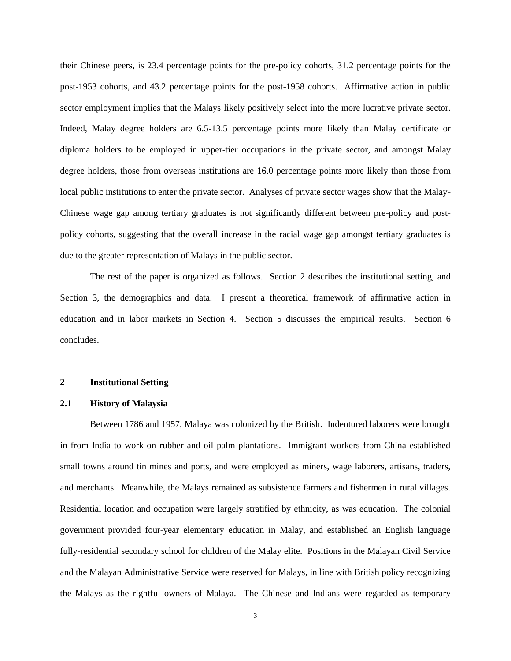their Chinese peers, is 23.4 percentage points for the pre-policy cohorts, 31.2 percentage points for the post-1953 cohorts, and 43.2 percentage points for the post-1958 cohorts. Affirmative action in public sector employment implies that the Malays likely positively select into the more lucrative private sector. Indeed, Malay degree holders are 6.5-13.5 percentage points more likely than Malay certificate or diploma holders to be employed in upper-tier occupations in the private sector, and amongst Malay degree holders, those from overseas institutions are 16.0 percentage points more likely than those from local public institutions to enter the private sector. Analyses of private sector wages show that the Malay-Chinese wage gap among tertiary graduates is not significantly different between pre-policy and postpolicy cohorts, suggesting that the overall increase in the racial wage gap amongst tertiary graduates is due to the greater representation of Malays in the public sector.

The rest of the paper is organized as follows. Section 2 describes the institutional setting, and Section 3, the demographics and data. I present a theoretical framework of affirmative action in education and in labor markets in Section 4. Section 5 discusses the empirical results. Section 6 concludes.

#### **2 Institutional Setting**

#### **2.1 History of Malaysia**

Between 1786 and 1957, Malaya was colonized by the British. Indentured laborers were brought in from India to work on rubber and oil palm plantations. Immigrant workers from China established small towns around tin mines and ports, and were employed as miners, wage laborers, artisans, traders, and merchants. Meanwhile, the Malays remained as subsistence farmers and fishermen in rural villages. Residential location and occupation were largely stratified by ethnicity, as was education. The colonial government provided four-year elementary education in Malay, and established an English language fully-residential secondary school for children of the Malay elite. Positions in the Malayan Civil Service and the Malayan Administrative Service were reserved for Malays, in line with British policy recognizing the Malays as the rightful owners of Malaya. The Chinese and Indians were regarded as temporary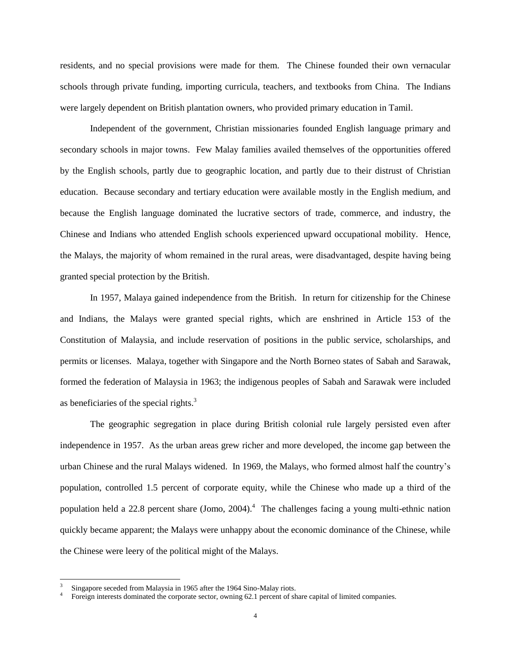residents, and no special provisions were made for them. The Chinese founded their own vernacular schools through private funding, importing curricula, teachers, and textbooks from China. The Indians were largely dependent on British plantation owners, who provided primary education in Tamil.

Independent of the government, Christian missionaries founded English language primary and secondary schools in major towns. Few Malay families availed themselves of the opportunities offered by the English schools, partly due to geographic location, and partly due to their distrust of Christian education. Because secondary and tertiary education were available mostly in the English medium, and because the English language dominated the lucrative sectors of trade, commerce, and industry, the Chinese and Indians who attended English schools experienced upward occupational mobility. Hence, the Malays, the majority of whom remained in the rural areas, were disadvantaged, despite having being granted special protection by the British.

In 1957, Malaya gained independence from the British. In return for citizenship for the Chinese and Indians, the Malays were granted special rights, which are enshrined in Article 153 of the Constitution of Malaysia, and include reservation of positions in the public service, scholarships, and permits or licenses. Malaya, together with Singapore and the North Borneo states of Sabah and Sarawak, formed the federation of Malaysia in 1963; the indigenous peoples of Sabah and Sarawak were included as beneficiaries of the special rights.<sup>3</sup>

The geographic segregation in place during British colonial rule largely persisted even after independence in 1957. As the urban areas grew richer and more developed, the income gap between the urban Chinese and the rural Malays widened. In 1969, the Malays, who formed almost half the country's population, controlled 1.5 percent of corporate equity, while the Chinese who made up a third of the population held a 22.8 percent share (Jomo, 2004).<sup>4</sup> The challenges facing a young multi-ethnic nation quickly became apparent; the Malays were unhappy about the economic dominance of the Chinese, while the Chinese were leery of the political might of the Malays.

 $\overline{a}$ 

<sup>3</sup> Singapore seceded from Malaysia in 1965 after the 1964 Sino-Malay riots.

<sup>4</sup> Foreign interests dominated the corporate sector, owning 62.1 percent of share capital of limited companies.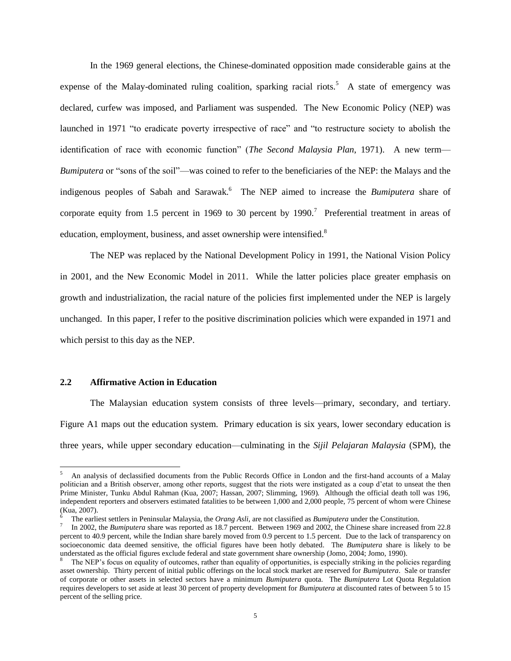In the 1969 general elections, the Chinese-dominated opposition made considerable gains at the expense of the Malay-dominated ruling coalition, sparking racial riots.<sup>5</sup> A state of emergency was declared, curfew was imposed, and Parliament was suspended. The New Economic Policy (NEP) was launched in 1971 "to eradicate poverty irrespective of race" and "to restructure society to abolish the identification of race with economic function" (*The Second Malaysia Plan*, 1971). A new term— *Bumiputera* or "sons of the soil"—was coined to refer to the beneficiaries of the NEP: the Malays and the indigenous peoples of Sabah and Sarawak.<sup>6</sup> The NEP aimed to increase the *Bumiputera* share of corporate equity from 1.5 percent in 1969 to 30 percent by 1990.<sup>7</sup> Preferential treatment in areas of education, employment, business, and asset ownership were intensified.<sup>8</sup>

The NEP was replaced by the National Development Policy in 1991, the National Vision Policy in 2001, and the New Economic Model in 2011. While the latter policies place greater emphasis on growth and industrialization, the racial nature of the policies first implemented under the NEP is largely unchanged. In this paper, I refer to the positive discrimination policies which were expanded in 1971 and which persist to this day as the NEP.

#### **2.2 Affirmative Action in Education**

 $\overline{a}$ 

The Malaysian education system consists of three levels—primary, secondary, and tertiary. Figure A1 maps out the education system. Primary education is six years, lower secondary education is three years, while upper secondary education—culminating in the *Sijil Pelajaran Malaysia* (SPM), the

<sup>5</sup> An analysis of declassified documents from the Public Records Office in London and the first-hand accounts of a Malay politician and a British observer, among other reports, suggest that the riots were instigated as a coup d'etat to unseat the then Prime Minister, Tunku Abdul Rahman (Kua, 2007; Hassan, 2007; Slimming, 1969). Although the official death toll was 196, independent reporters and observers estimated fatalities to be between 1,000 and 2,000 people, 75 percent of whom were Chinese (Kua, 2007).

<sup>6</sup> The earliest settlers in Peninsular Malaysia, the *Orang Asli*, are not classified as *Bumiputera* under the Constitution.

<sup>&</sup>lt;sup>7</sup> In 2002, the *Bumiputera* share was reported as 18.7 percent. Between 1969 and 2002, the Chinese share increased from 22.8 percent to 40.9 percent, while the Indian share barely moved from 0.9 percent to 1.5 percent. Due to the lack of transparency on socioeconomic data deemed sensitive, the official figures have been hotly debated. The *Bumiputera* share is likely to be understated as the official figures exclude federal and state government share ownership (Jomo, 2004; Jomo, 1990).

<sup>8</sup> The NEP's focus on equality of outcomes, rather than equality of opportunities, is especially striking in the policies regarding asset ownership. Thirty percent of initial public offerings on the local stock market are reserved for *Bumiputera*. Sale or transfer of corporate or other assets in selected sectors have a minimum *Bumiputera* quota. The *Bumiputera* Lot Quota Regulation requires developers to set aside at least 30 percent of property development for *Bumiputera* at discounted rates of between 5 to 15 percent of the selling price.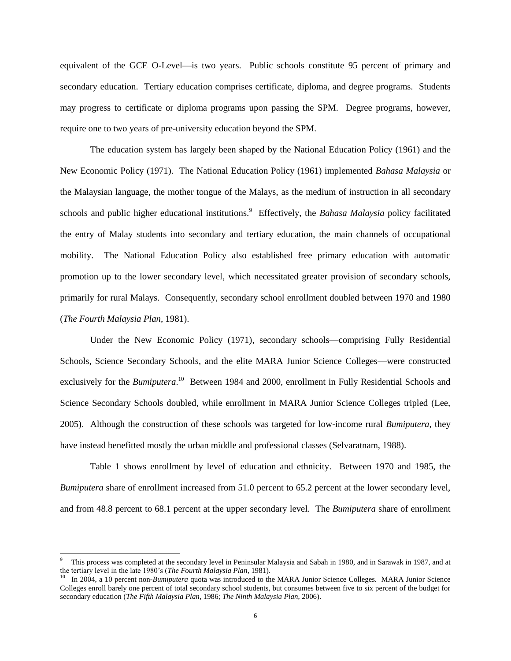equivalent of the GCE O-Level—is two years. Public schools constitute 95 percent of primary and secondary education. Tertiary education comprises certificate, diploma, and degree programs. Students may progress to certificate or diploma programs upon passing the SPM. Degree programs, however, require one to two years of pre-university education beyond the SPM.

The education system has largely been shaped by the National Education Policy (1961) and the New Economic Policy (1971). The National Education Policy (1961) implemented *Bahasa Malaysia* or the Malaysian language, the mother tongue of the Malays, as the medium of instruction in all secondary schools and public higher educational institutions.<sup>9</sup> Effectively, the *Bahasa Malaysia* policy facilitated the entry of Malay students into secondary and tertiary education, the main channels of occupational mobility. The National Education Policy also established free primary education with automatic promotion up to the lower secondary level, which necessitated greater provision of secondary schools, primarily for rural Malays. Consequently, secondary school enrollment doubled between 1970 and 1980 (*The Fourth Malaysia Plan*, 1981).

Under the New Economic Policy (1971), secondary schools—comprising Fully Residential Schools, Science Secondary Schools, and the elite MARA Junior Science Colleges—were constructed exclusively for the *Bumiputera*.<sup>10</sup> Between 1984 and 2000, enrollment in Fully Residential Schools and Science Secondary Schools doubled, while enrollment in MARA Junior Science Colleges tripled (Lee, 2005). Although the construction of these schools was targeted for low-income rural *Bumiputera*, they have instead benefitted mostly the urban middle and professional classes (Selvaratnam, 1988).

Table 1 shows enrollment by level of education and ethnicity. Between 1970 and 1985, the *Bumiputera* share of enrollment increased from 51.0 percent to 65.2 percent at the lower secondary level, and from 48.8 percent to 68.1 percent at the upper secondary level. The *Bumiputera* share of enrollment

l

<sup>9</sup> This process was completed at the secondary level in Peninsular Malaysia and Sabah in 1980, and in Sarawak in 1987, and at the tertiary level in the late 1980's (*The Fourth Malaysia Plan*, 1981). 10

In 2004, a 10 percent non-*Bumiputera* quota was introduced to the MARA Junior Science Colleges. MARA Junior Science Colleges enroll barely one percent of total secondary school students, but consumes between five to six percent of the budget for secondary education (*The Fifth Malaysia Plan*, 1986; *The Ninth Malaysia Plan*, 2006).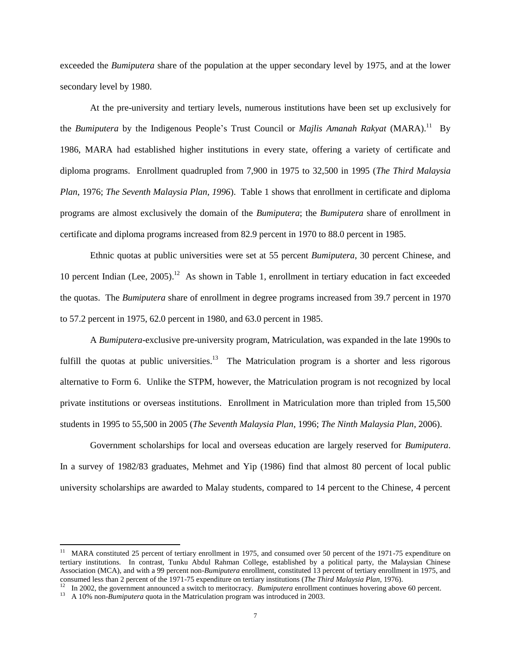exceeded the *Bumiputera* share of the population at the upper secondary level by 1975, and at the lower secondary level by 1980.

At the pre-university and tertiary levels, numerous institutions have been set up exclusively for the *Bumiputera* by the Indigenous People's Trust Council or *Majlis Amanah Rakyat* (MARA).<sup>11</sup> By 1986, MARA had established higher institutions in every state, offering a variety of certificate and diploma programs. Enrollment quadrupled from 7,900 in 1975 to 32,500 in 1995 (*The Third Malaysia Plan*, 1976; *The Seventh Malaysia Plan, 1996*). Table 1 shows that enrollment in certificate and diploma programs are almost exclusively the domain of the *Bumiputera*; the *Bumiputera* share of enrollment in certificate and diploma programs increased from 82.9 percent in 1970 to 88.0 percent in 1985.

Ethnic quotas at public universities were set at 55 percent *Bumiputera*, 30 percent Chinese, and 10 percent Indian (Lee, 2005).<sup>12</sup> As shown in Table 1, enrollment in tertiary education in fact exceeded the quotas. The *Bumiputera* share of enrollment in degree programs increased from 39.7 percent in 1970 to 57.2 percent in 1975, 62.0 percent in 1980, and 63.0 percent in 1985.

A *Bumiputera*-exclusive pre-university program, Matriculation, was expanded in the late 1990s to fulfill the quotas at public universities.<sup>13</sup> The Matriculation program is a shorter and less rigorous alternative to Form 6. Unlike the STPM, however, the Matriculation program is not recognized by local private institutions or overseas institutions. Enrollment in Matriculation more than tripled from 15,500 students in 1995 to 55,500 in 2005 (*The Seventh Malaysia Plan*, 1996; *The Ninth Malaysia Plan*, 2006).

Government scholarships for local and overseas education are largely reserved for *Bumiputera*. In a survey of 1982/83 graduates, Mehmet and Yip (1986) find that almost 80 percent of local public university scholarships are awarded to Malay students, compared to 14 percent to the Chinese, 4 percent

 $\overline{\phantom{a}}$ 

<sup>11</sup> MARA constituted 25 percent of tertiary enrollment in 1975, and consumed over 50 percent of the 1971-75 expenditure on tertiary institutions. In contrast, Tunku Abdul Rahman College, established by a political party, the Malaysian Chinese Association (MCA), and with a 99 percent non-*Bumiputera* enrollment, constituted 13 percent of tertiary enrollment in 1975, and consumed less than 2 percent of the 1971-75 expenditure on tertiary institutions (*The Third Malaysia Plan*, 1976).<br><sup>12</sup> In 2002, the covernment ennounced a suitable merite grow. *Puminutary enrollment continues* between a

In 2002, the government announced a switch to meritocracy. *Bumiputera* enrollment continues hovering above 60 percent.

<sup>&</sup>lt;sup>13</sup> A 10% non-*Bumiputera* quota in the Matriculation program was introduced in 2003.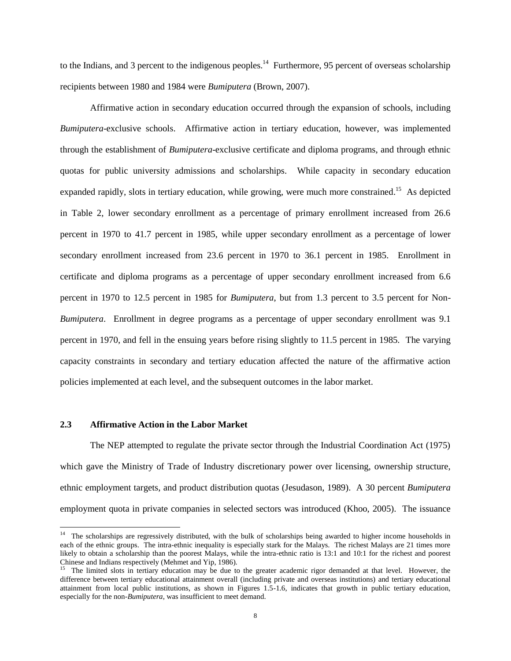to the Indians, and 3 percent to the indigenous peoples.<sup>14</sup> Furthermore, 95 percent of overseas scholarship recipients between 1980 and 1984 were *Bumiputera* (Brown, 2007).

Affirmative action in secondary education occurred through the expansion of schools, including *Bumiputera*-exclusive schools. Affirmative action in tertiary education, however, was implemented through the establishment of *Bumiputera*-exclusive certificate and diploma programs, and through ethnic quotas for public university admissions and scholarships. While capacity in secondary education expanded rapidly, slots in tertiary education, while growing, were much more constrained.<sup>15</sup> As depicted in Table 2, lower secondary enrollment as a percentage of primary enrollment increased from 26.6 percent in 1970 to 41.7 percent in 1985, while upper secondary enrollment as a percentage of lower secondary enrollment increased from 23.6 percent in 1970 to 36.1 percent in 1985. Enrollment in certificate and diploma programs as a percentage of upper secondary enrollment increased from 6.6 percent in 1970 to 12.5 percent in 1985 for *Bumiputera*, but from 1.3 percent to 3.5 percent for Non-*Bumiputera*. Enrollment in degree programs as a percentage of upper secondary enrollment was 9.1 percent in 1970, and fell in the ensuing years before rising slightly to 11.5 percent in 1985. The varying capacity constraints in secondary and tertiary education affected the nature of the affirmative action policies implemented at each level, and the subsequent outcomes in the labor market.

#### **2.3 Affirmative Action in the Labor Market**

The NEP attempted to regulate the private sector through the Industrial Coordination Act (1975) which gave the Ministry of Trade of Industry discretionary power over licensing, ownership structure, ethnic employment targets, and product distribution quotas (Jesudason, 1989). A 30 percent *Bumiputera*  employment quota in private companies in selected sectors was introduced (Khoo, 2005). The issuance

<sup>&</sup>lt;sup>14</sup> The scholarships are regressively distributed, with the bulk of scholarships being awarded to higher income households in each of the ethnic groups. The intra-ethnic inequality is especially stark for the Malays. The richest Malays are 21 times more likely to obtain a scholarship than the poorest Malays, while the intra-ethnic ratio is 13:1 and 10:1 for the richest and poorest Chinese and Indians respectively (Mehmet and Yip, 1986).

<sup>&</sup>lt;sup>15</sup> The limited slots in tertiary education may be due to the greater academic rigor demanded at that level. However, the difference between tertiary educational attainment overall (including private and overseas institutions) and tertiary educational attainment from local public institutions, as shown in Figures 1.5-1.6, indicates that growth in public tertiary education, especially for the non-*Bumiputera*, was insufficient to meet demand.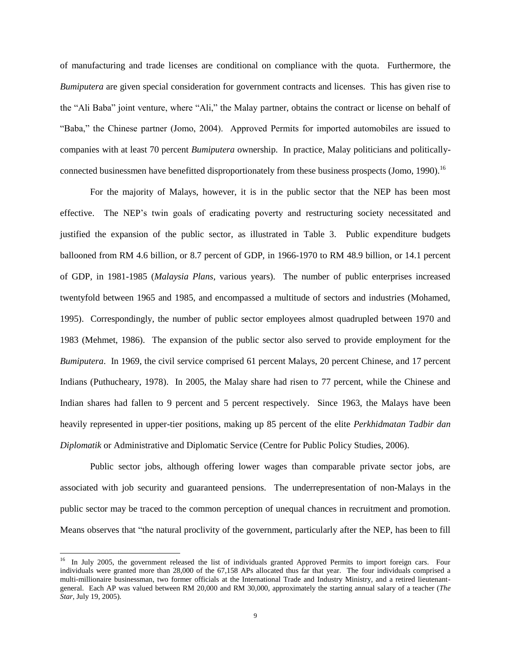of manufacturing and trade licenses are conditional on compliance with the quota. Furthermore, the *Bumiputera* are given special consideration for government contracts and licenses. This has given rise to the "Ali Baba" joint venture, where "Ali," the Malay partner, obtains the contract or license on behalf of "Baba," the Chinese partner (Jomo, 2004). Approved Permits for imported automobiles are issued to companies with at least 70 percent *Bumiputera* ownership. In practice, Malay politicians and politicallyconnected businessmen have benefitted disproportionately from these business prospects (Jomo, 1990).<sup>16</sup>

For the majority of Malays, however, it is in the public sector that the NEP has been most effective. The NEP's twin goals of eradicating poverty and restructuring society necessitated and justified the expansion of the public sector, as illustrated in Table 3. Public expenditure budgets ballooned from RM 4.6 billion, or 8.7 percent of GDP, in 1966-1970 to RM 48.9 billion, or 14.1 percent of GDP, in 1981-1985 (*Malaysia Plans*, various years). The number of public enterprises increased twentyfold between 1965 and 1985, and encompassed a multitude of sectors and industries (Mohamed, 1995). Correspondingly, the number of public sector employees almost quadrupled between 1970 and 1983 (Mehmet, 1986). The expansion of the public sector also served to provide employment for the *Bumiputera*. In 1969, the civil service comprised 61 percent Malays, 20 percent Chinese, and 17 percent Indians (Puthucheary, 1978). In 2005, the Malay share had risen to 77 percent, while the Chinese and Indian shares had fallen to 9 percent and 5 percent respectively. Since 1963, the Malays have been heavily represented in upper-tier positions, making up 85 percent of the elite *Perkhidmatan Tadbir dan Diplomatik* or Administrative and Diplomatic Service (Centre for Public Policy Studies, 2006).

Public sector jobs, although offering lower wages than comparable private sector jobs, are associated with job security and guaranteed pensions. The underrepresentation of non-Malays in the public sector may be traced to the common perception of unequal chances in recruitment and promotion. Means observes that "the natural proclivity of the government, particularly after the NEP, has been to fill

l

<sup>&</sup>lt;sup>16</sup> In July 2005, the government released the list of individuals granted Approved Permits to import foreign cars. Four individuals were granted more than 28,000 of the 67,158 APs allocated thus far that year. The four individuals comprised a multi-millionaire businessman, two former officials at the International Trade and Industry Ministry, and a retired lieutenantgeneral. Each AP was valued between RM 20,000 and RM 30,000, approximately the starting annual salary of a teacher (*The Star*, July 19, 2005).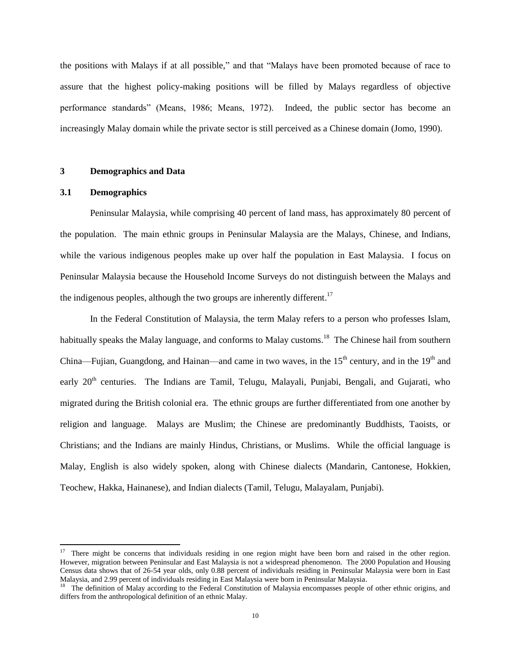the positions with Malays if at all possible," and that "Malays have been promoted because of race to assure that the highest policy-making positions will be filled by Malays regardless of objective performance standards" (Means, 1986; Means, 1972). Indeed, the public sector has become an increasingly Malay domain while the private sector is still perceived as a Chinese domain (Jomo, 1990).

#### **3 Demographics and Data**

#### **3.1 Demographics**

 $\overline{\phantom{a}}$ 

Peninsular Malaysia, while comprising 40 percent of land mass, has approximately 80 percent of the population. The main ethnic groups in Peninsular Malaysia are the Malays, Chinese, and Indians, while the various indigenous peoples make up over half the population in East Malaysia. I focus on Peninsular Malaysia because the Household Income Surveys do not distinguish between the Malays and the indigenous peoples, although the two groups are inherently different.<sup>17</sup>

In the Federal Constitution of Malaysia, the term Malay refers to a person who professes Islam, habitually speaks the Malay language, and conforms to Malay customs.<sup>18</sup> The Chinese hail from southern China—Fujian, Guangdong, and Hainan—and came in two waves, in the  $15<sup>th</sup>$  century, and in the  $19<sup>th</sup>$  and early  $20<sup>th</sup>$  centuries. The Indians are Tamil, Telugu, Malayali, Punjabi, Bengali, and Gujarati, who migrated during the British colonial era. The ethnic groups are further differentiated from one another by religion and language. Malays are Muslim; the Chinese are predominantly Buddhists, Taoists, or Christians; and the Indians are mainly Hindus, Christians, or Muslims. While the official language is Malay, English is also widely spoken, along with Chinese dialects (Mandarin, Cantonese, Hokkien, Teochew, Hakka, Hainanese), and Indian dialects (Tamil, Telugu, Malayalam, Punjabi).

 $17$  There might be concerns that individuals residing in one region might have been born and raised in the other region. However, migration between Peninsular and East Malaysia is not a widespread phenomenon. The 2000 Population and Housing Census data shows that of 26-54 year olds, only 0.88 percent of individuals residing in Peninsular Malaysia were born in East Malaysia, and 2.99 percent of individuals residing in East Malaysia were born in Peninsular Malaysia.

<sup>&</sup>lt;sup>18</sup> The definition of Malay according to the Federal Constitution of Malaysia encompasses people of other ethnic origins, and differs from the anthropological definition of an ethnic Malay.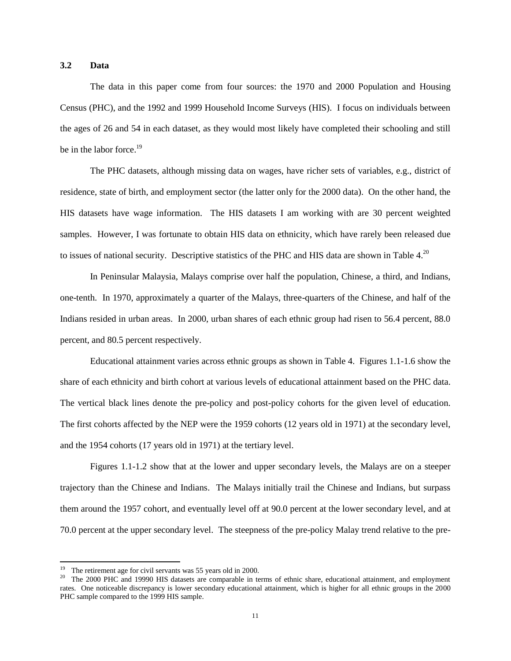#### **3.2 Data**

The data in this paper come from four sources: the 1970 and 2000 Population and Housing Census (PHC), and the 1992 and 1999 Household Income Surveys (HIS). I focus on individuals between the ages of 26 and 54 in each dataset, as they would most likely have completed their schooling and still be in the labor force.<sup>19</sup>

The PHC datasets, although missing data on wages, have richer sets of variables, e.g., district of residence, state of birth, and employment sector (the latter only for the 2000 data). On the other hand, the HIS datasets have wage information. The HIS datasets I am working with are 30 percent weighted samples. However, I was fortunate to obtain HIS data on ethnicity, which have rarely been released due to issues of national security. Descriptive statistics of the PHC and HIS data are shown in Table 4.<sup>20</sup>

In Peninsular Malaysia, Malays comprise over half the population, Chinese, a third, and Indians, one-tenth. In 1970, approximately a quarter of the Malays, three-quarters of the Chinese, and half of the Indians resided in urban areas. In 2000, urban shares of each ethnic group had risen to 56.4 percent, 88.0 percent, and 80.5 percent respectively.

Educational attainment varies across ethnic groups as shown in Table 4. Figures 1.1-1.6 show the share of each ethnicity and birth cohort at various levels of educational attainment based on the PHC data. The vertical black lines denote the pre-policy and post-policy cohorts for the given level of education. The first cohorts affected by the NEP were the 1959 cohorts (12 years old in 1971) at the secondary level, and the 1954 cohorts (17 years old in 1971) at the tertiary level.

Figures 1.1-1.2 show that at the lower and upper secondary levels, the Malays are on a steeper trajectory than the Chinese and Indians. The Malays initially trail the Chinese and Indians, but surpass them around the 1957 cohort, and eventually level off at 90.0 percent at the lower secondary level, and at 70.0 percent at the upper secondary level. The steepness of the pre-policy Malay trend relative to the pre-

 $\overline{\phantom{a}}$ 

<sup>19</sup> The retirement age for civil servants was 55 years old in 2000.

<sup>20</sup> The 2000 PHC and 19990 HIS datasets are comparable in terms of ethnic share, educational attainment, and employment rates. One noticeable discrepancy is lower secondary educational attainment, which is higher for all ethnic groups in the 2000 PHC sample compared to the 1999 HIS sample.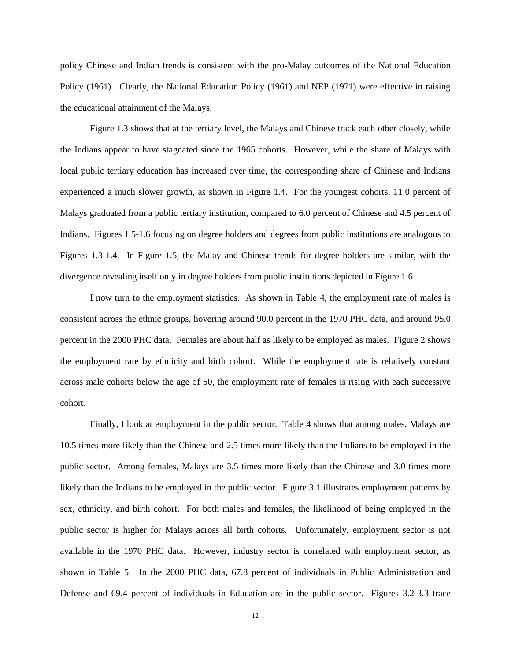policy Chinese and Indian trends is consistent with the pro-Malay outcomes of the National Education Policy (1961). Clearly, the National Education Policy (1961) and NEP (1971) were effective in raising the educational attainment of the Malays.

Figure 1.3 shows that at the tertiary level, the Malays and Chinese track each other closely, while the Indians appear to have stagnated since the 1965 cohorts. However, while the share of Malays with local public tertiary education has increased over time, the corresponding share of Chinese and Indians experienced a much slower growth, as shown in Figure 1.4. For the youngest cohorts, 11.0 percent of Malays graduated from a public tertiary institution, compared to 6.0 percent of Chinese and 4.5 percent of Indians. Figures 1.5-1.6 focusing on degree holders and degrees from public institutions are analogous to Figures 1.3-1.4. In Figure 1.5, the Malay and Chinese trends for degree holders are similar, with the divergence revealing itself only in degree holders from public institutions depicted in Figure 1.6.

I now turn to the employment statistics. As shown in Table 4, the employment rate of males is consistent across the ethnic groups, hovering around 90.0 percent in the 1970 PHC data, and around 95.0 percent in the 2000 PHC data. Females are about half as likely to be employed as males. Figure 2 shows the employment rate by ethnicity and birth cohort. While the employment rate is relatively constant across male cohorts below the age of 50, the employment rate of females is rising with each successive cohort.

Finally, I look at employment in the public sector. Table 4 shows that among males, Malays are 10.5 times more likely than the Chinese and 2.5 times more likely than the Indians to be employed in the public sector. Among females, Malays are 3.5 times more likely than the Chinese and 3.0 times more likely than the Indians to be employed in the public sector. Figure 3.1 illustrates employment patterns by sex, ethnicity, and birth cohort. For both males and females, the likelihood of being employed in the public sector is higher for Malays across all birth cohorts. Unfortunately, employment sector is not available in the 1970 PHC data. However, industry sector is correlated with employment sector, as shown in Table 5. In the 2000 PHC data, 67.8 percent of individuals in Public Administration and Defense and 69.4 percent of individuals in Education are in the public sector. Figures 3.2-3.3 trace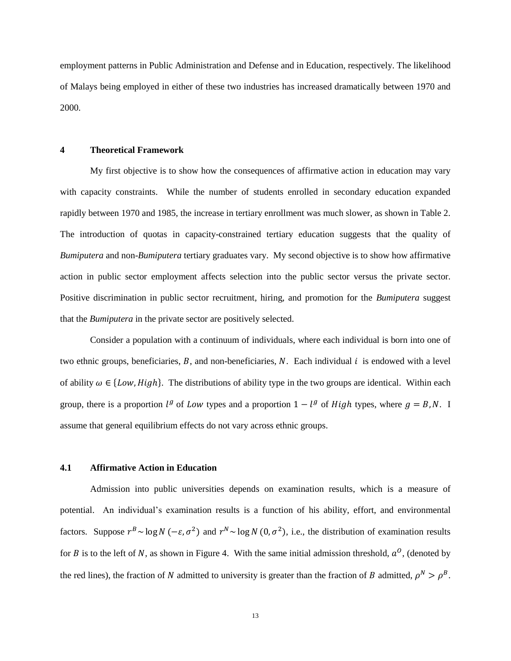employment patterns in Public Administration and Defense and in Education, respectively. The likelihood of Malays being employed in either of these two industries has increased dramatically between 1970 and 2000.

#### **4 Theoretical Framework**

My first objective is to show how the consequences of affirmative action in education may vary with capacity constraints. While the number of students enrolled in secondary education expanded rapidly between 1970 and 1985, the increase in tertiary enrollment was much slower, as shown in Table 2. The introduction of quotas in capacity-constrained tertiary education suggests that the quality of *Bumiputera* and non-*Bumiputera* tertiary graduates vary. My second objective is to show how affirmative action in public sector employment affects selection into the public sector versus the private sector. Positive discrimination in public sector recruitment, hiring, and promotion for the *Bumiputera* suggest that the *Bumiputera* in the private sector are positively selected.

Consider a population with a continuum of individuals, where each individual is born into one of two ethnic groups, beneficiaries,  $B$ , and non-beneficiaries,  $N$ . Each individual  $i$  is endowed with a level of ability  $\omega \in \{Low, High\}$ . The distributions of ability type in the two groups are identical. Within each group, there is a proportion  $l^g$  of Low types and a proportion  $1 - l^g$  of High types, where  $g = B, N$ . I assume that general equilibrium effects do not vary across ethnic groups.

#### **4.1 Affirmative Action in Education**

Admission into public universities depends on examination results, which is a measure of potential. An individual's examination results is a function of his ability, effort, and environmental factors. Suppose  $r^B \sim \log N(-\epsilon, \sigma^2)$  and  $r^N \sim \log N(0, \sigma^2)$ , i.e., the distribution of examination results for B is to the left of N, as shown in Figure 4. With the same initial admission threshold,  $a^0$ , (denoted by the red lines), the fraction of N admitted to university is greater than the fraction of B admitted,  $\rho^N > \rho^B$ .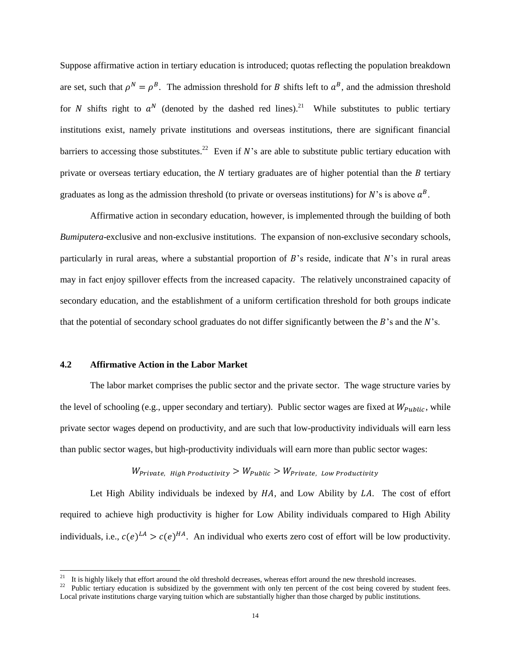Suppose affirmative action in tertiary education is introduced; quotas reflecting the population breakdown are set, such that  $\rho^N = \rho^B$ . The admission threshold for B shifts left to  $a^B$ , and the admission threshold for N shifts right to  $a^N$  (denoted by the dashed red lines).<sup>21</sup> While substitutes to public tertiary institutions exist, namely private institutions and overseas institutions, there are significant financial barriers to accessing those substitutes.<sup>22</sup> Even if N's are able to substitute public tertiary education with private or overseas tertiary education, the  $N$  tertiary graduates are of higher potential than the  $B$  tertiary graduates as long as the admission threshold (to private or overseas institutions) for N's is above  $a^B$ .

Affirmative action in secondary education, however, is implemented through the building of both *Bumiputera*-exclusive and non-exclusive institutions. The expansion of non-exclusive secondary schools, particularly in rural areas, where a substantial proportion of  $B$ 's reside, indicate that  $N$ 's in rural areas may in fact enjoy spillover effects from the increased capacity. The relatively unconstrained capacity of secondary education, and the establishment of a uniform certification threshold for both groups indicate that the potential of secondary school graduates do not differ significantly between the  $B$ 's and the  $N$ 's.

#### **4.2 Affirmative Action in the Labor Market**

l

The labor market comprises the public sector and the private sector. The wage structure varies by the level of schooling (e.g., upper secondary and tertiary). Public sector wages are fixed at  $W_{Public}$ , while private sector wages depend on productivity, and are such that low-productivity individuals will earn less than public sector wages, but high-productivity individuals will earn more than public sector wages:

## $W_{Private, High \text{ } Productivity} > W_{Public} > W_{Private, \text{ } Low \text{ } Productivity}$

Let High Ability individuals be indexed by  $HA$ , and Low Ability by  $LA$ . The cost of effort required to achieve high productivity is higher for Low Ability individuals compared to High Ability individuals, i.e.,  $c(e)^{LA} > c(e)^{HA}$ . An individual who exerts zero cost of effort will be low productivity.

<sup>21</sup> It is highly likely that effort around the old threshold decreases, whereas effort around the new threshold increases.

<sup>22</sup> Public tertiary education is subsidized by the government with only ten percent of the cost being covered by student fees. Local private institutions charge varying tuition which are substantially higher than those charged by public institutions.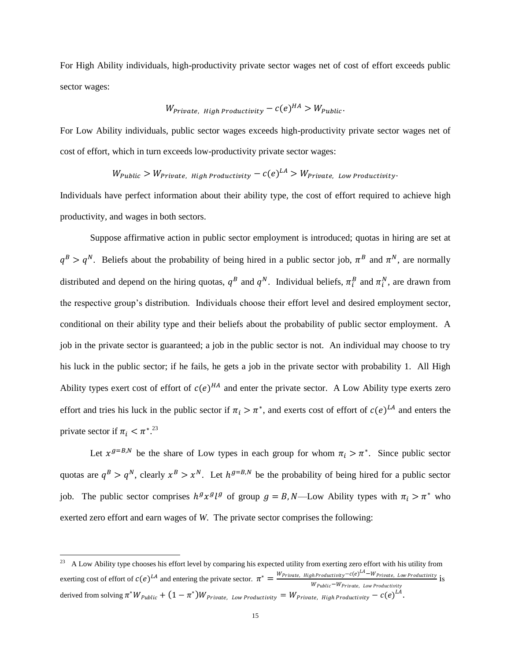For High Ability individuals, high-productivity private sector wages net of cost of effort exceeds public sector wages:

$$
W_{Private, High Productivity} - c(e)^{HA} > W_{Public}
$$
.

For Low Ability individuals, public sector wages exceeds high-productivity private sector wages net of cost of effort, which in turn exceeds low-productivity private sector wages:

## $W_{Public} > W_{Private.~Hiah~Productivity} - c(e)^{LA} > W_{Private.~Low~Productivity}$

Individuals have perfect information about their ability type, the cost of effort required to achieve high productivity, and wages in both sectors.

Suppose affirmative action in public sector employment is introduced; quotas in hiring are set at  $q^B > q^N$ . Beliefs about the probability of being hired in a public sector job,  $\pi^B$  and  $\pi^N$ , are normally distributed and depend on the hiring quotas,  $q^B$  and  $q^N$ . Individual beliefs,  $\pi_i^B$  and  $\pi_i^N$ , are drawn from the respective group's distribution. Individuals choose their effort level and desired employment sector, conditional on their ability type and their beliefs about the probability of public sector employment. A job in the private sector is guaranteed; a job in the public sector is not. An individual may choose to try his luck in the public sector; if he fails, he gets a job in the private sector with probability 1. All High Ability types exert cost of effort of  $c(e)^{HA}$  and enter the private sector. A Low Ability type exerts zero effort and tries his luck in the public sector if  $\pi_i > \pi^*$ , and exerts cost of effort of  $c(e)^{LA}$  and enters the private sector if  $\pi_i < \pi^{*}$ .<sup>23</sup>

Let  $x^{g=B,N}$  be the share of Low types in each group for whom  $\pi_i > \pi^*$ . Since public sector quotas are  $q^B > q^N$ , clearly  $x^B > x^N$ . Let  $h^{g=B,N}$  be the probability of being hired for a public sector job. The public sector comprises  $h^g x^g l^g$  of group  $g = B$ , N—Low Ability types with  $\pi_i > \pi^*$  who exerted zero effort and earn wages of *W*. The private sector comprises the following:

<sup>&</sup>lt;sup>23</sup> A Low Ability type chooses his effort level by comparing his expected utility from exerting zero effort with his utility from exerting cost of effort of  $c(e)^{LA}$  and entering the private sector.  $\pi^* = \frac{W_{Private, High Productivity} - c(e)^{LA}}{W_{\text{total}} + W_{\text{total}} + W_{\text{total}} + W_{\text{total}} + W_{\text{total}} + W_{\text{total}} + W_{\text{total}} + W_{\text{total}} + W_{\text{total}} + W_{\text{total}} + W_{\text{total}} + W_{\text{total}} + W_{\text{total}} + W_{\text{total}} + W_{\text{total}} + W_{\text{total}}$  $i$  Productivity  $\frac{1}{18}$   $\frac{1}{18}$   $\frac{1}{18}$   $\frac{1}{18}$   $\frac{1}{18}$   $\frac{1}{18}$   $\frac{1}{18}$   $\frac{1}{18}$   $\frac{1}{18}$   $\frac{1}{18}$   $\frac{1}{18}$   $\frac{1}{18}$   $\frac{1}{18}$   $\frac{1}{18}$   $\frac{1}{18}$   $\frac{1}{18}$   $\frac{1}{18}$   $\frac{1}{18}$   $\frac{1}{$ derived from solving  $\pi^* W_{Public} + (1 - \pi^*) W_{Private.~Low~Productivity} = W_{Private.~High~Productivity} - c(e)^{LA}.$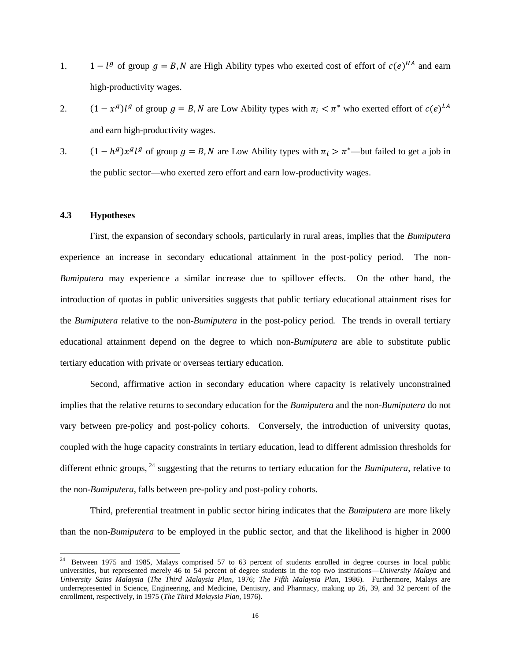- 1. <sup>g</sup> of group  $g = B$ , N are High Ability types who exerted cost of effort of  $c(e)^{HA}$  and earn high-productivity wages.
- 2. <sup>g</sup>)l<sup>g</sup> of group  $g = B$ , N are Low Ability types with  $\pi_i < \pi^*$  who exerted effort of  $c(e)^L$ and earn high-productivity wages.
- 3. <sup>g</sup>) $x^{g}$  l<sup>g</sup> of group  $g = B$ , N are Low Ability types with  $\pi_i > \pi^*$ —but failed to get a job in the public sector—who exerted zero effort and earn low-productivity wages.

#### **4.3 Hypotheses**

First, the expansion of secondary schools, particularly in rural areas, implies that the *Bumiputera*  experience an increase in secondary educational attainment in the post-policy period. The non-*Bumiputera* may experience a similar increase due to spillover effects. On the other hand, the introduction of quotas in public universities suggests that public tertiary educational attainment rises for the *Bumiputera* relative to the non-*Bumiputera* in the post-policy period. The trends in overall tertiary educational attainment depend on the degree to which non-*Bumiputera* are able to substitute public tertiary education with private or overseas tertiary education.

Second, affirmative action in secondary education where capacity is relatively unconstrained implies that the relative returns to secondary education for the *Bumiputera* and the non-*Bumiputera* do not vary between pre-policy and post-policy cohorts. Conversely, the introduction of university quotas, coupled with the huge capacity constraints in tertiary education, lead to different admission thresholds for different ethnic groups, <sup>24</sup> suggesting that the returns to tertiary education for the *Bumiputera*, relative to the non-*Bumiputera*, falls between pre-policy and post-policy cohorts.

Third, preferential treatment in public sector hiring indicates that the *Bumiputera* are more likely than the non-*Bumiputera* to be employed in the public sector, and that the likelihood is higher in 2000

<sup>&</sup>lt;sup>24</sup> Between 1975 and 1985, Malays comprised 57 to 63 percent of students enrolled in degree courses in local public universities, but represented merely 46 to 54 percent of degree students in the top two institutions—*University Malaya* and *University Sains Malaysia* (*The Third Malaysia Plan*, 1976; *The Fifth Malaysia Plan*, 1986). Furthermore, Malays are underrepresented in Science, Engineering, and Medicine, Dentistry, and Pharmacy, making up 26, 39, and 32 percent of the enrollment, respectively, in 1975 (*The Third Malaysia Plan*, 1976).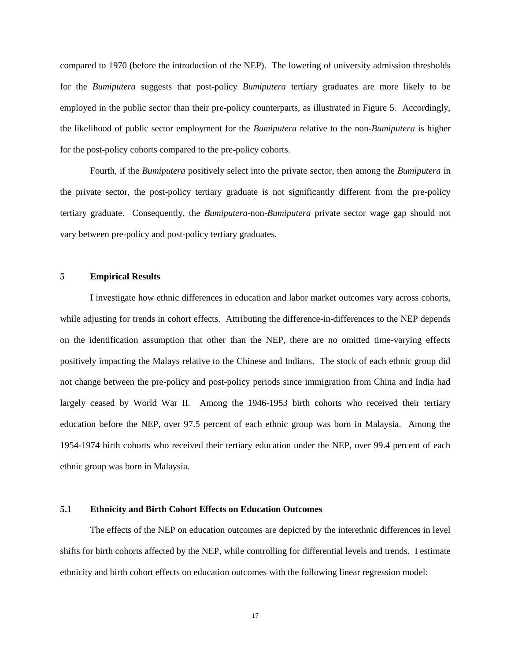compared to 1970 (before the introduction of the NEP). The lowering of university admission thresholds for the *Bumiputera* suggests that post-policy *Bumiputera* tertiary graduates are more likely to be employed in the public sector than their pre-policy counterparts, as illustrated in Figure 5. Accordingly, the likelihood of public sector employment for the *Bumiputera* relative to the non-*Bumiputera* is higher for the post-policy cohorts compared to the pre-policy cohorts.

Fourth, if the *Bumiputera* positively select into the private sector, then among the *Bumiputera* in the private sector, the post-policy tertiary graduate is not significantly different from the pre-policy tertiary graduate. Consequently, the *Bumiputera*-non-*Bumiputera* private sector wage gap should not vary between pre-policy and post-policy tertiary graduates.

#### **5 Empirical Results**

I investigate how ethnic differences in education and labor market outcomes vary across cohorts, while adjusting for trends in cohort effects. Attributing the difference-in-differences to the NEP depends on the identification assumption that other than the NEP, there are no omitted time-varying effects positively impacting the Malays relative to the Chinese and Indians. The stock of each ethnic group did not change between the pre-policy and post-policy periods since immigration from China and India had largely ceased by World War II. Among the 1946-1953 birth cohorts who received their tertiary education before the NEP, over 97.5 percent of each ethnic group was born in Malaysia. Among the 1954-1974 birth cohorts who received their tertiary education under the NEP, over 99.4 percent of each ethnic group was born in Malaysia.

#### **5.1 Ethnicity and Birth Cohort Effects on Education Outcomes**

The effects of the NEP on education outcomes are depicted by the interethnic differences in level shifts for birth cohorts affected by the NEP, while controlling for differential levels and trends. I estimate ethnicity and birth cohort effects on education outcomes with the following linear regression model: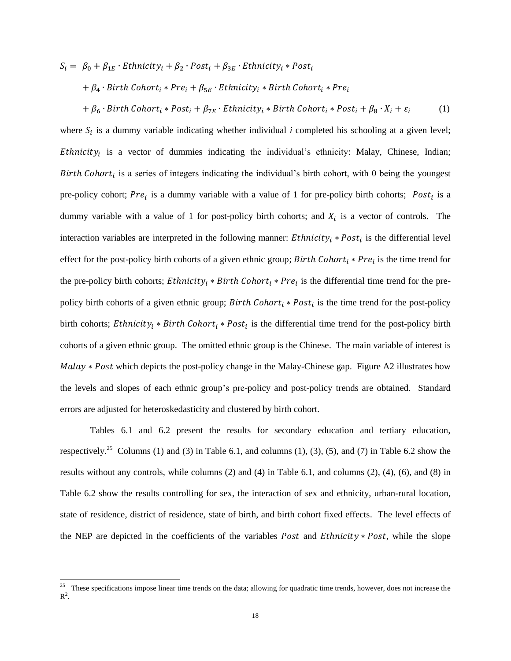$S_i = \beta_0 + \beta_{1E} \cdot \text{Ethnicity}_i + \beta_2 \cdot \text{Post}_i + \beta_{3E} \cdot \text{Ethnicity}_i * \text{Post}_i$  $+ \beta_4 \cdot Birth\, Cohort_i * Pre_i + \beta_{5E} \cdot Ethnicity_i * Birth\, Cohort_i * Pre_i$ 

+  $\beta_6$  · Birth Cohort<sub>i</sub> \* Post<sub>i</sub> +  $\beta_{7E}$  · Ethnicity<sub>i</sub> \* Birth Cohort<sub>i</sub> \* Post<sub>i</sub> +  $\beta_8$  ·  $X_i$  +  $\varepsilon_i$ (1)

where  $S_i$  is a dummy variable indicating whether individual *i* completed his schooling at a given level; *Ethnicity<sub>i</sub>* is a vector of dummies indicating the individual's ethnicity: Malay, Chinese, Indian; Birth Cohort<sub>i</sub> is a series of integers indicating the individual's birth cohort, with 0 being the youngest pre-policy cohort; Pre<sub>i</sub> is a dummy variable with a value of 1 for pre-policy birth cohorts; Post<sub>i</sub> is a dummy variable with a value of 1 for post-policy birth cohorts; and  $X_i$  is a vector of controls. The interaction variables are interpreted in the following manner:  $Ethnicity_i * Post_i$  is the differential level effect for the post-policy birth cohorts of a given ethnic group; Birth Cohort<sub>i</sub> \* Pre<sub>i</sub> is the time trend for the pre-policy birth cohorts; *Ethnicity<sub>i</sub>* \* *Birth Cohort<sub>i</sub>* \* *Pre<sub>i</sub>* is the differential time trend for the prepolicy birth cohorts of a given ethnic group; Birth Cohort<sub>i</sub> \* Post<sub>i</sub> is the time trend for the post-policy birth cohorts; *Ethnicity<sub>i</sub>* \* *Birth Cohort<sub>i</sub>* \* *Post<sub>i</sub>* is the differential time trend for the post-policy birth cohorts of a given ethnic group. The omitted ethnic group is the Chinese. The main variable of interest is  $Malay * Post$  which depicts the post-policy change in the Malay-Chinese gap. Figure A2 illustrates how the levels and slopes of each ethnic group's pre-policy and post-policy trends are obtained. Standard errors are adjusted for heteroskedasticity and clustered by birth cohort.

Tables 6.1 and 6.2 present the results for secondary education and tertiary education, respectively.<sup>25</sup> Columns (1) and (3) in Table 6.1, and columns (1), (3), (5), and (7) in Table 6.2 show the results without any controls, while columns (2) and (4) in Table 6.1, and columns (2), (4), (6), and (8) in Table 6.2 show the results controlling for sex, the interaction of sex and ethnicity, urban-rural location, state of residence, district of residence, state of birth, and birth cohort fixed effects. The level effects of the NEP are depicted in the coefficients of the variables *Post* and *Ethnicity*  $* Post$ , while the slope

 $\overline{a}$ 

<sup>&</sup>lt;sup>25</sup> These specifications impose linear time trends on the data; allowing for quadratic time trends, however, does not increase the  $\mathbb{R}^2$ .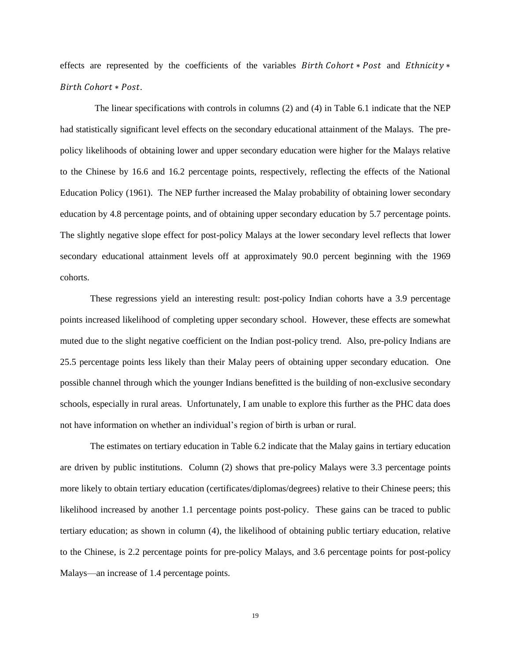effects are represented by the coefficients of the variables  $Birth \nChort * Post$  and  $Ethnicity *$ Birth Cohort \* Post.

 The linear specifications with controls in columns (2) and (4) in Table 6.1 indicate that the NEP had statistically significant level effects on the secondary educational attainment of the Malays. The prepolicy likelihoods of obtaining lower and upper secondary education were higher for the Malays relative to the Chinese by 16.6 and 16.2 percentage points, respectively, reflecting the effects of the National Education Policy (1961). The NEP further increased the Malay probability of obtaining lower secondary education by 4.8 percentage points, and of obtaining upper secondary education by 5.7 percentage points. The slightly negative slope effect for post-policy Malays at the lower secondary level reflects that lower secondary educational attainment levels off at approximately 90.0 percent beginning with the 1969 cohorts.

These regressions yield an interesting result: post-policy Indian cohorts have a 3.9 percentage points increased likelihood of completing upper secondary school. However, these effects are somewhat muted due to the slight negative coefficient on the Indian post-policy trend. Also, pre-policy Indians are 25.5 percentage points less likely than their Malay peers of obtaining upper secondary education. One possible channel through which the younger Indians benefitted is the building of non-exclusive secondary schools, especially in rural areas. Unfortunately, I am unable to explore this further as the PHC data does not have information on whether an individual's region of birth is urban or rural.

The estimates on tertiary education in Table 6.2 indicate that the Malay gains in tertiary education are driven by public institutions. Column (2) shows that pre-policy Malays were 3.3 percentage points more likely to obtain tertiary education (certificates/diplomas/degrees) relative to their Chinese peers; this likelihood increased by another 1.1 percentage points post-policy. These gains can be traced to public tertiary education; as shown in column (4), the likelihood of obtaining public tertiary education, relative to the Chinese, is 2.2 percentage points for pre-policy Malays, and 3.6 percentage points for post-policy Malays—an increase of 1.4 percentage points.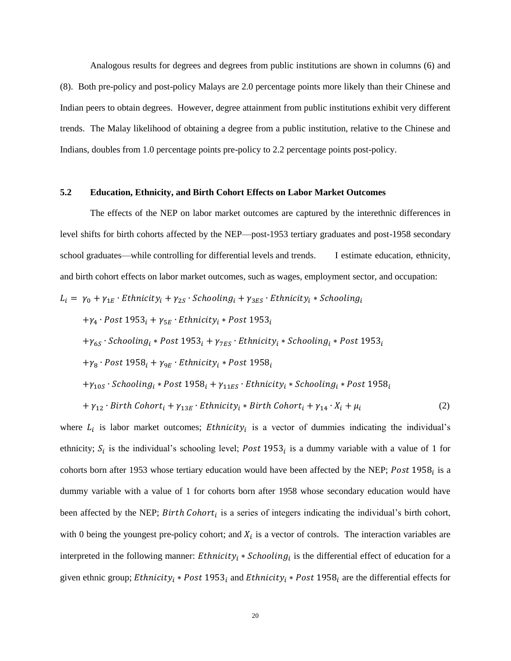Analogous results for degrees and degrees from public institutions are shown in columns (6) and (8). Both pre-policy and post-policy Malays are 2.0 percentage points more likely than their Chinese and Indian peers to obtain degrees. However, degree attainment from public institutions exhibit very different trends. The Malay likelihood of obtaining a degree from a public institution, relative to the Chinese and Indians, doubles from 1.0 percentage points pre-policy to 2.2 percentage points post-policy.

#### **5.2 Education, Ethnicity, and Birth Cohort Effects on Labor Market Outcomes**

The effects of the NEP on labor market outcomes are captured by the interethnic differences in level shifts for birth cohorts affected by the NEP—post-1953 tertiary graduates and post-1958 secondary school graduates—while controlling for differential levels and trends. I estimate education, ethnicity, and birth cohort effects on labor market outcomes, such as wages, employment sector, and occupation:

$$
L_i = \gamma_0 + \gamma_{1E} \cdot \text{Ethnicity}_i + \gamma_{2S} \cdot \text{Schooling}_i + \gamma_{3ES} \cdot \text{Ethnicity}_i * \text{Stooling}_i
$$

 $+\gamma_4 \cdot Post\ 1953_i + \gamma_{5E} \cdot Ethnicity_i * Post\ 1953_i$ 

 $+\gamma_{6S}$ 

 $+\gamma_8 \cdot$  Post 1958<sub>i</sub> +  $\gamma_{9E} \cdot$  Ethnicity<sub>i</sub> \* Post 1958<sub>i</sub>

$$
+ \gamma_{10S}
$$
 *· Schooling<sub>i</sub> \* Post* 1958<sub>i</sub> +  $\gamma_{11ES}$  *· Ethnicity<sub>i</sub> \* Schooling<sub>i</sub> \* Post* 1958<sub>i</sub>

$$
+ \gamma_{12} \cdot Birth\; Cohort_i + \gamma_{13E} \cdot Ethnicity_i * Birth\; Cohort_i + \gamma_{14} \cdot X_i + \mu_i \tag{2}
$$

where  $L_i$  is labor market outcomes; *Ethnicity*<sub>i</sub> is a vector of dummies indicating the individual's ethnicity;  $S_i$  is the individual's schooling level; Post 1953<sub>i</sub> is a dummy variable with a value of 1 for cohorts born after 1953 whose tertiary education would have been affected by the NEP; Post 1958 $_i$  is a dummy variable with a value of 1 for cohorts born after 1958 whose secondary education would have been affected by the NEP; *Birth Cohort<sub>i</sub>* is a series of integers indicating the individual's birth cohort, with 0 being the youngest pre-policy cohort; and  $X_i$  is a vector of controls. The interaction variables are interpreted in the following manner: Ethnicity<sub>i</sub> \* Schooling<sub>i</sub> is the differential effect of education for a given ethnic group; Ethnicity<sub>i</sub> \* Post 1953<sub>i</sub> and Ethnicity<sub>i</sub> \* Post 1958<sub>i</sub> are the differential effects for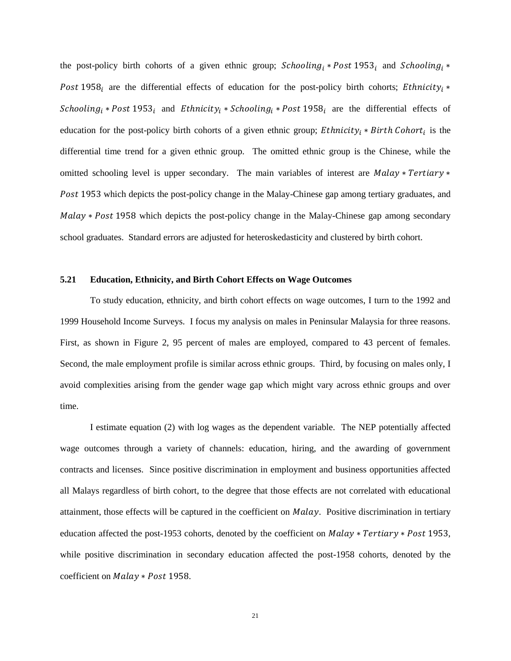the post-policy birth cohorts of a given ethnic group; Schooling<sub>i</sub> \* Post 1953<sub>i</sub> and Schooling<sub>i</sub> \* Post 1958; are the differential effects of education for the post-policy birth cohorts; Ethnicity; \* Schooling<sub>i</sub> \* Post 1953<sub>i</sub> and Ethnicity<sub>i</sub> \* Schooling<sub>i</sub> \* Post 1958<sub>i</sub> are the differential effects of education for the post-policy birth cohorts of a given ethnic group; *Ethnicity<sub>i</sub>* \* *Birth Cohort<sub>i</sub>* is the differential time trend for a given ethnic group. The omitted ethnic group is the Chinese, while the omitted schooling level is upper secondary. The main variables of interest are Malay  $*$  Tertiary  $*$ Post 1953 which depicts the post-policy change in the Malay-Chinese gap among tertiary graduates, and  $Malay * Post 1958$  which depicts the post-policy change in the Malay-Chinese gap among secondary school graduates. Standard errors are adjusted for heteroskedasticity and clustered by birth cohort.

#### **5.21 Education, Ethnicity, and Birth Cohort Effects on Wage Outcomes**

To study education, ethnicity, and birth cohort effects on wage outcomes, I turn to the 1992 and 1999 Household Income Surveys. I focus my analysis on males in Peninsular Malaysia for three reasons. First, as shown in Figure 2, 95 percent of males are employed, compared to 43 percent of females. Second, the male employment profile is similar across ethnic groups. Third, by focusing on males only, I avoid complexities arising from the gender wage gap which might vary across ethnic groups and over time.

I estimate equation (2) with log wages as the dependent variable. The NEP potentially affected wage outcomes through a variety of channels: education, hiring, and the awarding of government contracts and licenses. Since positive discrimination in employment and business opportunities affected all Malays regardless of birth cohort, to the degree that those effects are not correlated with educational attainment, those effects will be captured in the coefficient on *Malay*. Positive discrimination in tertiary education affected the post-1953 cohorts, denoted by the coefficient on  $Malay * Tertiary * Post$  1953, while positive discrimination in secondary education affected the post-1958 cohorts, denoted by the coefficient on Malay \* Post 1958.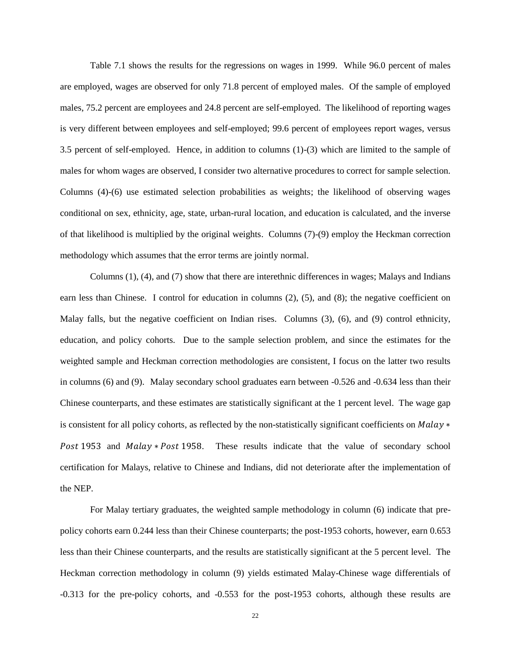Table 7.1 shows the results for the regressions on wages in 1999. While 96.0 percent of males are employed, wages are observed for only 71.8 percent of employed males. Of the sample of employed males, 75.2 percent are employees and 24.8 percent are self-employed. The likelihood of reporting wages is very different between employees and self-employed; 99.6 percent of employees report wages, versus 3.5 percent of self-employed. Hence, in addition to columns (1)-(3) which are limited to the sample of males for whom wages are observed, I consider two alternative procedures to correct for sample selection. Columns (4)-(6) use estimated selection probabilities as weights; the likelihood of observing wages conditional on sex, ethnicity, age, state, urban-rural location, and education is calculated, and the inverse of that likelihood is multiplied by the original weights. Columns (7)-(9) employ the Heckman correction methodology which assumes that the error terms are jointly normal.

Columns (1), (4), and (7) show that there are interethnic differences in wages; Malays and Indians earn less than Chinese. I control for education in columns (2), (5), and (8); the negative coefficient on Malay falls, but the negative coefficient on Indian rises. Columns (3), (6), and (9) control ethnicity, education, and policy cohorts. Due to the sample selection problem, and since the estimates for the weighted sample and Heckman correction methodologies are consistent, I focus on the latter two results in columns (6) and (9). Malay secondary school graduates earn between -0.526 and -0.634 less than their Chinese counterparts, and these estimates are statistically significant at the 1 percent level. The wage gap is consistent for all policy cohorts, as reflected by the non-statistically significant coefficients on  $Malay *$ Post 1953 and Malay \* Post 1958. These results indicate that the value of secondary school certification for Malays, relative to Chinese and Indians, did not deteriorate after the implementation of the NEP.

For Malay tertiary graduates, the weighted sample methodology in column (6) indicate that prepolicy cohorts earn 0.244 less than their Chinese counterparts; the post-1953 cohorts, however, earn 0.653 less than their Chinese counterparts, and the results are statistically significant at the 5 percent level. The Heckman correction methodology in column (9) yields estimated Malay-Chinese wage differentials of -0.313 for the pre-policy cohorts, and -0.553 for the post-1953 cohorts, although these results are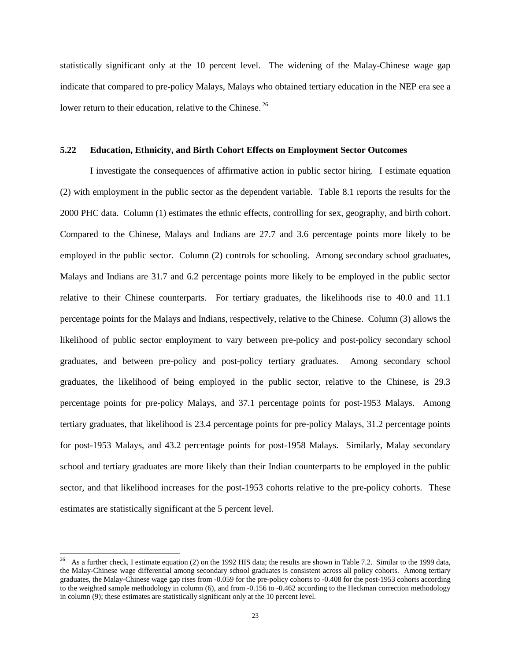statistically significant only at the 10 percent level. The widening of the Malay-Chinese wage gap indicate that compared to pre-policy Malays, Malays who obtained tertiary education in the NEP era see a lower return to their education, relative to the Chinese.<sup>26</sup>

#### **5.22 Education, Ethnicity, and Birth Cohort Effects on Employment Sector Outcomes**

I investigate the consequences of affirmative action in public sector hiring. I estimate equation (2) with employment in the public sector as the dependent variable. Table 8.1 reports the results for the 2000 PHC data. Column (1) estimates the ethnic effects, controlling for sex, geography, and birth cohort. Compared to the Chinese, Malays and Indians are 27.7 and 3.6 percentage points more likely to be employed in the public sector. Column (2) controls for schooling. Among secondary school graduates, Malays and Indians are 31.7 and 6.2 percentage points more likely to be employed in the public sector relative to their Chinese counterparts. For tertiary graduates, the likelihoods rise to 40.0 and 11.1 percentage points for the Malays and Indians, respectively, relative to the Chinese. Column (3) allows the likelihood of public sector employment to vary between pre-policy and post-policy secondary school graduates, and between pre-policy and post-policy tertiary graduates. Among secondary school graduates, the likelihood of being employed in the public sector, relative to the Chinese, is 29.3 percentage points for pre-policy Malays, and 37.1 percentage points for post-1953 Malays. Among tertiary graduates, that likelihood is 23.4 percentage points for pre-policy Malays, 31.2 percentage points for post-1953 Malays, and 43.2 percentage points for post-1958 Malays. Similarly, Malay secondary school and tertiary graduates are more likely than their Indian counterparts to be employed in the public sector, and that likelihood increases for the post-1953 cohorts relative to the pre-policy cohorts. These estimates are statistically significant at the 5 percent level.

l

<sup>26</sup> As a further check, I estimate equation (2) on the 1992 HIS data; the results are shown in Table 7.2. Similar to the 1999 data, the Malay-Chinese wage differential among secondary school graduates is consistent across all policy cohorts. Among tertiary graduates, the Malay-Chinese wage gap rises from -0.059 for the pre-policy cohorts to -0.408 for the post-1953 cohorts according to the weighted sample methodology in column (6), and from -0.156 to -0.462 according to the Heckman correction methodology in column (9); these estimates are statistically significant only at the 10 percent level.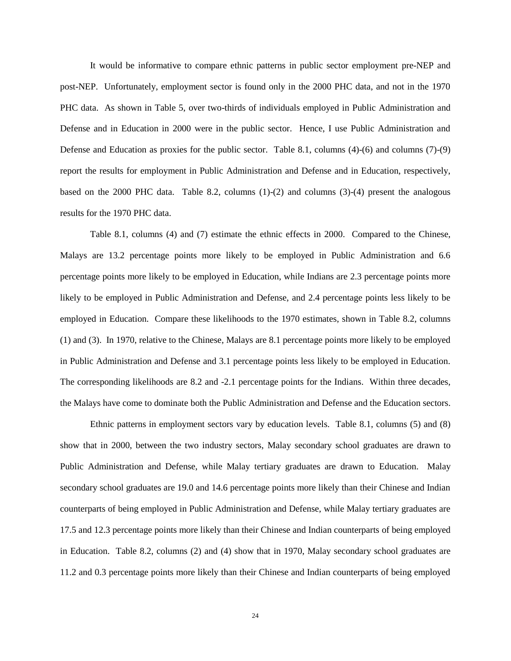It would be informative to compare ethnic patterns in public sector employment pre-NEP and post-NEP. Unfortunately, employment sector is found only in the 2000 PHC data, and not in the 1970 PHC data. As shown in Table 5, over two-thirds of individuals employed in Public Administration and Defense and in Education in 2000 were in the public sector. Hence, I use Public Administration and Defense and Education as proxies for the public sector. Table 8.1, columns (4)-(6) and columns (7)-(9) report the results for employment in Public Administration and Defense and in Education, respectively, based on the 2000 PHC data. Table 8.2, columns (1)-(2) and columns (3)-(4) present the analogous results for the 1970 PHC data.

Table 8.1, columns (4) and (7) estimate the ethnic effects in 2000. Compared to the Chinese, Malays are 13.2 percentage points more likely to be employed in Public Administration and 6.6 percentage points more likely to be employed in Education, while Indians are 2.3 percentage points more likely to be employed in Public Administration and Defense, and 2.4 percentage points less likely to be employed in Education. Compare these likelihoods to the 1970 estimates, shown in Table 8.2, columns (1) and (3). In 1970, relative to the Chinese, Malays are 8.1 percentage points more likely to be employed in Public Administration and Defense and 3.1 percentage points less likely to be employed in Education. The corresponding likelihoods are 8.2 and -2.1 percentage points for the Indians. Within three decades, the Malays have come to dominate both the Public Administration and Defense and the Education sectors.

Ethnic patterns in employment sectors vary by education levels. Table 8.1, columns (5) and (8) show that in 2000, between the two industry sectors, Malay secondary school graduates are drawn to Public Administration and Defense, while Malay tertiary graduates are drawn to Education. Malay secondary school graduates are 19.0 and 14.6 percentage points more likely than their Chinese and Indian counterparts of being employed in Public Administration and Defense, while Malay tertiary graduates are 17.5 and 12.3 percentage points more likely than their Chinese and Indian counterparts of being employed in Education. Table 8.2, columns (2) and (4) show that in 1970, Malay secondary school graduates are 11.2 and 0.3 percentage points more likely than their Chinese and Indian counterparts of being employed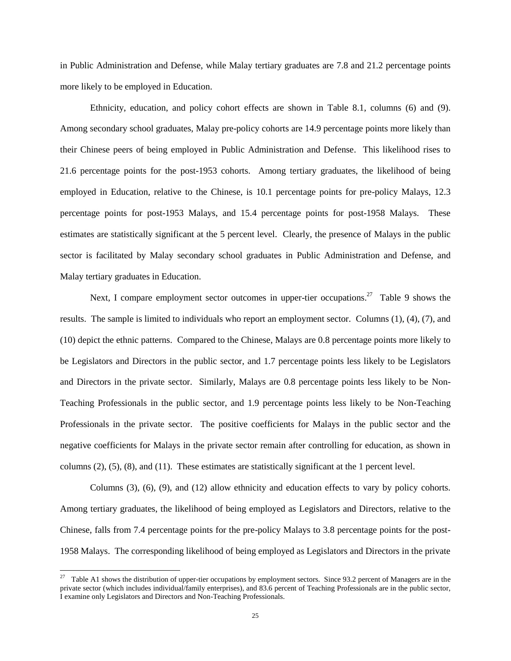in Public Administration and Defense, while Malay tertiary graduates are 7.8 and 21.2 percentage points more likely to be employed in Education.

Ethnicity, education, and policy cohort effects are shown in Table 8.1, columns (6) and (9). Among secondary school graduates, Malay pre-policy cohorts are 14.9 percentage points more likely than their Chinese peers of being employed in Public Administration and Defense. This likelihood rises to 21.6 percentage points for the post-1953 cohorts. Among tertiary graduates, the likelihood of being employed in Education, relative to the Chinese, is 10.1 percentage points for pre-policy Malays, 12.3 percentage points for post-1953 Malays, and 15.4 percentage points for post-1958 Malays. These estimates are statistically significant at the 5 percent level. Clearly, the presence of Malays in the public sector is facilitated by Malay secondary school graduates in Public Administration and Defense, and Malay tertiary graduates in Education.

Next, I compare employment sector outcomes in upper-tier occupations.<sup>27</sup> Table 9 shows the results. The sample is limited to individuals who report an employment sector. Columns (1), (4), (7), and (10) depict the ethnic patterns. Compared to the Chinese, Malays are 0.8 percentage points more likely to be Legislators and Directors in the public sector, and 1.7 percentage points less likely to be Legislators and Directors in the private sector. Similarly, Malays are 0.8 percentage points less likely to be Non-Teaching Professionals in the public sector, and 1.9 percentage points less likely to be Non-Teaching Professionals in the private sector. The positive coefficients for Malays in the public sector and the negative coefficients for Malays in the private sector remain after controlling for education, as shown in columns (2), (5), (8), and (11). These estimates are statistically significant at the 1 percent level.

Columns (3), (6), (9), and (12) allow ethnicity and education effects to vary by policy cohorts. Among tertiary graduates, the likelihood of being employed as Legislators and Directors, relative to the Chinese, falls from 7.4 percentage points for the pre-policy Malays to 3.8 percentage points for the post-1958 Malays. The corresponding likelihood of being employed as Legislators and Directors in the private

l

<sup>27</sup> Table A1 shows the distribution of upper-tier occupations by employment sectors. Since 93.2 percent of Managers are in the private sector (which includes individual/family enterprises), and 83.6 percent of Teaching Professionals are in the public sector, I examine only Legislators and Directors and Non-Teaching Professionals.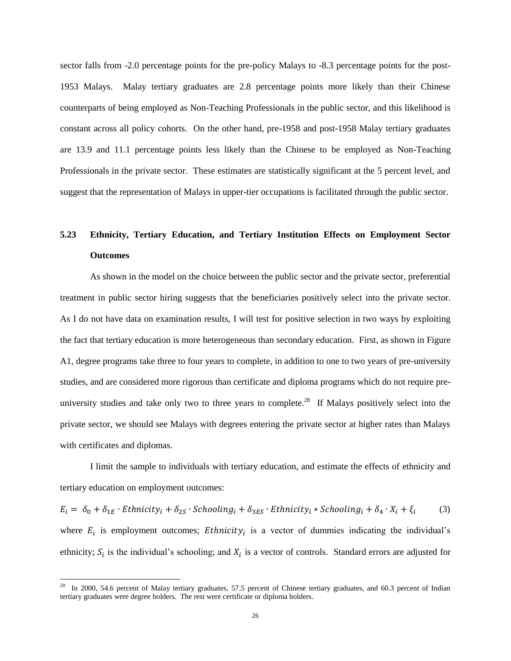sector falls from -2.0 percentage points for the pre-policy Malays to -8.3 percentage points for the post-1953 Malays. Malay tertiary graduates are 2.8 percentage points more likely than their Chinese counterparts of being employed as Non-Teaching Professionals in the public sector, and this likelihood is constant across all policy cohorts. On the other hand, pre-1958 and post-1958 Malay tertiary graduates are 13.9 and 11.1 percentage points less likely than the Chinese to be employed as Non-Teaching Professionals in the private sector. These estimates are statistically significant at the 5 percent level, and suggest that the representation of Malays in upper-tier occupations is facilitated through the public sector.

# **5.23 Ethnicity, Tertiary Education, and Tertiary Institution Effects on Employment Sector Outcomes**

As shown in the model on the choice between the public sector and the private sector, preferential treatment in public sector hiring suggests that the beneficiaries positively select into the private sector. As I do not have data on examination results, I will test for positive selection in two ways by exploiting the fact that tertiary education is more heterogeneous than secondary education. First, as shown in Figure A1, degree programs take three to four years to complete, in addition to one to two years of pre-university studies, and are considered more rigorous than certificate and diploma programs which do not require preuniversity studies and take only two to three years to complete.<sup>28</sup> If Malays positively select into the private sector, we should see Malays with degrees entering the private sector at higher rates than Malays with certificates and diplomas.

I limit the sample to individuals with tertiary education, and estimate the effects of ethnicity and tertiary education on employment outcomes:

 $E_i = \delta_0 + \delta_{1E} \cdot \text{Ethnicity}_i + \delta_{2S} \cdot$  (3) where  $E_i$  is employment outcomes; *Ethnicity<sub>i</sub>* is a vector of dummies indicating the individual's ethnicity;  $S_i$  is the individual's schooling; and  $X_i$  is a vector of controls. Standard errors are adjusted for

 $\overline{a}$ 

In 2000, 54.6 percent of Malay tertiary graduates, 57.5 percent of Chinese tertiary graduates, and 60.3 percent of Indian tertiary graduates were degree holders. The rest were certificate or diploma holders.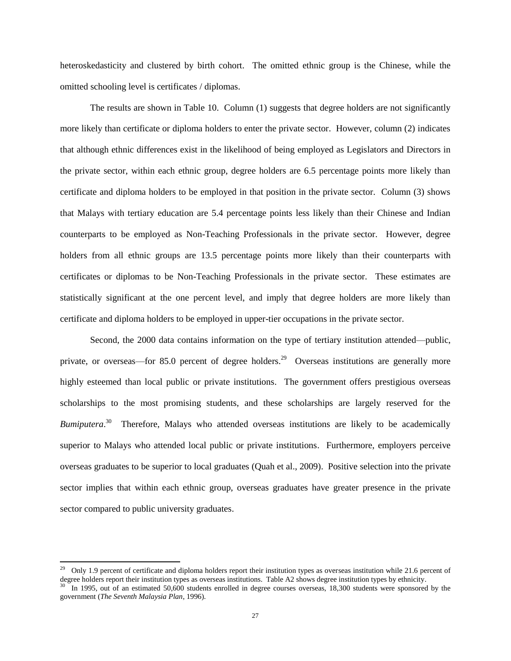heteroskedasticity and clustered by birth cohort. The omitted ethnic group is the Chinese, while the omitted schooling level is certificates / diplomas.

The results are shown in Table 10. Column (1) suggests that degree holders are not significantly more likely than certificate or diploma holders to enter the private sector. However, column (2) indicates that although ethnic differences exist in the likelihood of being employed as Legislators and Directors in the private sector, within each ethnic group, degree holders are 6.5 percentage points more likely than certificate and diploma holders to be employed in that position in the private sector. Column (3) shows that Malays with tertiary education are 5.4 percentage points less likely than their Chinese and Indian counterparts to be employed as Non-Teaching Professionals in the private sector. However, degree holders from all ethnic groups are 13.5 percentage points more likely than their counterparts with certificates or diplomas to be Non-Teaching Professionals in the private sector. These estimates are statistically significant at the one percent level, and imply that degree holders are more likely than certificate and diploma holders to be employed in upper-tier occupations in the private sector.

Second, the 2000 data contains information on the type of tertiary institution attended—public, private, or overseas—for 85.0 percent of degree holders.<sup>29</sup> Overseas institutions are generally more highly esteemed than local public or private institutions. The government offers prestigious overseas scholarships to the most promising students, and these scholarships are largely reserved for the Bumiputera.<sup>30</sup> Therefore, Malays who attended overseas institutions are likely to be academically superior to Malays who attended local public or private institutions. Furthermore, employers perceive overseas graduates to be superior to local graduates (Quah et al., 2009). Positive selection into the private sector implies that within each ethnic group, overseas graduates have greater presence in the private sector compared to public university graduates.

 $\overline{\phantom{a}}$ 

 $29$  Only 1.9 percent of certificate and diploma holders report their institution types as overseas institution while 21.6 percent of degree holders report their institution types as overseas institutions. Table A2 shows degree institution types by ethnicity. In 1995, out of an estimated 50,600 students enrolled in degree courses overseas, 18,300 students were sponsored by the government (*The Seventh Malaysia Plan*, 1996).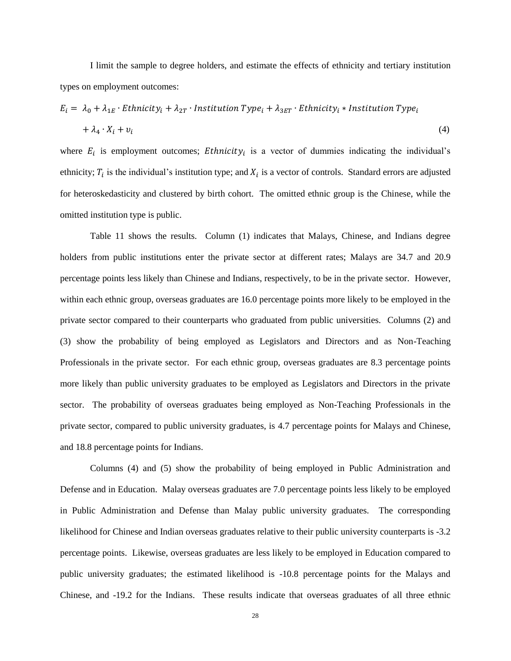I limit the sample to degree holders, and estimate the effects of ethnicity and tertiary institution types on employment outcomes:

$$
E_i = \lambda_0 + \lambda_{1E} \cdot \text{Ethnicity}_i + \lambda_{2T} \cdot \text{Institution Type}_i + \lambda_{3ET} \cdot \text{Ethnicity}_i * \text{Institution Type}_i
$$
  
+  $\lambda_4 \cdot X_i + v_i$  (4)

where  $E_i$  is employment outcomes; *Ethnicity<sub>i</sub>* is a vector of dummies indicating the individual's ethnicity;  $T_i$  is the individual's institution type; and  $X_i$  is a vector of controls. Standard errors are adjusted for heteroskedasticity and clustered by birth cohort. The omitted ethnic group is the Chinese, while the omitted institution type is public.

Table 11 shows the results. Column (1) indicates that Malays, Chinese, and Indians degree holders from public institutions enter the private sector at different rates; Malays are 34.7 and 20.9 percentage points less likely than Chinese and Indians, respectively, to be in the private sector. However, within each ethnic group, overseas graduates are 16.0 percentage points more likely to be employed in the private sector compared to their counterparts who graduated from public universities. Columns (2) and (3) show the probability of being employed as Legislators and Directors and as Non-Teaching Professionals in the private sector. For each ethnic group, overseas graduates are 8.3 percentage points more likely than public university graduates to be employed as Legislators and Directors in the private sector. The probability of overseas graduates being employed as Non-Teaching Professionals in the private sector, compared to public university graduates, is 4.7 percentage points for Malays and Chinese, and 18.8 percentage points for Indians.

Columns (4) and (5) show the probability of being employed in Public Administration and Defense and in Education. Malay overseas graduates are 7.0 percentage points less likely to be employed in Public Administration and Defense than Malay public university graduates. The corresponding likelihood for Chinese and Indian overseas graduates relative to their public university counterparts is -3.2 percentage points. Likewise, overseas graduates are less likely to be employed in Education compared to public university graduates; the estimated likelihood is -10.8 percentage points for the Malays and Chinese, and -19.2 for the Indians. These results indicate that overseas graduates of all three ethnic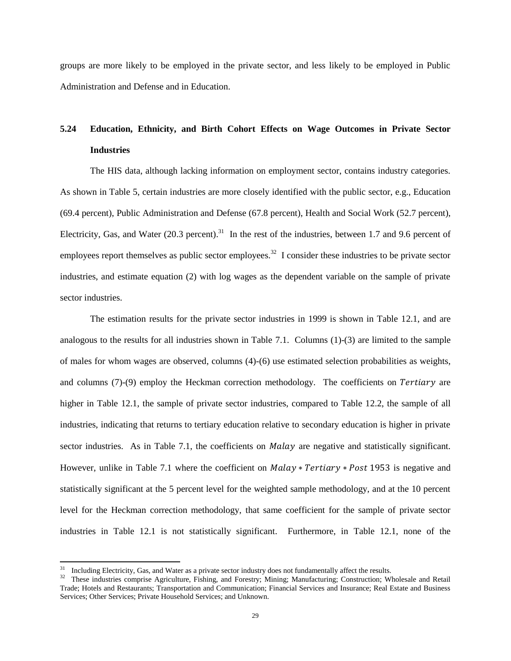groups are more likely to be employed in the private sector, and less likely to be employed in Public Administration and Defense and in Education.

# **5.24 Education, Ethnicity, and Birth Cohort Effects on Wage Outcomes in Private Sector Industries**

The HIS data, although lacking information on employment sector, contains industry categories. As shown in Table 5, certain industries are more closely identified with the public sector, e.g., Education (69.4 percent), Public Administration and Defense (67.8 percent), Health and Social Work (52.7 percent), Electricity, Gas, and Water  $(20.3 \text{ percent})$ .<sup>31</sup> In the rest of the industries, between 1.7 and 9.6 percent of employees report themselves as public sector employees.<sup>32</sup> I consider these industries to be private sector industries, and estimate equation (2) with log wages as the dependent variable on the sample of private sector industries.

The estimation results for the private sector industries in 1999 is shown in Table 12.1, and are analogous to the results for all industries shown in Table 7.1. Columns (1)-(3) are limited to the sample of males for whom wages are observed, columns (4)-(6) use estimated selection probabilities as weights, and columns  $(7)-(9)$  employ the Heckman correction methodology. The coefficients on Tertiary are higher in Table 12.1, the sample of private sector industries, compared to Table 12.2, the sample of all industries, indicating that returns to tertiary education relative to secondary education is higher in private sector industries. As in Table 7.1, the coefficients on *Malay* are negative and statistically significant. However, unlike in Table 7.1 where the coefficient on  $Malay * Tertiary * Post 1953$  is negative and statistically significant at the 5 percent level for the weighted sample methodology, and at the 10 percent level for the Heckman correction methodology, that same coefficient for the sample of private sector industries in Table 12.1 is not statistically significant. Furthermore, in Table 12.1, none of the

 $\overline{\phantom{a}}$ 

<sup>&</sup>lt;sup>31</sup> Including Electricity, Gas, and Water as a private sector industry does not fundamentally affect the results.<br><sup>32</sup> These industries comprise Agriculture Eishing, and Forestry: Mining: Manufacturing: Construction: Wh

<sup>32</sup> These industries comprise Agriculture, Fishing, and Forestry; Mining; Manufacturing; Construction; Wholesale and Retail Trade; Hotels and Restaurants; Transportation and Communication; Financial Services and Insurance; Real Estate and Business Services; Other Services; Private Household Services; and Unknown.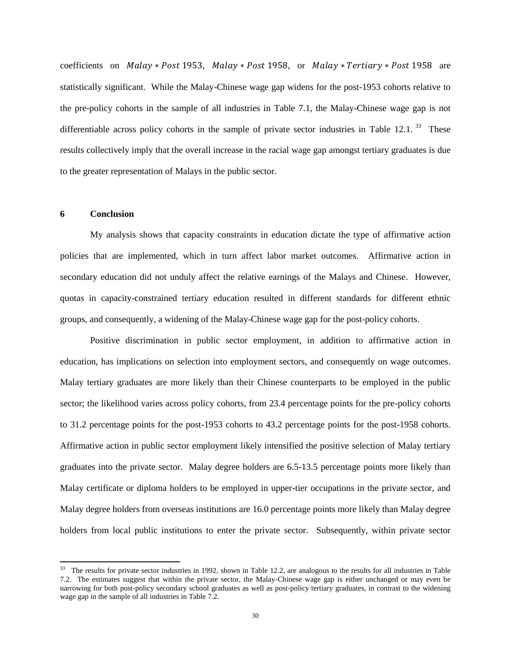coefficients on Malay \* Post 1953, Malay \* Post 1958, or Malay \* Tertiary \* Post 1958 are statistically significant. While the Malay-Chinese wage gap widens for the post-1953 cohorts relative to the pre-policy cohorts in the sample of all industries in Table 7.1, the Malay-Chinese wage gap is not differentiable across policy cohorts in the sample of private sector industries in Table 12.1.  $33$  These results collectively imply that the overall increase in the racial wage gap amongst tertiary graduates is due to the greater representation of Malays in the public sector.

#### **6 Conclusion**

 $\overline{\phantom{a}}$ 

My analysis shows that capacity constraints in education dictate the type of affirmative action policies that are implemented, which in turn affect labor market outcomes. Affirmative action in secondary education did not unduly affect the relative earnings of the Malays and Chinese. However, quotas in capacity-constrained tertiary education resulted in different standards for different ethnic groups, and consequently, a widening of the Malay-Chinese wage gap for the post-policy cohorts.

Positive discrimination in public sector employment, in addition to affirmative action in education, has implications on selection into employment sectors, and consequently on wage outcomes. Malay tertiary graduates are more likely than their Chinese counterparts to be employed in the public sector; the likelihood varies across policy cohorts, from 23.4 percentage points for the pre-policy cohorts to 31.2 percentage points for the post-1953 cohorts to 43.2 percentage points for the post-1958 cohorts. Affirmative action in public sector employment likely intensified the positive selection of Malay tertiary graduates into the private sector. Malay degree holders are 6.5-13.5 percentage points more likely than Malay certificate or diploma holders to be employed in upper-tier occupations in the private sector, and Malay degree holders from overseas institutions are 16.0 percentage points more likely than Malay degree holders from local public institutions to enter the private sector. Subsequently, within private sector

 $33$  The results for private sector industries in 1992, shown in Table 12.2, are analogous to the results for all industries in Table 7.2. The estimates suggest that within the private sector, the Malay-Chinese wage gap is either unchanged or may even be narrowing for both post-policy secondary school graduates as well as post-policy tertiary graduates, in contrast to the widening wage gap in the sample of all industries in Table 7.2.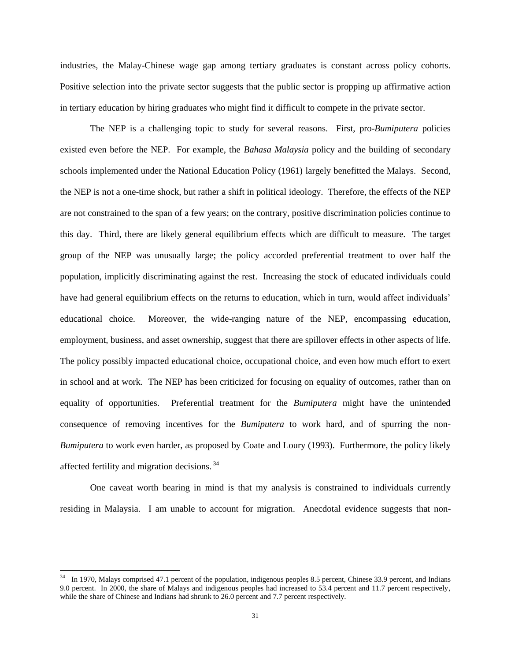industries, the Malay-Chinese wage gap among tertiary graduates is constant across policy cohorts. Positive selection into the private sector suggests that the public sector is propping up affirmative action in tertiary education by hiring graduates who might find it difficult to compete in the private sector.

The NEP is a challenging topic to study for several reasons. First, pro-*Bumiputera* policies existed even before the NEP. For example, the *Bahasa Malaysia* policy and the building of secondary schools implemented under the National Education Policy (1961) largely benefitted the Malays. Second, the NEP is not a one-time shock, but rather a shift in political ideology. Therefore, the effects of the NEP are not constrained to the span of a few years; on the contrary, positive discrimination policies continue to this day. Third, there are likely general equilibrium effects which are difficult to measure. The target group of the NEP was unusually large; the policy accorded preferential treatment to over half the population, implicitly discriminating against the rest. Increasing the stock of educated individuals could have had general equilibrium effects on the returns to education, which in turn, would affect individuals' educational choice. Moreover, the wide-ranging nature of the NEP, encompassing education, employment, business, and asset ownership, suggest that there are spillover effects in other aspects of life. The policy possibly impacted educational choice, occupational choice, and even how much effort to exert in school and at work. The NEP has been criticized for focusing on equality of outcomes, rather than on equality of opportunities. Preferential treatment for the *Bumiputera* might have the unintended consequence of removing incentives for the *Bumiputera* to work hard, and of spurring the non-*Bumiputera* to work even harder, as proposed by Coate and Loury (1993). Furthermore, the policy likely affected fertility and migration decisions. <sup>34</sup>

One caveat worth bearing in mind is that my analysis is constrained to individuals currently residing in Malaysia. I am unable to account for migration. Anecdotal evidence suggests that non-

l

In 1970, Malays comprised 47.1 percent of the population, indigenous peoples 8.5 percent, Chinese 33.9 percent, and Indians 9.0 percent. In 2000, the share of Malays and indigenous peoples had increased to 53.4 percent and 11.7 percent respectively, while the share of Chinese and Indians had shrunk to 26.0 percent and 7.7 percent respectively.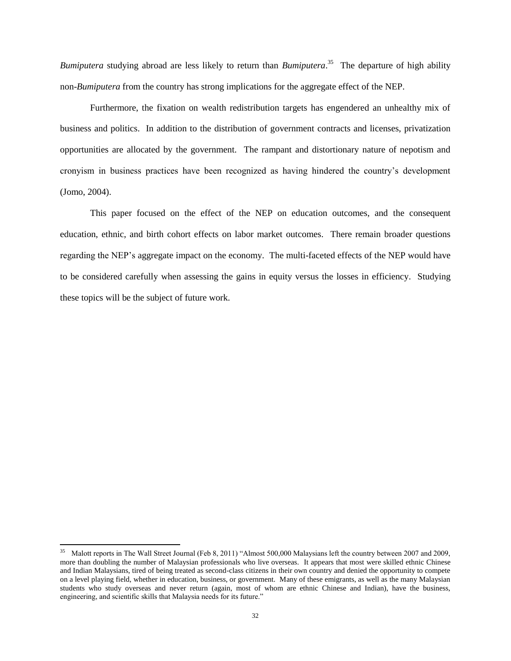*Bumiputera* studying abroad are less likely to return than *Bumiputera*. 35 The departure of high ability non-*Bumiputera* from the country has strong implications for the aggregate effect of the NEP.

Furthermore, the fixation on wealth redistribution targets has engendered an unhealthy mix of business and politics. In addition to the distribution of government contracts and licenses, privatization opportunities are allocated by the government. The rampant and distortionary nature of nepotism and cronyism in business practices have been recognized as having hindered the country's development (Jomo, 2004).

This paper focused on the effect of the NEP on education outcomes, and the consequent education, ethnic, and birth cohort effects on labor market outcomes. There remain broader questions regarding the NEP's aggregate impact on the economy. The multi-faceted effects of the NEP would have to be considered carefully when assessing the gains in equity versus the losses in efficiency. Studying these topics will be the subject of future work.

 $\overline{\phantom{a}}$ 

<sup>35</sup> Malott reports in The Wall Street Journal (Feb 8, 2011) "Almost 500,000 Malaysians left the country between 2007 and 2009, more than doubling the number of Malaysian professionals who live overseas. It appears that most were skilled ethnic Chinese and Indian Malaysians, tired of being treated as second-class citizens in their own country and denied the opportunity to compete on a level playing field, whether in education, business, or government. Many of these emigrants, as well as the many Malaysian students who study overseas and never return (again, most of whom are ethnic Chinese and Indian), have the business, engineering, and scientific skills that Malaysia needs for its future."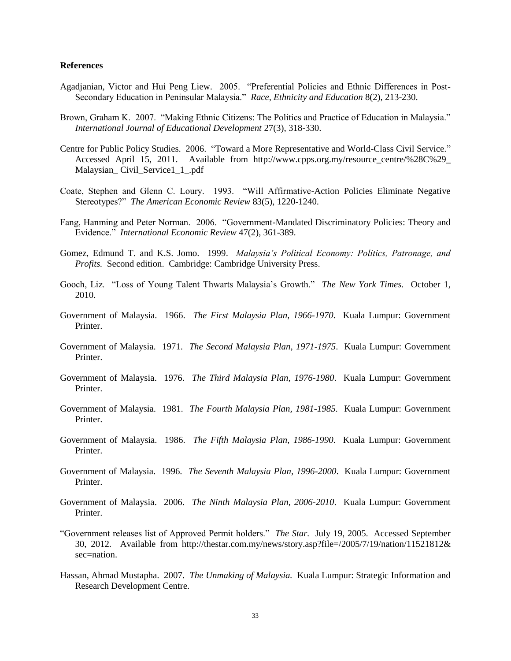#### **References**

- Agadjanian, Victor and Hui Peng Liew. 2005. "Preferential Policies and Ethnic Differences in Post-Secondary Education in Peninsular Malaysia." *Race, Ethnicity and Education* 8(2), 213-230.
- Brown, Graham K. 2007. "Making Ethnic Citizens: The Politics and Practice of Education in Malaysia." *International Journal of Educational Development* 27(3), 318-330.
- Centre for Public Policy Studies. 2006. "Toward a More Representative and World-Class Civil Service." Accessed April 15, 2011. Available from http://www.cpps.org.my/resource\_centre/%28C%29\_ Malaysian\_ Civil\_Service1\_1\_.pdf
- Coate, Stephen and Glenn C. Loury. 1993. "Will Affirmative-Action Policies Eliminate Negative Stereotypes?" *The American Economic Review* 83(5), 1220-1240.
- Fang, Hanming and Peter Norman. 2006. "Government-Mandated Discriminatory Policies: Theory and Evidence." *International Economic Review* 47(2), 361-389.
- Gomez, Edmund T. and K.S. Jomo. 1999. *Malaysia's Political Economy: Politics, Patronage, and Profits.* Second edition. Cambridge: Cambridge University Press.
- Gooch, Liz. "Loss of Young Talent Thwarts Malaysia's Growth." *The New York Times.* October 1, 2010.
- Government of Malaysia. 1966. *The First Malaysia Plan, 1966-1970*. Kuala Lumpur: Government Printer.
- Government of Malaysia. 1971. *The Second Malaysia Plan, 1971-1975*. Kuala Lumpur: Government Printer.
- Government of Malaysia. 1976. *The Third Malaysia Plan, 1976-1980*. Kuala Lumpur: Government Printer.
- Government of Malaysia. 1981. *The Fourth Malaysia Plan, 1981-1985*. Kuala Lumpur: Government Printer.
- Government of Malaysia. 1986. *The Fifth Malaysia Plan, 1986-1990*. Kuala Lumpur: Government Printer.
- Government of Malaysia. 1996. *The Seventh Malaysia Plan, 1996-2000*. Kuala Lumpur: Government Printer.
- Government of Malaysia. 2006. *The Ninth Malaysia Plan, 2006-2010*. Kuala Lumpur: Government Printer.
- "Government releases list of Approved Permit holders." *The Star.* July 19, 2005. Accessed September 30, 2012. Available from http://thestar.com.my/news/story.asp?file=/2005/7/19/nation/11521812& sec=nation.
- Hassan, Ahmad Mustapha. 2007. *The Unmaking of Malaysia.* Kuala Lumpur: Strategic Information and Research Development Centre.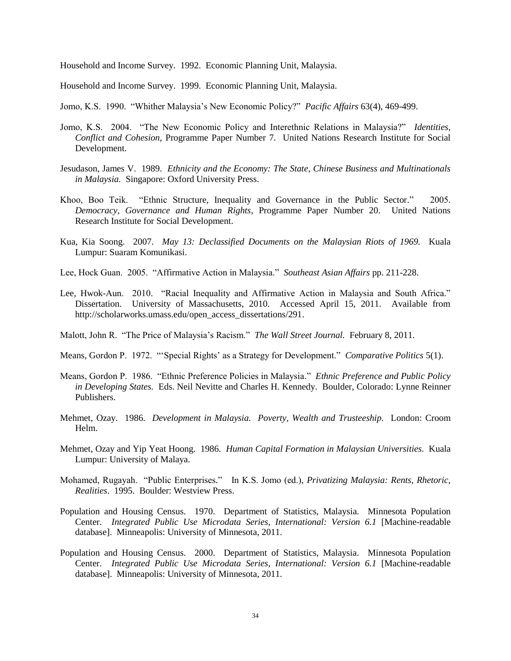Household and Income Survey. 1992. Economic Planning Unit, Malaysia.

Household and Income Survey. 1999. Economic Planning Unit, Malaysia.

- Jomo, K.S. 1990. "Whither Malaysia's New Economic Policy?" *Pacific Affairs* 63(4), 469-499.
- Jomo, K.S. 2004. "The New Economic Policy and Interethnic Relations in Malaysia?" *Identities, Conflict and Cohesion*, Programme Paper Number 7*.* United Nations Research Institute for Social Development.
- Jesudason, James V. 1989. *Ethnicity and the Economy: The State, Chinese Business and Multinationals in Malaysia.* Singapore: Oxford University Press.
- Khoo, Boo Teik. "Ethnic Structure, Inequality and Governance in the Public Sector*.*" 2005. *Democracy, Governance and Human Rights*, Programme Paper Number 20. United Nations Research Institute for Social Development.
- Kua, Kia Soong. 2007. *May 13: Declassified Documents on the Malaysian Riots of 1969.* Kuala Lumpur: Suaram Komunikasi.
- Lee, Hock Guan. 2005. "Affirmative Action in Malaysia." *Southeast Asian Affairs* pp. 211-228.
- Lee, Hwok-Aun. 2010. "Racial Inequality and Affirmative Action in Malaysia and South Africa." Dissertation. University of Massachusetts, 2010. Accessed April 15, 2011. Available from http://scholarworks.umass.edu/open\_access\_dissertations/291.
- Malott, John R. "The Price of Malaysia's Racism." *The Wall Street Journal.* February 8, 2011.
- Means, Gordon P. 1972. "'Special Rights' as a Strategy for Development." *Comparative Politics* 5(1).
- Means, Gordon P. 1986. "Ethnic Preference Policies in Malaysia." *Ethnic Preference and Public Policy in Developing States.* Eds. Neil Nevitte and Charles H. Kennedy. Boulder, Colorado: Lynne Reinner Publishers.
- Mehmet, Ozay. 1986. *Development in Malaysia. Poverty, Wealth and Trusteeship.* London: Croom Helm.
- Mehmet, Ozay and Yip Yeat Hoong. 1986. *Human Capital Formation in Malaysian Universities.* Kuala Lumpur: University of Malaya.
- Mohamed, Rugayah. "Public Enterprises*.*" In K.S. Jomo (ed.), *Privatizing Malaysia: Rents, Rhetoric, Realities*. 1995. Boulder: Westview Press.
- Population and Housing Census. 1970. Department of Statistics, Malaysia. Minnesota Population Center. *Integrated Public Use Microdata Series, International: Version 6.1* [Machine-readable database]. Minneapolis: University of Minnesota, 2011.
- Population and Housing Census. 2000. Department of Statistics, Malaysia. Minnesota Population Center. *Integrated Public Use Microdata Series, International: Version 6.1* [Machine-readable database]. Minneapolis: University of Minnesota, 2011.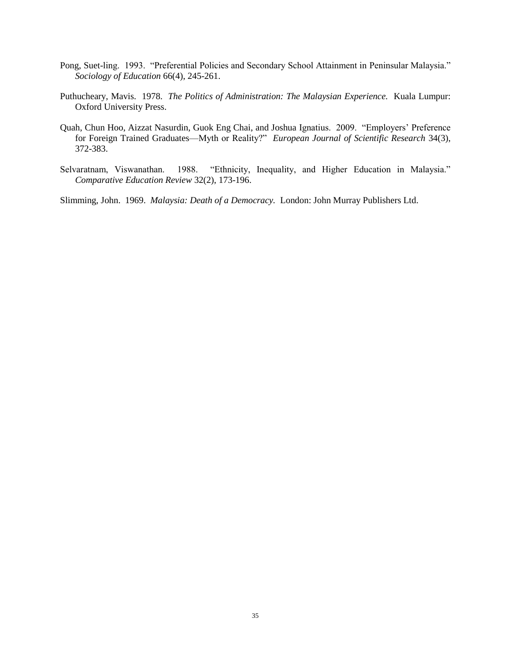- Pong, Suet-ling. 1993. "Preferential Policies and Secondary School Attainment in Peninsular Malaysia." *Sociology of Education* 66(4), 245-261.
- Puthucheary, Mavis. 1978. *The Politics of Administration: The Malaysian Experience.* Kuala Lumpur: Oxford University Press.
- Quah, Chun Hoo, Aizzat Nasurdin, Guok Eng Chai, and Joshua Ignatius. 2009. "Employers' Preference for Foreign Trained Graduates—Myth or Reality?" *European Journal of Scientific Research* 34(3), 372-383.
- Selvaratnam, Viswanathan. 1988. "Ethnicity, Inequality, and Higher Education in Malaysia." *Comparative Education Review* 32(2), 173-196.

Slimming, John. 1969. *Malaysia: Death of a Democracy.* London: John Murray Publishers Ltd.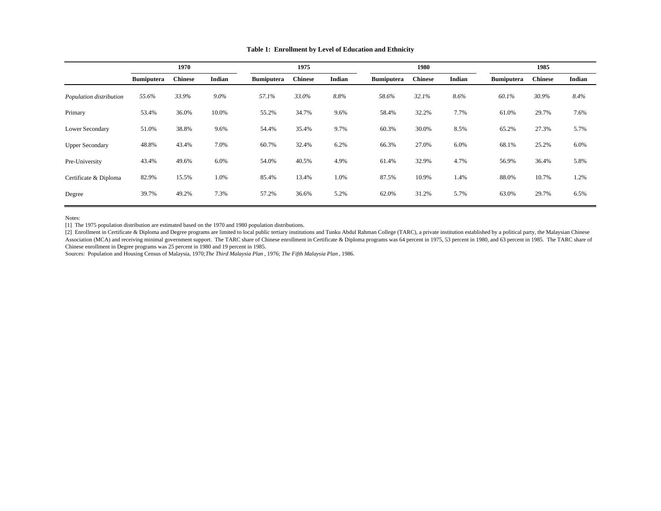|                         | 1970              |                |         |                   | 1975           |        |                   | 1980           |        |                   | 1985           |        |  |
|-------------------------|-------------------|----------------|---------|-------------------|----------------|--------|-------------------|----------------|--------|-------------------|----------------|--------|--|
|                         | <b>Bumiputera</b> | <b>Chinese</b> | Indian  | <b>Bumiputera</b> | <b>Chinese</b> | Indian | <b>Bumiputera</b> | <b>Chinese</b> | Indian | <b>Bumiputera</b> | <b>Chinese</b> | Indian |  |
| Population distribution | 55.6%             | 33.9%          | $9.0\%$ | 57.1%             | 33.0%          | 8.8%   | 58.6%             | 32.1%          | 8.6%   | 60.1%             | 30.9%          | 8.4%   |  |
| Primary                 | 53.4%             | 36.0%          | 10.0%   | 55.2%             | 34.7%          | 9.6%   | 58.4%             | 32.2%          | 7.7%   | 61.0%             | 29.7%          | 7.6%   |  |
| Lower Secondary         | 51.0%             | 38.8%          | 9.6%    | 54.4%             | 35.4%          | 9.7%   | 60.3%             | 30.0%          | 8.5%   | 65.2%             | 27.3%          | 5.7%   |  |
| <b>Upper Secondary</b>  | 48.8%             | 43.4%          | 7.0%    | 60.7%             | 32.4%          | 6.2%   | 66.3%             | 27.0%          | 6.0%   | 68.1%             | 25.2%          | 6.0%   |  |
| Pre-University          | 43.4%             | 49.6%          | 6.0%    | 54.0%             | 40.5%          | 4.9%   | 61.4%             | 32.9%          | 4.7%   | 56.9%             | 36.4%          | 5.8%   |  |
| Certificate & Diploma   | 82.9%             | 15.5%          | 1.0%    | 85.4%             | 13.4%          | 1.0%   | 87.5%             | 10.9%          | 1.4%   | 88.0%             | 10.7%          | 1.2%   |  |
| Degree                  | 39.7%             | 49.2%          | 7.3%    | 57.2%             | 36.6%          | 5.2%   | 62.0%             | 31.2%          | 5.7%   | 63.0%             | 29.7%          | 6.5%   |  |

**Table 1: Enrollment by Level of Education and Ethnicity**

Notes:

[1] The 1975 population distribution are estimated based on the 1970 and 1980 population distributions.

[2] Enrollment in Certificate & Diploma and Degree programs are limited to local public tertiary institutions and Tunku Abdul Rahman College (TARC), a private institution established by a political party, the Malaysian Chi Association (MCA) and receiving minimal government support. The TARC share of Chinese enrollment in Certificate & Diploma programs was 64 percent in 1975, 53 percent in 1980, and 63 percent in 1985. The TARC share of Chinese enrollment in Degree programs was 25 percent in 1980 and 19 percent in 1985.

Sources: Population and Housing Census of Malaysia, 1970; *The Third Malaysia Plan* , 1976; *The Fifth Malaysia Plan* , 1986.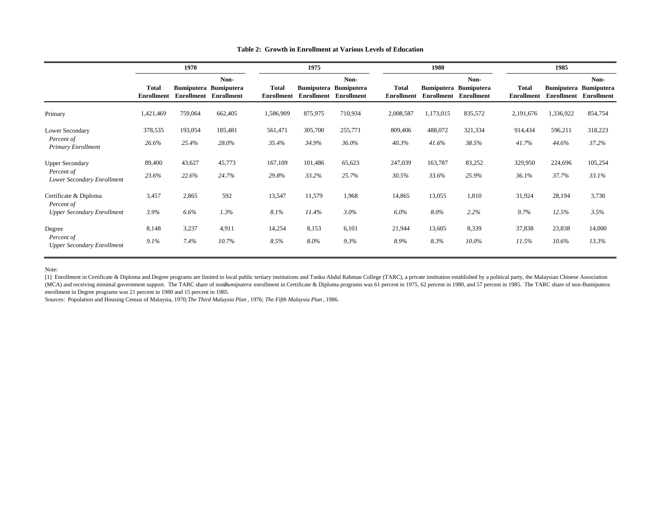|                                                 |                            | 1970    |                                                                      |                                   | 1975              |                                                    |                                   | 1980      |                                                                      | 1985                              |            |                                                    |
|-------------------------------------------------|----------------------------|---------|----------------------------------------------------------------------|-----------------------------------|-------------------|----------------------------------------------------|-----------------------------------|-----------|----------------------------------------------------------------------|-----------------------------------|------------|----------------------------------------------------|
|                                                 | Total<br><b>Enrollment</b> |         | Non-<br><b>Bumiputera Bumiputera</b><br><b>Enrollment</b> Enrollment | <b>Total</b><br><b>Enrollment</b> | <b>Enrollment</b> | Non-<br><b>Bumiputera Bumiputera</b><br>Enrollment | <b>Total</b><br><b>Enrollment</b> |           | Non-<br><b>Bumiputera</b> Bumiputera<br><b>Enrollment</b> Enrollment | <b>Total</b><br><b>Enrollment</b> | Enrollment | Non-<br><b>Bumiputera Bumiputera</b><br>Enrollment |
| Primary                                         | 1,421,469                  | 759,064 | 662,405                                                              | 1,586,909                         | 875,975           | 710,934                                            | 2,008,587                         | 1,173,015 | 835,572                                                              | 2,191,676                         | 1,336,922  | 854,754                                            |
| Lower Secondary                                 | 378,535                    | 193,054 | 185,481                                                              | 561,471                           | 305,700           | 255,771                                            | 809,406                           | 488,072   | 321,334                                                              | 914,434                           | 596,211    | 318,223                                            |
| Percent of<br><b>Primary Enrollment</b>         | 26.6%                      | 25.4%   | 28.0%                                                                | 35.4%                             | 34.9%             | 36.0%                                              | 40.3%                             | 41.6%     | 38.5%                                                                | 41.7%                             | 44.6%      | 37.2%                                              |
| <b>Upper Secondary</b>                          | 89,400                     | 43,627  | 45,773                                                               | 167,109                           | 101,486           | 65,623                                             | 247,039                           | 163,787   | 83,252                                                               | 329,950                           | 224,696    | 105,254                                            |
| Percent of<br>Lower Secondary Enrollment        | 23.6%                      | 22.6%   | 24.7%                                                                | 29.8%                             | 33.2%             | 25.7%                                              | 30.5%                             | 33.6%     | 25.9%                                                                | 36.1%                             | 37.7%      | 33.1%                                              |
| Certificate & Diploma<br>Percent of             | 3,457                      | 2,865   | 592                                                                  | 13,547                            | 11,579            | 1,968                                              | 14,865                            | 13,055    | 1,810                                                                | 31,924                            | 28,194     | 3,730                                              |
| <b>Upper Secondary Enrollment</b>               | 3.9%                       | 6.6%    | 1.3%                                                                 | 8.1%                              | 11.4%             | 3.0%                                               | $6.0\%$                           | 8.0%      | 2.2%                                                                 | 9.7%                              | 12.5%      | 3.5%                                               |
| Degree                                          | 8,148                      | 3,237   | 4,911                                                                | 14,254                            | 8,153             | 6,101                                              | 21,944                            | 13,605    | 8,339                                                                | 37,838                            | 23,838     | 14,000                                             |
| Percent of<br><b>Upper Secondary Enrollment</b> | 9.1%                       | 7.4%    | 10.7%                                                                | 8.5%                              | 8.0%              | 9.3%                                               | 8.9%                              | 8.3%      | 10.0%                                                                | 11.5%                             | 10.6%      | 13.3%                                              |

#### **Table 2: Growth in Enrollment at Various Levels of Education**

Note:

[1] Enrollment in Certificate & Diploma and Degree programs are limited to local public tertiary institutions and Tunku Abdul Rahman College (TARC), a private institution established by a political party, the Malaysian Chi (MCA) and receiving minimal government support. The TARC share of nonBumiputera enrollment in Certificate & Diploma programs was 61 percent in 1975, 62 percent in 1980, and 57 percent in 1985. The TARC share of non-Bumiput enrollment in Degree programs was 21 percent in 1980 and 15 percent in 1985.

Sources: Population and Housing Census of Malaysia, 1970; *The Third Malaysia Plan* , 1976; *The Fifth Malaysia Plan* , 1986.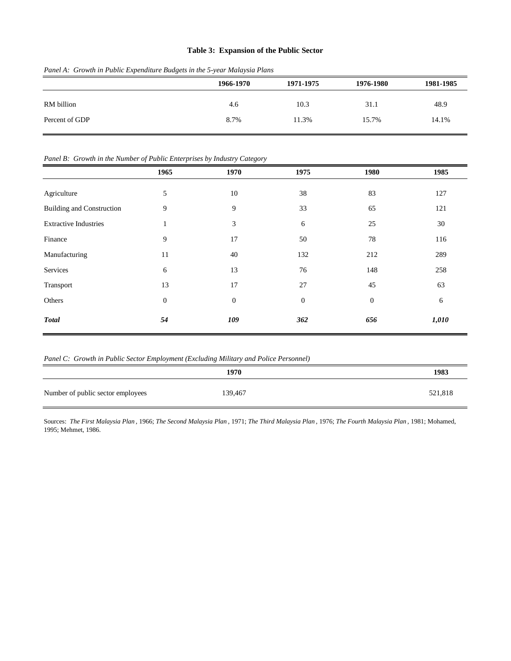#### **Table 3: Expansion of the Public Sector**

|                | 1966-1970 | 1971-1975 | 1976-1980 | 1981-1985 |
|----------------|-----------|-----------|-----------|-----------|
| RM billion     | 4.6       | 10.3      | 31.1      | 48.9      |
| Percent of GDP | 8.7%      | 11.3%     | 15.7%     | 14.1%     |

*Panel A: Growth in Public Expenditure Budgets in the 5-year Malaysia Plans*

#### *Panel B: Growth in the Number of Public Enterprises by Industry Category*

|                                  | 1965         | 1970             | 1975             | 1980         | 1985  |
|----------------------------------|--------------|------------------|------------------|--------------|-------|
| Agriculture                      | 5            | 10               | 38               | 83           | 127   |
| <b>Building and Construction</b> | 9            | 9                | 33               | 65           | 121   |
| <b>Extractive Industries</b>     | 1            | 3                | 6                | 25           | 30    |
| Finance                          | 9            | 17               | 50               | 78           | 116   |
| Manufacturing                    | 11           | 40               | 132              | 212          | 289   |
| Services                         | 6            | 13               | 76               | 148          | 258   |
| Transport                        | 13           | 17               | 27               | 45           | 63    |
| Others                           | $\mathbf{0}$ | $\boldsymbol{0}$ | $\boldsymbol{0}$ | $\mathbf{0}$ | 6     |
| <b>Total</b>                     | 54           | 109              | 362              | 656          | 1,010 |

*Panel C: Growth in Public Sector Employment (Excluding Military and Police Personnel)*

|                                   | 1970    | 1983    |
|-----------------------------------|---------|---------|
| Number of public sector employees | 139,467 | 521,818 |

Sources: The First Malaysia Plan, 1966; The Second Malaysia Plan, 1971; The Third Malaysia Plan, 1976; The Fourth Malaysia Plan, 1981; Mohamed, 1995; Mehmet, 1986.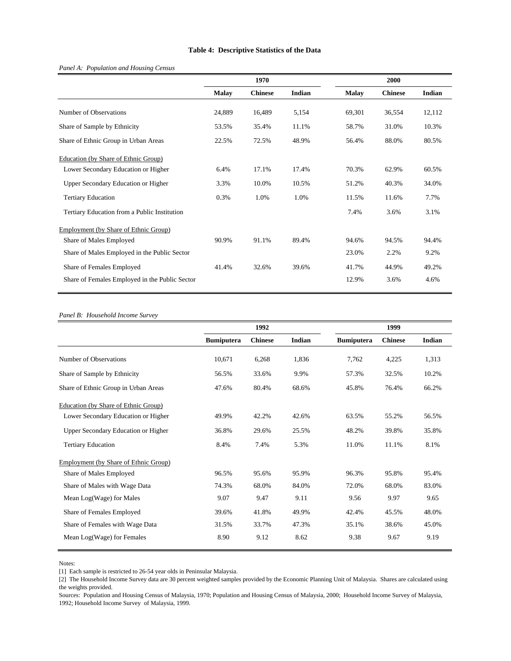#### **Table 4: Descriptive Statistics of the Data**

#### *Panel A: Population and Housing Census*

|                                                |              | 1970           |        |              | 2000           |        |
|------------------------------------------------|--------------|----------------|--------|--------------|----------------|--------|
|                                                | <b>Malay</b> | <b>Chinese</b> | Indian | <b>Malay</b> | <b>Chinese</b> | Indian |
| Number of Observations                         | 24,889       | 16,489         | 5,154  | 69,301       | 36,554         | 12,112 |
| Share of Sample by Ethnicity                   | 53.5%        | 35.4%          | 11.1%  | 58.7%        | 31.0%          | 10.3%  |
| Share of Ethnic Group in Urban Areas           | 22.5%        | 72.5%          | 48.9%  | 56.4%        | 88.0%          | 80.5%  |
| Education (by Share of Ethnic Group)           |              |                |        |              |                |        |
| Lower Secondary Education or Higher            | 6.4%         | 17.1%          | 17.4%  | 70.3%        | 62.9%          | 60.5%  |
| Upper Secondary Education or Higher            | 3.3%         | 10.0%          | 10.5%  | 51.2%        | 40.3%          | 34.0%  |
| <b>Tertiary Education</b>                      | 0.3%         | 1.0%           | 1.0%   | 11.5%        | 11.6%          | 7.7%   |
| Tertiary Education from a Public Institution   |              |                |        | 7.4%         | 3.6%           | 3.1%   |
| Employment (by Share of Ethnic Group)          |              |                |        |              |                |        |
| Share of Males Employed                        | 90.9%        | 91.1%          | 89.4%  | 94.6%        | 94.5%          | 94.4%  |
| Share of Males Employed in the Public Sector   |              |                |        | 23.0%        | 2.2%           | 9.2%   |
| Share of Females Employed                      | 41.4%        | 32.6%          | 39.6%  | 41.7%        | 44.9%          | 49.2%  |
| Share of Females Employed in the Public Sector |              |                |        | 12.9%        | 3.6%           | 4.6%   |
|                                                |              |                |        |              |                |        |

#### *Panel B: Household Income Survey*

|                                       |                   | 1992           |        |                   | 1999           |        |
|---------------------------------------|-------------------|----------------|--------|-------------------|----------------|--------|
|                                       | <b>Bumiputera</b> | <b>Chinese</b> | Indian | <b>Bumiputera</b> | <b>Chinese</b> | Indian |
| Number of Observations                | 10,671            | 6,268          | 1,836  | 7,762             | 4,225          | 1,313  |
| Share of Sample by Ethnicity          | 56.5%             | 33.6%          | 9.9%   | 57.3%             | 32.5%          | 10.2%  |
| Share of Ethnic Group in Urban Areas  | 47.6%             | 80.4%          | 68.6%  | 45.8%             | 76.4%          | 66.2%  |
| Education (by Share of Ethnic Group)  |                   |                |        |                   |                |        |
| Lower Secondary Education or Higher   | 49.9%             | 42.2%          | 42.6%  | 63.5%             | 55.2%          | 56.5%  |
| Upper Secondary Education or Higher   | 36.8%             | 29.6%          | 25.5%  | 48.2%             | 39.8%          | 35.8%  |
| <b>Tertiary Education</b>             | 8.4%              | 7.4%           | 5.3%   | 11.0%             | 11.1%          | 8.1%   |
| Employment (by Share of Ethnic Group) |                   |                |        |                   |                |        |
| Share of Males Employed               | 96.5%             | 95.6%          | 95.9%  | 96.3%             | 95.8%          | 95.4%  |
| Share of Males with Wage Data         | 74.3%             | 68.0%          | 84.0%  | 72.0%             | 68.0%          | 83.0%  |
| Mean Log(Wage) for Males              | 9.07              | 9.47           | 9.11   | 9.56              | 9.97           | 9.65   |
| Share of Females Employed             | 39.6%             | 41.8%          | 49.9%  | 42.4%             | 45.5%          | 48.0%  |
| Share of Females with Wage Data       | 31.5%             | 33.7%          | 47.3%  | 35.1%             | 38.6%          | 45.0%  |
| Mean Log(Wage) for Females            | 8.90              | 9.12           | 8.62   | 9.38              | 9.67           | 9.19   |

Notes:

<sup>[1]</sup> Each sample is restricted to 26-54 year olds in Peninsular Malaysia.

<sup>[2]</sup> The Household Income Survey data are 30 percent weighted samples provided by the Economic Planning Unit of Malaysia. Shares are calculated using the weights provided.

Sources: Population and Housing Census of Malaysia, 1970; Population and Housing Census of Malaysia, 2000; Household Income Survey of Malaysia, 1992; Household Income Survey of Malaysia, 1999.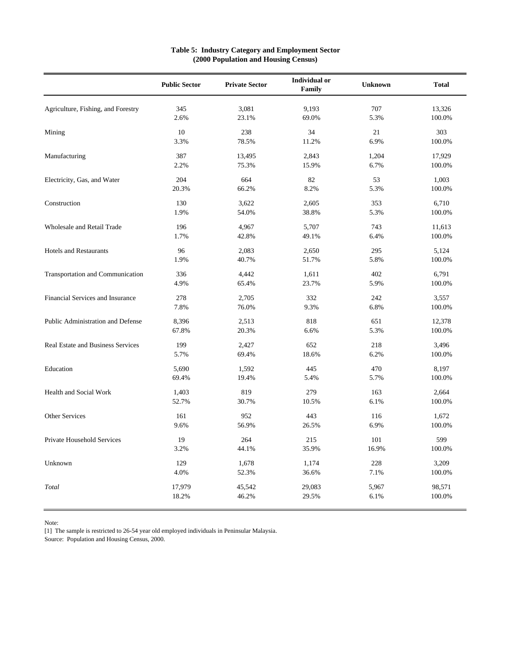|                                    | <b>Public Sector</b> | <b>Private Sector</b> | <b>Individual or</b><br>Family | <b>Unknown</b> | <b>Total</b> |
|------------------------------------|----------------------|-----------------------|--------------------------------|----------------|--------------|
| Agriculture, Fishing, and Forestry | 345                  | 3,081                 | 9,193                          | 707            | 13,326       |
|                                    | 2.6%                 | 23.1%                 | 69.0%                          | 5.3%           | 100.0%       |
| Mining                             | 10                   | 238                   | 34                             | 21             | 303          |
|                                    | 3.3%                 | 78.5%                 | 11.2%                          | 6.9%           | 100.0%       |
| Manufacturing                      | 387                  | 13,495                | 2,843                          | 1,204          | 17,929       |
|                                    | 2.2%                 | 75.3%                 | 15.9%                          | 6.7%           | 100.0%       |
| Electricity, Gas, and Water        | 204                  | 664                   | 82                             | 53             | 1,003        |
|                                    | 20.3%                | 66.2%                 | 8.2%                           | 5.3%           | 100.0%       |
| Construction                       | 130                  | 3,622                 | 2,605                          | 353            | 6,710        |
|                                    | 1.9%                 | 54.0%                 | 38.8%                          | 5.3%           | 100.0%       |
| <b>Wholesale and Retail Trade</b>  | 196                  | 4,967                 | 5,707                          | 743            | 11,613       |
|                                    | 1.7%                 | 42.8%                 | 49.1%                          | 6.4%           | 100.0%       |
| <b>Hotels and Restaurants</b>      | 96                   | 2,083                 | 2,650                          | 295            | 5,124        |
|                                    | 1.9%                 | 40.7%                 | 51.7%                          | 5.8%           | 100.0%       |
| Transportation and Communication   | 336                  | 4,442                 | 1,611                          | 402            | 6,791        |
|                                    | 4.9%                 | 65.4%                 | 23.7%                          | 5.9%           | 100.0%       |
| Financial Services and Insurance   | 278                  | 2,705                 | 332                            | 242            | 3,557        |
|                                    | 7.8%                 | 76.0%                 | 9.3%                           | 6.8%           | 100.0%       |
| Public Administration and Defense  | 8,396                | 2,513                 | 818                            | 651            | 12,378       |
|                                    | 67.8%                | 20.3%                 | 6.6%                           | 5.3%           | 100.0%       |
| Real Estate and Business Services  | 199                  | 2,427                 | 652                            | 218            | 3,496        |
|                                    | 5.7%                 | 69.4%                 | 18.6%                          | 6.2%           | 100.0%       |
| Education                          | 5,690                | 1,592                 | 445                            | 470            | 8,197        |
|                                    | 69.4%                | 19.4%                 | 5.4%                           | 5.7%           | 100.0%       |
| Health and Social Work             | 1,403                | 819                   | 279                            | 163            | 2,664        |
|                                    | 52.7%                | 30.7%                 | 10.5%                          | 6.1%           | 100.0%       |
| Other Services                     | 161                  | 952                   | 443                            | 116            | 1,672        |
|                                    | 9.6%                 | 56.9%                 | 26.5%                          | 6.9%           | 100.0%       |
| Private Household Services         | 19                   | 264                   | 215                            | 101            | 599          |
|                                    | 3.2%                 | 44.1%                 | 35.9%                          | 16.9%          | 100.0%       |
| Unknown                            | 129                  | 1,678                 | 1,174                          | 228            | 3,209        |
|                                    | 4.0%                 | 52.3%                 | 36.6%                          | 7.1%           | 100.0%       |
| Total                              | 17,979               | 45,542                | 29,083                         | 5,967          | 98,571       |
|                                    | 18.2%                | 46.2%                 | 29.5%                          | 6.1%           | 100.0%       |

#### **Table 5: Industry Category and Employment Sector (2000 Population and Housing Census)**

Note:

[1] The sample is restricted to 26-54 year old employed individuals in Peninsular Malaysia.

Source: Population and Housing Census, 2000.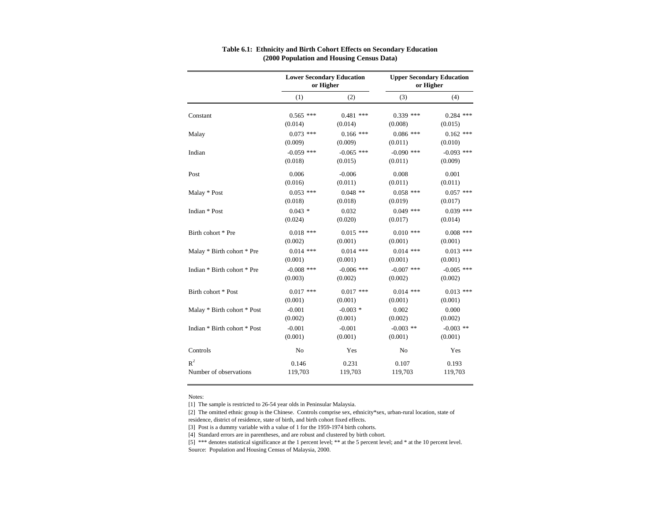|                              | <b>Lower Secondary Education</b><br>or Higher |              | <b>Upper Secondary Education</b><br>or Higher |              |
|------------------------------|-----------------------------------------------|--------------|-----------------------------------------------|--------------|
|                              | (1)                                           | (2)          | (3)                                           | (4)          |
| Constant                     | $0.565$ ***                                   | $0.481$ ***  | $0.339$ ***                                   | $0.284$ ***  |
|                              | (0.014)                                       | (0.014)      | (0.008)                                       | (0.015)      |
| Malay                        | $0.073$ ***                                   | $0.166$ ***  | $0.086$ ***                                   | $0.162$ ***  |
|                              | (0.009)                                       | (0.009)      | (0.011)                                       | (0.010)      |
| Indian                       | $-0.059$ ***                                  | $-0.065$ *** | $-0.090$ ***                                  | $-0.093$ *** |
|                              | (0.018)                                       | (0.015)      | (0.011)                                       | (0.009)      |
| Post                         | 0.006                                         | $-0.006$     | 0.008                                         | 0.001        |
|                              | (0.016)                                       | (0.011)      | (0.011)                                       | (0.011)      |
| Malay * Post                 | $0.053$ ***                                   | $0.048$ **   | $0.058$ ***                                   | $0.057$ ***  |
|                              | (0.018)                                       | (0.018)      | (0.019)                                       | (0.017)      |
| Indian * Post                | $0.043*$                                      | 0.032        | $0.049$ ***                                   | $0.039$ ***  |
|                              | (0.024)                                       | (0.020)      | (0.017)                                       | (0.014)      |
| Birth cohort * Pre           | $0.018$ ***                                   | $0.015$ ***  | $0.010$ ***                                   | $0.008$ ***  |
|                              | (0.002)                                       | (0.001)      | (0.001)                                       | (0.001)      |
| Malay * Birth cohort * Pre   | $0.014$ ***                                   | $0.014$ ***  | $0.014$ ***                                   | $0.013$ ***  |
|                              | (0.001)                                       | (0.001)      | (0.001)                                       | (0.001)      |
| Indian * Birth cohort * Pre  | $-0.008$ ***                                  | $-0.006$ *** | $-0.007$ ***                                  | $-0.005$ *** |
|                              | (0.003)                                       | (0.002)      | (0.002)                                       | (0.002)      |
| Birth cohort * Post          | $0.017$ ***                                   | $0.017$ ***  | $0.014$ ***                                   | $0.013$ ***  |
|                              | (0.001)                                       | (0.001)      | (0.001)                                       | (0.001)      |
| Malay * Birth cohort * Post  | $-0.001$                                      | $-0.003$ *   | 0.002                                         | 0.000        |
|                              | (0.002)                                       | (0.001)      | (0.002)                                       | (0.002)      |
| Indian * Birth cohort * Post | $-0.001$                                      | $-0.001$     | $-0.003$ **                                   | $-0.003$ **  |
|                              | (0.001)                                       | (0.001)      | (0.001)                                       | (0.001)      |
| Controls                     | No                                            | Yes          | No                                            | Yes          |
| $R^2$                        | 0.146                                         | 0.231        | 0.107                                         | 0.193        |
| Number of observations       | 119,703                                       | 119,703      | 119,703                                       | 119,703      |

#### **Table 6.1: Ethnicity and Birth Cohort Effects on Secondary Education (2000 Population and Housing Census Data)**

Notes:

[1] The sample is restricted to 26-54 year olds in Peninsular Malaysia.

[2] The omitted ethnic group is the Chinese. Controls comprise sex, ethnicity\*sex, urban-rural location, state of residence, district of residence, state of birth, and birth cohort fixed effects.

[3] Post is a dummy variable with a value of 1 for the 1959-1974 birth cohorts.

[4] Standard errors are in parentheses, and are robust and clustered by birth cohort.

[5] \*\*\* denotes statistical significance at the 1 percent level; \*\* at the 5 percent level; and \* at the 10 percent level. Source: Population and Housing Census of Malaysia, 2000.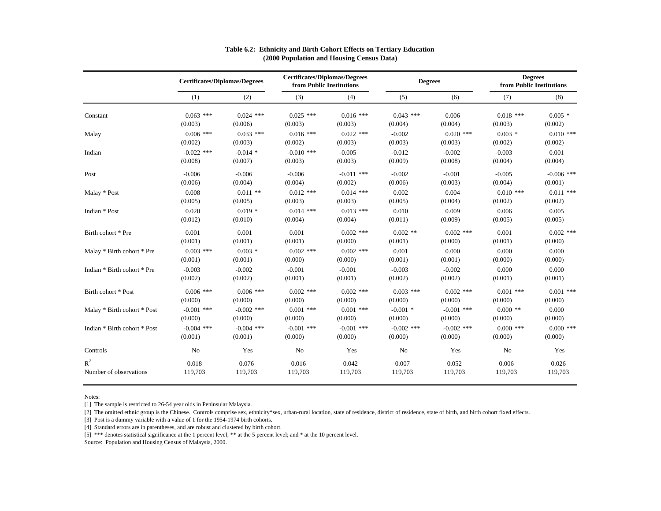|                              | <b>Certificates/Diplomas/Degrees</b> |              | <b>Certificates/Diplomas/Degrees</b><br>from Public Institutions |              | <b>Degrees</b> |              | <b>Degrees</b><br>from Public Institutions |              |
|------------------------------|--------------------------------------|--------------|------------------------------------------------------------------|--------------|----------------|--------------|--------------------------------------------|--------------|
|                              | (1)                                  | (2)          | (3)                                                              | (4)          | (5)            | (6)          | (7)                                        | (8)          |
| Constant                     | $0.063$ ***                          | $0.024$ ***  | $0.025$ ***                                                      | $0.016$ ***  | $0.043$ ***    | 0.006        | $0.018$ ***                                | $0.005*$     |
|                              | (0.003)                              | (0.006)      | (0.003)                                                          | (0.003)      | (0.004)        | (0.004)      | (0.003)                                    | (0.002)      |
| Malay                        | $0.006$ ***                          | $0.033$ ***  | $0.016$ ***                                                      | $0.022$ ***  | $-0.002$       | $0.020$ ***  | $0.003$ *                                  | $0.010$ ***  |
|                              | (0.002)                              | (0.003)      | (0.002)                                                          | (0.003)      | (0.003)        | (0.003)      | (0.002)                                    | (0.002)      |
| Indian                       | $-0.022$ ***                         | $-0.014$ *   | $-0.010$ ***                                                     | $-0.005$     | $-0.012$       | $-0.002$     | $-0.003$                                   | 0.001        |
|                              | (0.008)                              | (0.007)      | (0.003)                                                          | (0.003)      | (0.009)        | (0.008)      | (0.004)                                    | (0.004)      |
| Post                         | $-0.006$                             | $-0.006$     | $-0.006$                                                         | $-0.011$ *** | $-0.002$       | $-0.001$     | $-0.005$                                   | $-0.006$ *** |
|                              | (0.006)                              | (0.004)      | (0.004)                                                          | (0.002)      | (0.006)        | (0.003)      | (0.004)                                    | (0.001)      |
| Malay * Post                 | 0.008                                | $0.011$ **   | $0.012$ ***                                                      | $0.014$ ***  | 0.002          | 0.004        | $0.010$ ***                                | $0.011$ ***  |
|                              | (0.005)                              | (0.005)      | (0.003)                                                          | (0.003)      | (0.005)        | (0.004)      | (0.002)                                    | (0.002)      |
| Indian * Post                | 0.020                                | $0.019*$     | $0.014$ ***                                                      | $0.013$ ***  | 0.010          | 0.009        | 0.006                                      | 0.005        |
|                              | (0.012)                              | (0.010)      | (0.004)                                                          | (0.004)      | (0.011)        | (0.009)      | (0.005)                                    | (0.005)      |
| Birth cohort * Pre           | 0.001                                | 0.001        | 0.001                                                            | $0.002$ ***  | $0.002$ **     | $0.002$ ***  | 0.001                                      | $0.002$ ***  |
|                              | (0.001)                              | (0.001)      | (0.001)                                                          | (0.000)      | (0.001)        | (0.000)      | (0.001)                                    | (0.000)      |
| Malay * Birth cohort * Pre   | $0.003$ ***                          | $0.003$ *    | $0.002$ ***                                                      | $0.002$ ***  | 0.001          | 0.000        | 0.000                                      | 0.000        |
|                              | (0.001)                              | (0.001)      | (0.000)                                                          | (0.000)      | (0.001)        | (0.001)      | (0.000)                                    | (0.000)      |
| Indian * Birth cohort * Pre  | $-0.003$                             | $-0.002$     | $-0.001$                                                         | $-0.001$     | $-0.003$       | $-0.002$     | 0.000                                      | 0.000        |
|                              | (0.002)                              | (0.002)      | (0.001)                                                          | (0.001)      | (0.002)        | (0.002)      | (0.001)                                    | (0.001)      |
| Birth cohort * Post          | $0.006$ ***                          | $0.006$ ***  | $0.002$ ***                                                      | $0.002$ ***  | $0.003$ ***    | $0.002$ ***  | $0.001$ ***                                | $0.001$ ***  |
|                              | (0.000)                              | (0.000)      | (0.000)                                                          | (0.000)      | (0.000)        | (0.000)      | (0.000)                                    | (0.000)      |
| Malay * Birth cohort * Post  | $-0.001$ ***                         | $-0.002$ *** | $0.001$ ***                                                      | $0.001$ ***  | $-0.001$ *     | $-0.001$ *** | $0.000$ **                                 | 0.000        |
|                              | (0.000)                              | (0.000)      | (0.000)                                                          | (0.000)      | (0.000)        | (0.000)      | (0.000)                                    | (0.000)      |
| Indian * Birth cohort * Post | $-0.004$ ***                         | $-0.004$ *** | $-0.001$ ***                                                     | $-0.001$ *** | $-0.002$ ***   | $-0.002$ *** | $0.000$ ***                                | $0.000$ ***  |
|                              | (0.001)                              | (0.001)      | (0.000)                                                          | (0.000)      | (0.000)        | (0.000)      | (0.000)                                    | (0.000)      |
| Controls                     | No                                   | Yes          | No                                                               | Yes          | No             | Yes          | No                                         | Yes          |
| $R^2$                        | 0.018                                | 0.076        | 0.016                                                            | 0.042        | 0.007          | 0.052        | 0.006                                      | 0.026        |
| Number of observations       | 119,703                              | 119,703      | 119,703                                                          | 119,703      | 119,703        | 119,703      | 119,703                                    | 119,703      |

#### **Table 6.2: Ethnicity and Birth Cohort Effects on Tertiary Education (2000 Population and Housing Census Data)**

Notes:

[1] The sample is restricted to 26-54 year olds in Peninsular Malaysia.

[2] The omitted ethnic group is the Chinese. Controls comprise sex, ethnicity\*sex, urban-rural location, state of residence, district of residence, state of birth, and birth cohort fixed effects.

[3] Post is a dummy variable with a value of 1 for the 1954-1974 birth cohorts.

[4] Standard errors are in parentheses, and are robust and clustered by birth cohort.

[5] \*\*\* denotes statistical significance at the 1 percent level; \*\* at the 5 percent level; and \* at the 10 percent level.

Source: Population and Housing Census of Malaysia, 2000.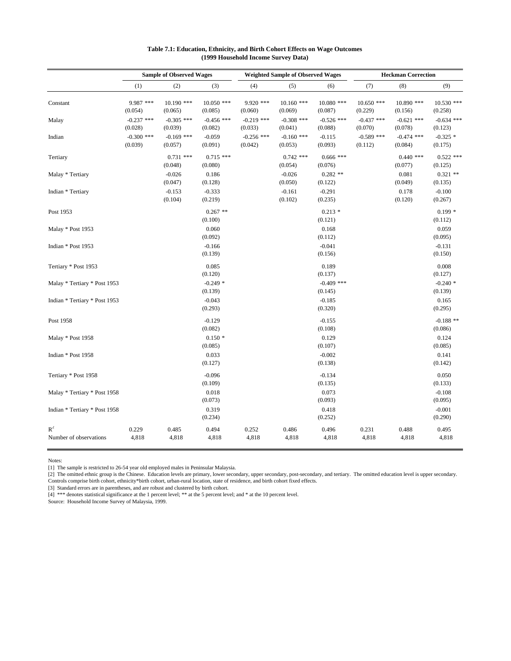|                                 |                         | <b>Sample of Observed Wages</b> |                         |                         | <b>Weighted Sample of Observed Wages</b> |                         | <b>Heckman Correction</b> |                         |                         |
|---------------------------------|-------------------------|---------------------------------|-------------------------|-------------------------|------------------------------------------|-------------------------|---------------------------|-------------------------|-------------------------|
|                                 | (1)                     | (2)                             | (3)                     | (4)                     | (5)                                      | (6)                     | (7)                       | (8)                     | (9)                     |
| Constant                        | 9.987 ***<br>(0.054)    | $10.190$ ***<br>(0.065)         | $10.050$ ***<br>(0.085) | $9.920$ ***<br>(0.060)  | $10.160$ ***<br>(0.069)                  | $10.080$ ***<br>(0.087) | $10.650$ ***<br>(0.229)   | $10.890$ ***<br>(0.156) | $10.530$ ***<br>(0.258) |
| Malay                           | $-0.237$ ***<br>(0.028) | $-0.305$ ***<br>(0.039)         | $-0.456$ ***<br>(0.082) | $-0.219$ ***<br>(0.033) | $-0.308$ ***<br>(0.041)                  | $-0.526$ ***<br>(0.088) | $-0.437$ ***<br>(0.070)   | $-0.621$ ***<br>(0.078) | $-0.634$ ***<br>(0.123) |
| Indian                          | $-0.300$ ***<br>(0.039) | $-0.169$ ***<br>(0.057)         | $-0.059$<br>(0.091)     | $-0.256$ ***<br>(0.042) | $-0.160$ ***<br>(0.053)                  | $-0.115$<br>(0.093)     | $-0.589$ ***<br>(0.112)   | $-0.474$ ***<br>(0.084) | $-0.325$ *<br>(0.175)   |
| Tertiary                        |                         | $0.731$ ***<br>(0.048)          | $0.715$ ***<br>(0.080)  |                         | $0.742$ ***<br>(0.054)                   | $0.666$ ***<br>(0.076)  |                           | $0.440$ ***<br>(0.077)  | $0.522$ ***<br>(0.125)  |
| Malay * Tertiary                |                         | $-0.026$<br>(0.047)             | 0.186<br>(0.128)        |                         | $-0.026$<br>(0.050)                      | $0.282**$<br>(0.122)    |                           | 0.081<br>(0.049)        | $0.321$ **<br>(0.135)   |
| Indian * Tertiary               |                         | $-0.153$<br>(0.104)             | $-0.333$<br>(0.219)     |                         | $-0.161$<br>(0.102)                      | $-0.291$<br>(0.235)     |                           | 0.178<br>(0.120)        | $-0.100$<br>(0.267)     |
| Post 1953                       |                         |                                 | $0.267$ **<br>(0.100)   |                         |                                          | $0.213*$<br>(0.121)     |                           |                         | $0.199*$<br>(0.112)     |
| Malay * Post 1953               |                         |                                 | 0.060<br>(0.092)        |                         |                                          | 0.168<br>(0.112)        |                           |                         | 0.059<br>(0.095)        |
| Indian * Post 1953              |                         |                                 | $-0.166$<br>(0.139)     |                         |                                          | $-0.041$<br>(0.156)     |                           |                         | $-0.131$<br>(0.150)     |
| Tertiary * Post 1953            |                         |                                 | 0.085<br>(0.120)        |                         |                                          | 0.189<br>(0.137)        |                           |                         | 0.008<br>(0.127)        |
| Malay * Tertiary * Post 1953    |                         |                                 | $-0.249*$<br>(0.139)    |                         |                                          | $-0.409$ ***<br>(0.145) |                           |                         | $-0.240*$<br>(0.139)    |
| Indian * Tertiary * Post 1953   |                         |                                 | $-0.043$<br>(0.293)     |                         |                                          | $-0.185$<br>(0.320)     |                           |                         | 0.165<br>(0.295)        |
| Post 1958                       |                         |                                 | $-0.129$<br>(0.082)     |                         |                                          | $-0.155$<br>(0.108)     |                           |                         | $-0.188$ **<br>(0.086)  |
| Malay * Post 1958               |                         |                                 | $0.150*$<br>(0.085)     |                         |                                          | 0.129<br>(0.107)        |                           |                         | 0.124<br>(0.085)        |
| Indian * Post 1958              |                         |                                 | 0.033<br>(0.127)        |                         |                                          | $-0.002$<br>(0.138)     |                           |                         | 0.141<br>(0.142)        |
| Tertiary * Post 1958            |                         |                                 | $-0.096$<br>(0.109)     |                         |                                          | $-0.134$<br>(0.135)     |                           |                         | 0.050<br>(0.133)        |
| Malay * Tertiary * Post 1958    |                         |                                 | 0.018<br>(0.073)        |                         |                                          | 0.073<br>(0.093)        |                           |                         | $-0.108$<br>(0.095)     |
| Indian * Tertiary * Post 1958   |                         |                                 | 0.319<br>(0.234)        |                         |                                          | 0.418<br>(0.252)        |                           |                         | $-0.001$<br>(0.290)     |
| $R^2$<br>Number of observations | 0.229<br>4,818          | 0.485<br>4,818                  | 0.494<br>4,818          | 0.252<br>4,818          | 0.486<br>4,818                           | 0.496<br>4,818          | 0.231<br>4,818            | 0.488<br>4,818          | 0.495<br>4,818          |

#### **Table 7.1: Education, Ethnicity, and Birth Cohort Effects on Wage Outcomes (1999 Household Income Survey Data)**

Notes:

[1] The sample is restricted to 26-54 year old employed males in Peninsular Malaysia.

[2] The omitted ethnic group is the Chinese. Education levels are primary, lower secondary, upper secondary, post-secondary, and tertiary. The omitted education level is upper secondary. Controls comprise birth cohort, ethnicity\*birth cohort, urban-rural location, state of residence, and birth cohort fixed effects.

[3] Standard errors are in parentheses, and are robust and clustered by birth cohort.

[4] \*\*\* denotes statistical significance at the 1 percent level; \*\* at the 5 percent level; and \* at the 10 percent level.

Source: Household Income Survey of Malaysia, 1999.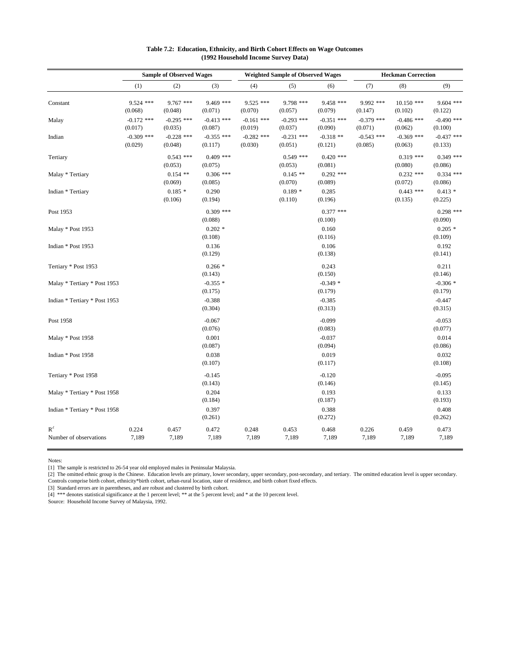|                                 |                         | <b>Sample of Observed Wages</b> |                         |                         | <b>Weighted Sample of Observed Wages</b> |                         | <b>Heckman Correction</b> |                         |                         |
|---------------------------------|-------------------------|---------------------------------|-------------------------|-------------------------|------------------------------------------|-------------------------|---------------------------|-------------------------|-------------------------|
|                                 | (1)                     | (2)                             | (3)                     | (4)                     | (5)                                      | (6)                     | (7)                       | (8)                     | (9)                     |
| Constant                        | $9.524$ ***<br>(0.068)  | 9.767 ***<br>(0.048)            | 9.469 ***<br>(0.071)    | $9.525$ ***<br>(0.070)  | 9.798 ***<br>(0.057)                     | 9.458 ***<br>(0.079)    | 9.992 ***<br>(0.147)      | $10.150$ ***<br>(0.102) | $9.604$ ***<br>(0.122)  |
| Malay                           | $-0.172$ ***<br>(0.017) | $-0.295$ ***<br>(0.035)         | $-0.413$ ***<br>(0.087) | $-0.161$ ***<br>(0.019) | $-0.293$ ***<br>(0.037)                  | $-0.351$ ***<br>(0.090) | $-0.379$ ***<br>(0.071)   | $-0.486$ ***<br>(0.062) | $-0.490$ ***<br>(0.100) |
| Indian                          | $-0.309$ ***<br>(0.029) | $-0.228$ ***<br>(0.048)         | $-0.355$ ***<br>(0.117) | $-0.282$ ***<br>(0.030) | $-0.231$ ***<br>(0.051)                  | $-0.318**$<br>(0.121)   | $-0.543$ ***<br>(0.085)   | $-0.369$ ***<br>(0.063) | $-0.437$ ***<br>(0.133) |
| Tertiary                        |                         | $0.543$ ***<br>(0.053)          | $0.409$ ***<br>(0.075)  |                         | $0.549$ ***<br>(0.053)                   | $0.420$ ***<br>(0.081)  |                           | $0.319$ ***<br>(0.080)  | $0.349$ ***<br>(0.086)  |
| Malay * Tertiary                |                         | $0.154$ **<br>(0.069)           | $0.306$ ***<br>(0.085)  |                         | $0.145$ **<br>(0.070)                    | $0.292$ ***<br>(0.089)  |                           | $0.232$ ***<br>(0.072)  | $0.334$ ***<br>(0.086)  |
| Indian * Tertiary               |                         | $0.185*$<br>(0.106)             | 0.290<br>(0.194)        |                         | $0.189*$<br>(0.110)                      | 0.285<br>(0.196)        |                           | $0.443$ ***<br>(0.135)  | $0.413*$<br>(0.225)     |
| Post 1953                       |                         |                                 | $0.309$ ***<br>(0.088)  |                         |                                          | $0.377$ ***<br>(0.100)  |                           |                         | $0.298$ ***<br>(0.090)  |
| Malay * Post 1953               |                         |                                 | $0.202*$<br>(0.108)     |                         |                                          | 0.160<br>(0.116)        |                           |                         | $0.205*$<br>(0.109)     |
| Indian * Post 1953              |                         |                                 | 0.136<br>(0.129)        |                         |                                          | 0.106<br>(0.138)        |                           |                         | 0.192<br>(0.141)        |
| Tertiary * Post 1953            |                         |                                 | $0.266*$<br>(0.143)     |                         |                                          | 0.243<br>(0.150)        |                           |                         | 0.211<br>(0.146)        |
| Malay * Tertiary * Post 1953    |                         |                                 | $-0.355*$<br>(0.175)    |                         |                                          | $-0.349*$<br>(0.179)    |                           |                         | $-0.306*$<br>(0.179)    |
| Indian * Tertiary * Post 1953   |                         |                                 | $-0.388$<br>(0.304)     |                         |                                          | $-0.385$<br>(0.313)     |                           |                         | $-0.447$<br>(0.315)     |
| Post 1958                       |                         |                                 | $-0.067$<br>(0.076)     |                         |                                          | $-0.099$<br>(0.083)     |                           |                         | $-0.053$<br>(0.077)     |
| Malay * Post 1958               |                         |                                 | 0.001<br>(0.087)        |                         |                                          | $-0.037$<br>(0.094)     |                           |                         | 0.014<br>(0.086)        |
| Indian * Post 1958              |                         |                                 | 0.038<br>(0.107)        |                         |                                          | 0.019<br>(0.117)        |                           |                         | 0.032<br>(0.108)        |
| Tertiary * Post 1958            |                         |                                 | $-0.145$<br>(0.143)     |                         |                                          | $-0.120$<br>(0.146)     |                           |                         | $-0.095$<br>(0.145)     |
| Malay * Tertiary * Post 1958    |                         |                                 | 0.204<br>(0.184)        |                         |                                          | 0.193<br>(0.187)        |                           |                         | 0.133<br>(0.193)        |
| Indian * Tertiary * Post 1958   |                         |                                 | 0.397<br>(0.261)        |                         |                                          | 0.388<br>(0.272)        |                           |                         | 0.408<br>(0.262)        |
| $R^2$<br>Number of observations | 0.224<br>7,189          | 0.457<br>7,189                  | 0.472<br>7,189          | 0.248<br>7,189          | 0.453<br>7,189                           | 0.468<br>7,189          | 0.226<br>7,189            | 0.459<br>7,189          | 0.473<br>7,189          |

#### **Table 7.2: Education, Ethnicity, and Birth Cohort Effects on Wage Outcomes (1992 Household Income Survey Data)**

Notes:

[1] The sample is restricted to 26-54 year old employed males in Peninsular Malaysia.

[2] The omitted ethnic group is the Chinese. Education levels are primary, lower secondary, upper secondary, post-secondary, and tertiary. The omitted education level is upper secondary. Controls comprise birth cohort, ethnicity\*birth cohort, urban-rural location, state of residence, and birth cohort fixed effects.

[3] Standard errors are in parentheses, and are robust and clustered by birth cohort.

[4] \*\*\* denotes statistical significance at the 1 percent level; \*\* at the 5 percent level; and \* at the 10 percent level.

Source: Household Income Survey of Malaysia, 1992.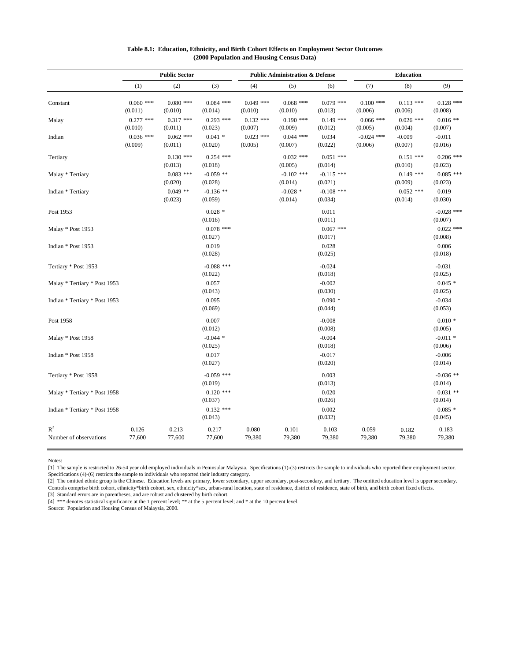|                                 | <b>Public Sector</b>   |                        |                         | <b>Public Administration &amp; Defense</b> |                         |                         | <b>Education</b>        |                        |                         |
|---------------------------------|------------------------|------------------------|-------------------------|--------------------------------------------|-------------------------|-------------------------|-------------------------|------------------------|-------------------------|
|                                 | (1)                    | (2)                    | (3)                     | (4)                                        | (5)                     | (6)                     | (7)                     | (8)                    | (9)                     |
| Constant                        | $0.060$ ***<br>(0.011) | $0.080$ ***<br>(0.010) | $0.084$ ***<br>(0.014)  | $0.049$ ***<br>(0.010)                     | $0.068$ ***<br>(0.010)  | $0.079$ ***<br>(0.013)  | $0.100$ ***<br>(0.006)  | $0.113$ ***<br>(0.006) | $0.128$ ***<br>(0.008)  |
| Malay                           | $0.277$ ***<br>(0.010) | $0.317$ ***<br>(0.011) | $0.293$ ***<br>(0.023)  | $0.132$ ***<br>(0.007)                     | $0.190$ ***<br>(0.009)  | $0.149$ ***<br>(0.012)  | $0.066$ ***<br>(0.005)  | $0.026$ ***<br>(0.004) | $0.016**$<br>(0.007)    |
| Indian                          | $0.036$ ***<br>(0.009) | $0.062$ ***<br>(0.011) | $0.041*$<br>(0.020)     | $0.023$ ***<br>(0.005)                     | $0.044$ ***<br>(0.007)  | 0.034<br>(0.022)        | $-0.024$ ***<br>(0.006) | $-0.009$<br>(0.007)    | $-0.011$<br>(0.016)     |
| Tertiary                        |                        | $0.130$ ***<br>(0.013) | $0.254$ ***<br>(0.018)  |                                            | $0.032$ ***<br>(0.005)  | $0.051$ ***<br>(0.014)  |                         | $0.151$ ***<br>(0.010) | $0.206$ ***<br>(0.023)  |
| Malay * Tertiary                |                        | $0.083$ ***<br>(0.020) | $-0.059$ **<br>(0.028)  |                                            | $-0.102$ ***<br>(0.014) | $-0.115$ ***<br>(0.021) |                         | $0.149$ ***<br>(0.009) | $0.085$ ***<br>(0.023)  |
| Indian * Tertiary               |                        | $0.049$ **<br>(0.023)  | $-0.136$ **<br>(0.059)  |                                            | $-0.028$ *<br>(0.014)   | $-0.108$ ***<br>(0.034) |                         | $0.052$ ***<br>(0.014) | 0.019<br>(0.030)        |
| Post 1953                       |                        |                        | $0.028*$<br>(0.016)     |                                            |                         | 0.011<br>(0.011)        |                         |                        | $-0.028$ ***<br>(0.007) |
| Malay * Post 1953               |                        |                        | $0.078$ ***<br>(0.027)  |                                            |                         | $0.067$ ***<br>(0.017)  |                         |                        | $0.022$ ***<br>(0.008)  |
| Indian * Post 1953              |                        |                        | 0.019<br>(0.028)        |                                            |                         | 0.028<br>(0.025)        |                         |                        | 0.006<br>(0.018)        |
| Tertiary * Post 1953            |                        |                        | $-0.088$ ***<br>(0.022) |                                            |                         | $-0.024$<br>(0.018)     |                         |                        | $-0.031$<br>(0.025)     |
| Malay * Tertiary * Post 1953    |                        |                        | 0.057<br>(0.043)        |                                            |                         | $-0.002$<br>(0.030)     |                         |                        | $0.045*$<br>(0.025)     |
| Indian * Tertiary * Post 1953   |                        |                        | 0.095<br>(0.069)        |                                            |                         | $0.090*$<br>(0.044)     |                         |                        | $-0.034$<br>(0.053)     |
| Post 1958                       |                        |                        | 0.007<br>(0.012)        |                                            |                         | $-0.008$<br>(0.008)     |                         |                        | $0.010*$<br>(0.005)     |
| Malay * Post 1958               |                        |                        | $-0.044$ *<br>(0.025)   |                                            |                         | $-0.004$<br>(0.018)     |                         |                        | $-0.011$ *<br>(0.006)   |
| Indian * Post 1958              |                        |                        | 0.017<br>(0.027)        |                                            |                         | $-0.017$<br>(0.020)     |                         |                        | $-0.006$<br>(0.014)     |
| Tertiary * Post 1958            |                        |                        | $-0.059$ ***<br>(0.019) |                                            |                         | 0.003<br>(0.013)        |                         |                        | $-0.036$ **<br>(0.014)  |
| Malay * Tertiary * Post 1958    |                        |                        | $0.120$ ***<br>(0.037)  |                                            |                         | 0.020<br>(0.026)        |                         |                        | $0.031$ **<br>(0.014)   |
| Indian * Tertiary * Post 1958   |                        |                        | $0.132$ ***<br>(0.043)  |                                            |                         | 0.002<br>(0.032)        |                         |                        | $0.085*$<br>(0.045)     |
| $R^2$<br>Number of observations | 0.126<br>77,600        | 0.213<br>77,600        | 0.217<br>77,600         | 0.080<br>79,380                            | 0.101<br>79,380         | 0.103<br>79,380         | 0.059<br>79,380         | 0.182<br>79,380        | 0.183<br>79,380         |

#### **Table 8.1: Education, Ethnicity, and Birth Cohort Effects on Employment Sector Outcomes (2000 Population and Housing Census Data)**

Notes:

[1] The sample is restricted to 26-54 year old employed individuals in Peninsular Malaysia. Specifications (1)-(3) restricts the sample to individuals who reported their employment sector. Specifications (4)-(6) restricts the sample to individuals who reported their industry category.

[2] The omitted ethnic group is the Chinese. Education levels are primary, lower secondary, upper secondary, post-secondary, and tertiary. The omitted education level is upper secondary. Controls comprise birth cohort, ethnicity\*birth cohort, sex, ethnicity\*sex, urban-rural location, state of residence, district of residence, state of birth, and birth cohort fixed effects.

[3] Standard errors are in parentheses, and are robust and clustered by birth cohort. [4] \*\*\* denotes statistical significance at the 1 percent level; \*\* at the 5 percent level; and \* at the 10 percent level.

Source: Population and Housing Census of Malaysia, 2000.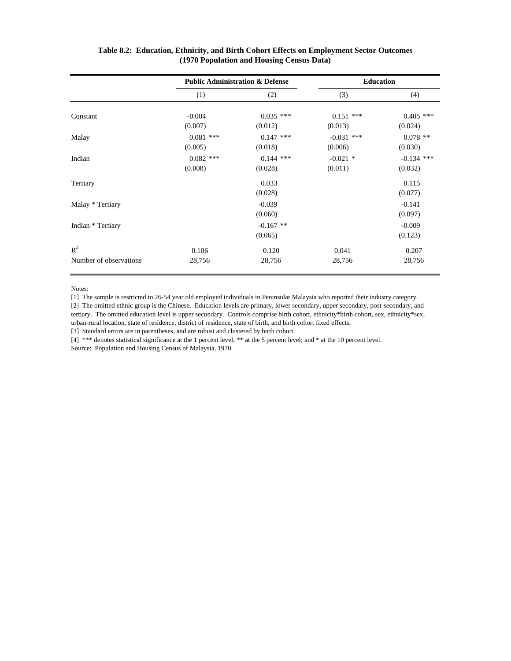|                                 | <b>Public Administration &amp; Defense</b> |                        | <b>Education</b>        |                         |  |
|---------------------------------|--------------------------------------------|------------------------|-------------------------|-------------------------|--|
|                                 | (1)                                        | (2)                    | (3)                     | (4)                     |  |
| Constant                        | $-0.004$<br>(0.007)                        | $0.035$ ***<br>(0.012) | $0.151$ ***<br>(0.013)  | $0.405$ ***<br>(0.024)  |  |
| Malay                           | $0.081$ ***<br>(0.005)                     | $0.147$ ***<br>(0.018) | $-0.031$ ***<br>(0.006) | $0.078$ **<br>(0.030)   |  |
| Indian                          | $0.082$ ***<br>(0.008)                     | $0.144$ ***<br>(0.028) | $-0.021$ *<br>(0.011)   | $-0.134$ ***<br>(0.032) |  |
| Tertiary                        |                                            | 0.033<br>(0.028)       |                         | 0.115<br>(0.077)        |  |
| Malay * Tertiary                |                                            | $-0.039$<br>(0.060)    |                         | $-0.141$<br>(0.097)     |  |
| Indian * Tertiary               |                                            | $-0.167$ **<br>(0.065) |                         | $-0.009$<br>(0.123)     |  |
| $R^2$<br>Number of observations | 0.106<br>28,756                            | 0.120<br>28,756        | 0.041<br>28,756         | 0.207<br>28,756         |  |

#### **Table 8.2: Education, Ethnicity, and Birth Cohort Effects on Employment Sector Outcomes (1970 Population and Housing Census Data)**

Notes:

[1] The sample is restricted to 26-54 year old employed individuals in Peninsular Malaysia who reported their industry category.

[2] The omitted ethnic group is the Chinese. Education levels are primary, lower secondary, upper secondary, post-secondary, and tertiary. The omitted education level is upper secondary. Controls comprise birth cohort, ethnicity\*birth cohort, sex, ethnicity\*sex, urban-rural location, state of residence, district of residence, state of birth, and birth cohort fixed effects.

[3] Standard errors are in parentheses, and are robust and clustered by birth cohort.

[4] \*\*\* denotes statistical significance at the 1 percent level; \*\* at the 5 percent level; and \* at the 10 percent level. Source: Population and Housing Census of Malaysia, 1970.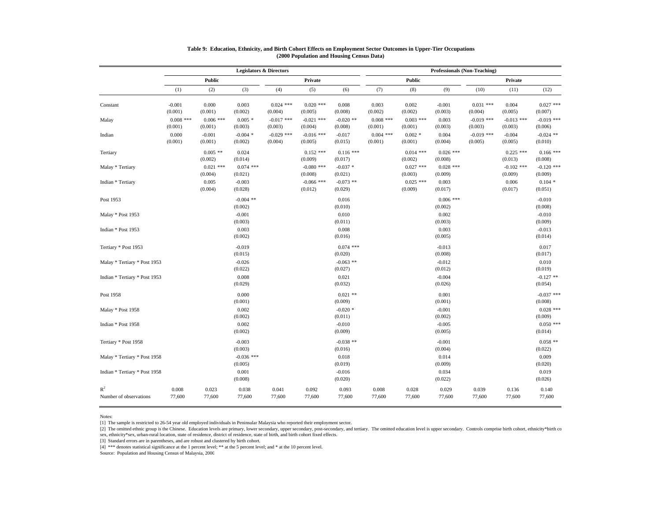|                                 | <b>Legislators &amp; Directors</b> |                        |                         |                         |                         |                        | <b>Professionals (Non-Teaching)</b> |                        |                        |                         |                         |                         |
|---------------------------------|------------------------------------|------------------------|-------------------------|-------------------------|-------------------------|------------------------|-------------------------------------|------------------------|------------------------|-------------------------|-------------------------|-------------------------|
|                                 |                                    | <b>Public</b>          |                         |                         | Private                 |                        |                                     | <b>Public</b>          |                        |                         | Private                 |                         |
|                                 | (1)                                | (2)                    | (3)                     | (4)                     | (5)                     | (6)                    | (7)                                 | (8)                    | (9)                    | (10)                    | (11)                    | (12)                    |
| Constant                        | $-0.001$<br>(0.001)                | 0.000<br>(0.001)       | 0.003<br>(0.002)        | $0.024$ ***<br>(0.004)  | $0.020$ ***<br>(0.005)  | 0.008<br>(0.008)       | 0.003<br>(0.002)                    | 0.002<br>(0.002)       | $-0.001$<br>(0.003)    | $0.031$ ***<br>(0.004)  | 0.004<br>(0.005)        | $0.027$ ***<br>(0.007)  |
| Malay                           | $0.008$ ***<br>(0.001)             | $0.006$ ***<br>(0.001) | $0.005*$<br>(0.003)     | $-0.017$ ***<br>(0.003) | $-0.021$ ***<br>(0.004) | $-0.020$ **<br>(0.008) | $0.008$ ***<br>(0.001)              | $0.003$ ***<br>(0.001) | 0.003<br>(0.003)       | $-0.019$ ***<br>(0.003) | $-0.013$ ***<br>(0.003) | $-0.019$ ***<br>(0.006) |
| Indian                          | 0.000<br>(0.001)                   | $-0.001$<br>(0.001)    | $-0.004$ *<br>(0.002)   | $-0.029$ ***<br>(0.004) | $-0.016$ ***<br>(0.005) | $-0.017$<br>(0.015)    | $0.004$ ***<br>(0.001)              | $0.002*$<br>(0.001)    | 0.004<br>(0.004)       | $-0.019$ ***<br>(0.005) | $-0.004$<br>(0.005)     | $-0.024$ **<br>(0.010)  |
| Tertiary                        |                                    | $0.005$ **<br>(0.002)  | 0.024<br>(0.014)        |                         | $0.152$ ***<br>(0.009)  | $0.116$ ***<br>(0.017) |                                     | $0.014$ ***<br>(0.002) | $0.026$ ***<br>(0.008) |                         | $0.225$ ***<br>(0.013)  | $0.166$ ***<br>(0.008)  |
| Malay * Tertiary                |                                    | $0.021$ ***<br>(0.004) | $0.074$ ***<br>(0.021)  |                         | $-0.080$ ***<br>(0.008) | $-0.037$ *<br>(0.021)  |                                     | $0.027$ ***<br>(0.003) | $0.028$ ***<br>(0.009) |                         | $-0.102$ ***<br>(0.009) | $-0.120$ ***<br>(0.009) |
| Indian * Tertiary               |                                    | 0.005<br>(0.004)       | $-0.003$<br>(0.028)     |                         | $-0.066$ ***<br>(0.012) | $-0.073$ **<br>(0.029) |                                     | $0.025$ ***<br>(0.009) | 0.003<br>(0.017)       |                         | 0.006<br>(0.017)        | $0.104*$<br>(0.051)     |
| Post 1953                       |                                    |                        | $-0.004$ **<br>(0.002)  |                         |                         | 0.016<br>(0.010)       |                                     |                        | $0.006$ ***<br>(0.002) |                         |                         | $-0.010$<br>(0.008)     |
| Malay * Post 1953               |                                    |                        | $-0.001$<br>(0.003)     |                         |                         | 0.010<br>(0.011)       |                                     |                        | 0.002<br>(0.003)       |                         |                         | $-0.010$<br>(0.009)     |
| Indian * Post 1953              |                                    |                        | 0.003<br>(0.002)        |                         |                         | 0.008<br>(0.016)       |                                     |                        | 0.003<br>(0.005)       |                         |                         | $-0.013$<br>(0.014)     |
| Tertiary * Post 1953            |                                    |                        | $-0.019$<br>(0.015)     |                         |                         | $0.074$ ***<br>(0.020) |                                     |                        | $-0.013$<br>(0.008)    |                         |                         | 0.017<br>(0.017)        |
| Malay * Tertiary * Post 1953    |                                    |                        | $-0.026$<br>(0.022)     |                         |                         | $-0.063$ **<br>(0.027) |                                     |                        | $-0.012$<br>(0.012)    |                         |                         | 0.010<br>(0.019)        |
| Indian * Tertiary * Post 1953   |                                    |                        | 0.008<br>(0.029)        |                         |                         | 0.021<br>(0.032)       |                                     |                        | $-0.004$<br>(0.026)    |                         |                         | $-0.127$ **<br>(0.054)  |
| Post 1958                       |                                    |                        | 0.000<br>(0.001)        |                         |                         | $0.021$ **<br>(0.009)  |                                     |                        | 0.001<br>(0.001)       |                         |                         | $-0.037$ ***<br>(0.008) |
| Malay * Post 1958               |                                    |                        | 0.002<br>(0.002)        |                         |                         | $-0.020$ *<br>(0.011)  |                                     |                        | $-0.001$<br>(0.002)    |                         |                         | $0.028$ ***<br>(0.009)  |
| Indian * Post 1958              |                                    |                        | 0.002<br>(0.002)        |                         |                         | $-0.010$<br>(0.009)    |                                     |                        | $-0.005$<br>(0.005)    |                         |                         | $0.050$ ***<br>(0.014)  |
| Tertiary * Post 1958            |                                    |                        | $-0.003$<br>(0.003)     |                         |                         | $-0.038$ **<br>(0.016) |                                     |                        | $-0.001$<br>(0.004)    |                         |                         | $0.058$ **<br>(0.022)   |
| Malay * Tertiary * Post 1958    |                                    |                        | $-0.036$ ***<br>(0.005) |                         |                         | 0.018<br>(0.019)       |                                     |                        | 0.014<br>(0.009)       |                         |                         | 0.009<br>(0.020)        |
| Indian * Tertiary * Post 1958   |                                    |                        | 0.001<br>(0.008)        |                         |                         | $-0.016$<br>(0.020)    |                                     |                        | 0.034<br>(0.022)       |                         |                         | 0.019<br>(0.026)        |
| $R^2$<br>Number of observations | 0.008<br>77,600                    | 0.023<br>77,600        | 0.038<br>77,600         | 0.041<br>77,600         | 0.092<br>77,600         | 0.093<br>77,600        | 0.008<br>77,600                     | 0.028<br>77,600        | 0.029<br>77,600        | 0.039<br>77,600         | 0.136<br>77,600         | 0.140<br>77,600         |

#### **Table 9: Education, Ethnicity, and Birth Cohort Effects on Employment Sector Outcomes in Upper-Tier Occupations (2000 Population and Housing Census Data)**

Notes:

[1] The sample is restricted to 26-54 year old employed individuals in Peninsular Malaysia who reported their employment sector.

[2] The omitted ethnic group is the Chinese. Education levels are primary, lower secondary, upper secondary, post-secondary, and tertiary. The omitted education level is upper secondary. Controls comprise birth cohort, eth sex, ethnicity\*sex, urban-rural location, state of residence, district of residence, state of birth, and birth cohort fixed effects.

[3] Standard errors are in parentheses, and are robust and clustered by birth cohort.

[4] \*\*\* denotes statistical significance at the 1 percent level; \*\* at the 5 percent level; and \* at the 10 percent level.

Source: Population and Housing Census of Malaysia, 2000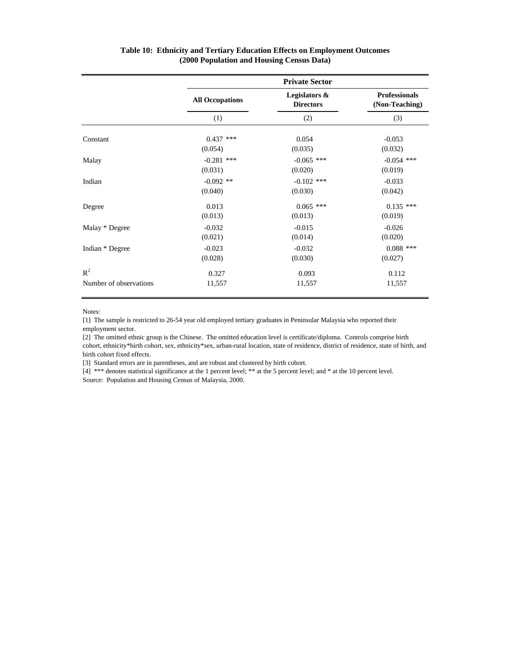|                        | <b>Private Sector</b>  |                                   |                                        |  |  |  |  |
|------------------------|------------------------|-----------------------------------|----------------------------------------|--|--|--|--|
|                        | <b>All Occupations</b> | Legislators &<br><b>Directors</b> | <b>Professionals</b><br>(Non-Teaching) |  |  |  |  |
|                        | (1)                    | (2)                               | (3)                                    |  |  |  |  |
| Constant               | $0.437$ ***            | 0.054                             | $-0.053$                               |  |  |  |  |
|                        | (0.054)                | (0.035)                           | (0.032)                                |  |  |  |  |
| Malay                  | $-0.281$ ***           | $-0.065$ ***                      | $-0.054$ ***                           |  |  |  |  |
|                        | (0.031)                | (0.020)                           | (0.019)                                |  |  |  |  |
| Indian                 | $-0.092$ **            | $-0.102$ ***                      | $-0.033$                               |  |  |  |  |
|                        | (0.040)                | (0.030)                           | (0.042)                                |  |  |  |  |
| Degree                 | 0.013                  | $0.065$ ***                       | $0.135$ ***                            |  |  |  |  |
|                        | (0.013)                | (0.013)                           | (0.019)                                |  |  |  |  |
| Malay * Degree         | $-0.032$               | $-0.015$                          | $-0.026$                               |  |  |  |  |
|                        | (0.021)                | (0.014)                           | (0.020)                                |  |  |  |  |
| Indian * Degree        | $-0.023$               | $-0.032$                          | $0.088$ ***                            |  |  |  |  |
|                        | (0.028)                | (0.030)                           | (0.027)                                |  |  |  |  |
| $R^2$                  | 0.327                  | 0.093                             | 0.112                                  |  |  |  |  |
| Number of observations | 11,557                 | 11,557                            | 11,557                                 |  |  |  |  |

#### **Table 10: Ethnicity and Tertiary Education Effects on Employment Outcomes (2000 Population and Housing Census Data)**

Notes:

[1] The sample is restricted to 26-54 year old employed tertiary graduates in Peninsular Malaysia who reported their employment sector.

[2] The omitted ethnic group is the Chinese. The omitted education level is certificate/diploma. Controls comprise birth cohort, ethnicity\*birth cohort, sex, ethnicity\*sex, urban-rural location, state of residence, district of residence, state of birth, and birth cohort fixed effects.

[3] Standard errors are in parentheses, and are robust and clustered by birth cohort.

[4] \*\*\* denotes statistical significance at the 1 percent level; \*\* at the 5 percent level; and \* at the 10 percent level. Source: Population and Housing Census of Malaysia, 2000.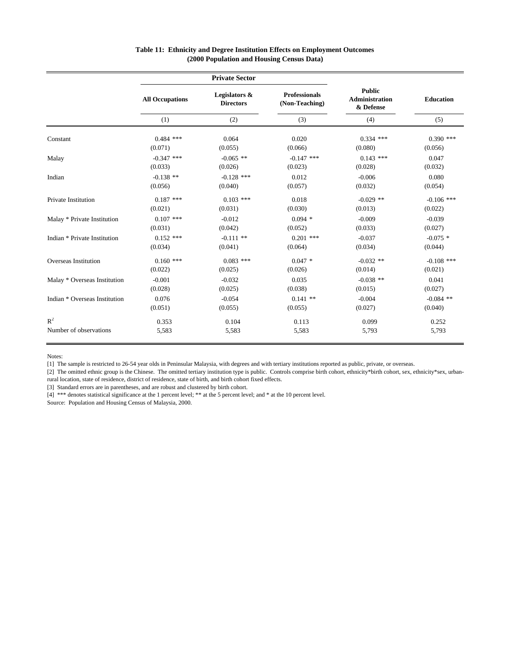|                               |                        | <b>Private Sector</b>             |                                        |                                                     |              |  |
|-------------------------------|------------------------|-----------------------------------|----------------------------------------|-----------------------------------------------------|--------------|--|
|                               | <b>All Occupations</b> | Legislators &<br><b>Directors</b> | <b>Professionals</b><br>(Non-Teaching) | <b>Public</b><br><b>Administration</b><br>& Defense | Education    |  |
|                               | (1)                    | (2)                               | (3)                                    | (4)                                                 | (5)          |  |
| Constant                      | $0.484$ ***            | 0.064                             | 0.020                                  | $0.334$ ***                                         | $0.390$ ***  |  |
|                               | (0.071)                | (0.055)                           | (0.066)                                | (0.080)                                             | (0.056)      |  |
| Malay                         | $-0.347$ ***           | $-0.065$ **                       | $-0.147$ ***                           | $0.143$ ***                                         | 0.047        |  |
|                               | (0.033)                | (0.026)                           | (0.023)                                | (0.028)                                             | (0.032)      |  |
| Indian                        | $-0.138$ **            | $-0.128$ ***                      | 0.012                                  | $-0.006$                                            | 0.080        |  |
|                               | (0.056)                | (0.040)                           | (0.057)                                | (0.032)                                             | (0.054)      |  |
| Private Institution           | $0.187$ ***            | $0.103$ ***                       | 0.018                                  | $-0.029$ **                                         | $-0.106$ *** |  |
|                               | (0.021)                | (0.031)                           | (0.030)                                | (0.013)                                             | (0.022)      |  |
| Malay * Private Institution   | $0.107$ ***            | $-0.012$                          | $0.094$ *                              | $-0.009$                                            | $-0.039$     |  |
|                               | (0.031)                | (0.042)                           | (0.052)                                | (0.033)                                             | (0.027)      |  |
| Indian * Private Institution  | $0.152$ ***            | $-0.111$ **                       | $0.201$ ***                            | $-0.037$                                            | $-0.075$ *   |  |
|                               | (0.034)                | (0.041)                           | (0.064)                                | (0.034)                                             | (0.044)      |  |
| Overseas Institution          | $0.160$ ***            | $0.083$ ***                       | $0.047*$                               | $-0.032$ **                                         | $-0.108$ *** |  |
|                               | (0.022)                | (0.025)                           | (0.026)                                | (0.014)                                             | (0.021)      |  |
| Malay * Overseas Institution  | $-0.001$               | $-0.032$                          | 0.035                                  | $-0.038$ **                                         | 0.041        |  |
|                               | (0.028)                | (0.025)                           | (0.038)                                | (0.015)                                             | (0.027)      |  |
| Indian * Overseas Institution | 0.076                  | $-0.054$                          | $0.141**$                              | $-0.004$                                            | $-0.084$ **  |  |
|                               | (0.051)                | (0.055)                           | (0.055)                                | (0.027)                                             | (0.040)      |  |
| $R^2$                         | 0.353                  | 0.104                             | 0.113                                  | 0.099                                               | 0.252        |  |
| Number of observations        | 5,583                  | 5,583                             | 5,583                                  | 5,793                                               | 5,793        |  |

#### **Table 11: Ethnicity and Degree Institution Effects on Employment Outcomes (2000 Population and Housing Census Data)**

Notes:

[1] The sample is restricted to 26-54 year olds in Peninsular Malaysia, with degrees and with tertiary institutions reported as public, private, or overseas.

[2] The omitted ethnic group is the Chinese. The omitted tertiary institution type is public. Controls comprise birth cohort, ethnicity\*birth cohort, sex, ethnicity\*sex, urbanrural location, state of residence, district of residence, state of birth, and birth cohort fixed effects.

[3] Standard errors are in parentheses, and are robust and clustered by birth cohort.

[4] \*\*\* denotes statistical significance at the 1 percent level; \*\* at the 5 percent level; and \* at the 10 percent level.

Source: Population and Housing Census of Malaysia, 2000.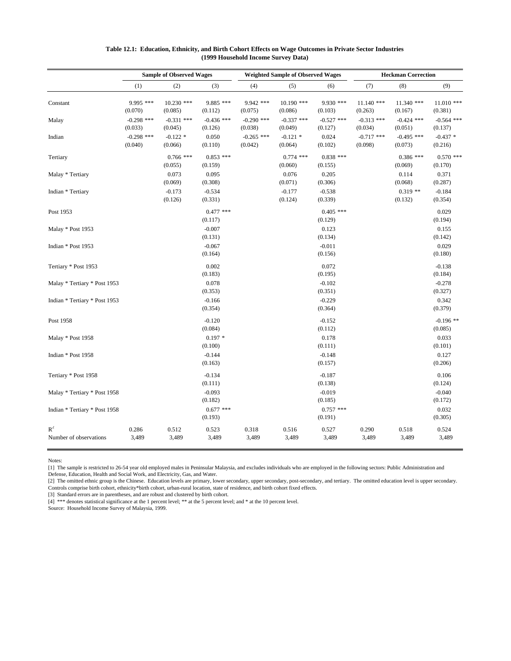|                                 | <b>Sample of Observed Wages</b> |                         |                         | <b>Weighted Sample of Observed Wages</b> |                         |                         | <b>Heckman Correction</b> |                         |                         |
|---------------------------------|---------------------------------|-------------------------|-------------------------|------------------------------------------|-------------------------|-------------------------|---------------------------|-------------------------|-------------------------|
|                                 | (1)                             | (2)                     | (3)                     | (4)                                      | (5)                     | (6)                     | (7)                       | (8)                     | (9)                     |
| Constant                        | 9.995 ***<br>(0.070)            | $10.230$ ***<br>(0.085) | 9.885 ***<br>(0.112)    | 9.942 ***<br>(0.075)                     | $10.190$ ***<br>(0.086) | 9.930 ***<br>(0.103)    | $11.140$ ***<br>(0.263)   | $11.340$ ***<br>(0.167) | $11.010$ ***<br>(0.381) |
| Malay                           | $-0.298$ ***<br>(0.033)         | $-0.331$ ***<br>(0.045) | $-0.436$ ***<br>(0.126) | $-0.290$ ***<br>(0.038)                  | $-0.337$ ***<br>(0.049) | $-0.527$ ***<br>(0.127) | $-0.313$ ***<br>(0.034)   | $-0.424$ ***<br>(0.051) | $-0.564$ ***<br>(0.137) |
| Indian                          | $-0.298$ ***<br>(0.040)         | $-0.122*$<br>(0.066)    | 0.050<br>(0.110)        | $-0.265$ ***<br>(0.042)                  | $-0.121$ *<br>(0.064)   | 0.024<br>(0.102)        | $-0.717$ ***<br>(0.098)   | $-0.495$ ***<br>(0.073) | $-0.437*$<br>(0.216)    |
| Tertiary                        |                                 | $0.766$ ***<br>(0.055)  | $0.853$ ***<br>(0.159)  |                                          | $0.774$ ***<br>(0.060)  | $0.838$ ***<br>(0.155)  |                           | $0.386$ ***<br>(0.069)  | $0.570$ ***<br>(0.170)  |
| Malay * Tertiary                |                                 | 0.073<br>(0.069)        | 0.095<br>(0.308)        |                                          | 0.076<br>(0.071)        | 0.205<br>(0.306)        |                           | 0.114<br>(0.068)        | 0.371<br>(0.287)        |
| Indian * Tertiary               |                                 | $-0.173$<br>(0.126)     | $-0.534$<br>(0.331)     |                                          | $-0.177$<br>(0.124)     | $-0.538$<br>(0.339)     |                           | $0.319**$<br>(0.132)    | $-0.184$<br>(0.354)     |
| Post 1953                       |                                 |                         | $0.477$ ***<br>(0.117)  |                                          |                         | $0.405$ ***<br>(0.129)  |                           |                         | 0.029<br>(0.194)        |
| Malay * Post 1953               |                                 |                         | $-0.007$<br>(0.131)     |                                          |                         | 0.123<br>(0.134)        |                           |                         | 0.155<br>(0.142)        |
| Indian * Post 1953              |                                 |                         | $-0.067$<br>(0.164)     |                                          |                         | $-0.011$<br>(0.156)     |                           |                         | 0.029<br>(0.180)        |
| Tertiary * Post 1953            |                                 |                         | 0.002<br>(0.183)        |                                          |                         | 0.072<br>(0.195)        |                           |                         | $-0.138$<br>(0.184)     |
| Malay * Tertiary * Post 1953    |                                 |                         | 0.078<br>(0.353)        |                                          |                         | $-0.102$<br>(0.351)     |                           |                         | $-0.278$<br>(0.327)     |
| Indian * Tertiary * Post 1953   |                                 |                         | $-0.166$<br>(0.354)     |                                          |                         | $-0.229$<br>(0.364)     |                           |                         | 0.342<br>(0.379)        |
| Post 1958                       |                                 |                         | $-0.120$<br>(0.084)     |                                          |                         | $-0.152$<br>(0.112)     |                           |                         | $-0.196$ **<br>(0.085)  |
| Malay * Post 1958               |                                 |                         | $0.197*$<br>(0.100)     |                                          |                         | 0.178<br>(0.111)        |                           |                         | 0.033<br>(0.101)        |
| Indian * Post 1958              |                                 |                         | $-0.144$<br>(0.163)     |                                          |                         | $-0.148$<br>(0.157)     |                           |                         | 0.127<br>(0.206)        |
| Tertiary * Post 1958            |                                 |                         | $-0.134$<br>(0.111)     |                                          |                         | $-0.187$<br>(0.138)     |                           |                         | 0.106<br>(0.124)        |
| Malay * Tertiary * Post 1958    |                                 |                         | $-0.093$<br>(0.182)     |                                          |                         | $-0.019$<br>(0.185)     |                           |                         | $-0.040$<br>(0.172)     |
| Indian * Tertiary * Post 1958   |                                 |                         | $0.677$ ***<br>(0.193)  |                                          |                         | $0.757$ ***<br>(0.191)  |                           |                         | 0.032<br>(0.305)        |
| $R^2$<br>Number of observations | 0.286<br>3,489                  | 0.512<br>3,489          | 0.523<br>3,489          | 0.318<br>3,489                           | 0.516<br>3,489          | 0.527<br>3,489          | 0.290<br>3,489            | 0.518<br>3,489          | 0.524<br>3,489          |

#### **Table 12.1: Education, Ethnicity, and Birth Cohort Effects on Wage Outcomes in Private Sector Industries (1999 Household Income Survey Data)**

Notes:

[1] The sample is restricted to 26-54 year old employed males in Peninsular Malaysia, and excludes individuals who are employed in the following sectors: Public Administration and

Defense, Education, Health and Social Work, and Electricity, Gas, and Water.

[2] The omitted ethnic group is the Chinese. Education levels are primary, lower secondary, upper secondary, post-secondary, and tertiary. The omitted education level is upper secondary. Controls comprise birth cohort, ethnicity\*birth cohort, urban-rural location, state of residence, and birth cohort fixed effects.

[3] Standard errors are in parentheses, and are robust and clustered by birth cohort.

[4] \*\*\* denotes statistical significance at the 1 percent level; \*\* at the 5 percent level; and \* at the 10 percent level.

Source: Household Income Survey of Malaysia, 1999.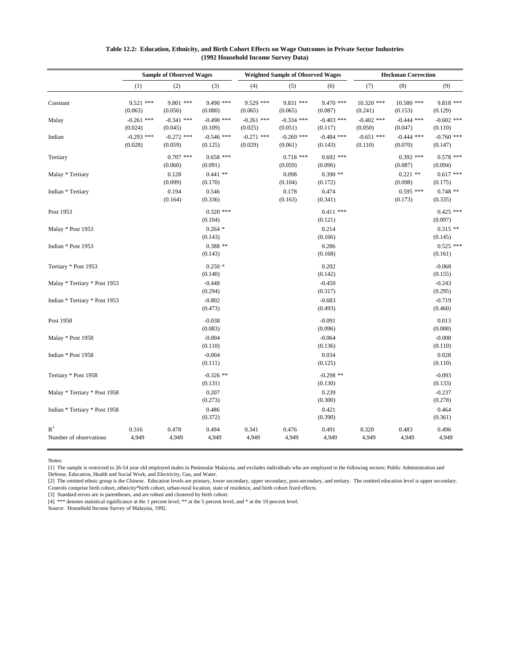|                                          | <b>Sample of Observed Wages</b> |                         |                         | <b>Weighted Sample of Observed Wages</b> |                         |                         | <b>Heckman Correction</b> |                         |                         |
|------------------------------------------|---------------------------------|-------------------------|-------------------------|------------------------------------------|-------------------------|-------------------------|---------------------------|-------------------------|-------------------------|
|                                          | (1)                             | (2)                     | (3)                     | (4)                                      | (5)                     | (6)                     | (7)                       | (8)                     | (9)                     |
| Constant                                 | $9.521$ ***<br>(0.063)          | $9.801$ ***<br>(0.056)  | 9.490 ***<br>(0.080)    | $9.529$ ***<br>(0.065)                   | $9.831$ ***<br>(0.065)  | $9.470$ ***<br>(0.087)  | $10.320$ ***<br>(0.241)   | $10.580$ ***<br>(0.153) | $9.818$ ***<br>(0.129)  |
| Malay                                    | $-0.261$ ***<br>(0.024)         | $-0.341$ ***<br>(0.045) | $-0.490$ ***<br>(0.109) | $-0.261$ ***<br>(0.025)                  | $-0.334$ ***<br>(0.051) | $-0.403$ ***<br>(0.117) | $-0.402$ ***<br>(0.050)   | $-0.444$ ***<br>(0.047) | $-0.602$ ***<br>(0.110) |
| Indian                                   | $-0.293$ ***<br>(0.028)         | $-0.272$ ***<br>(0.059) | $-0.546$ ***<br>(0.125) | $-0.271$ ***<br>(0.029)                  | $-0.269$ ***<br>(0.061) | $-0.484$ ***<br>(0.143) | $-0.651$ ***<br>(0.110)   | $-0.444$ ***<br>(0.070) | $-0.760$ ***<br>(0.147) |
| Tertiary                                 |                                 | $0.707$ ***<br>(0.060)  | $0.658$ ***<br>(0.091)  |                                          | $0.718$ ***<br>(0.059)  | $0.692$ ***<br>(0.096)  |                           | $0.392$ ***<br>(0.087)  | $0.578$ ***<br>(0.094)  |
| Malay * Tertiary                         |                                 | 0.128<br>(0.099)        | $0.441**$<br>(0.170)    |                                          | 0.098<br>(0.104)        | $0.390**$<br>(0.172)    |                           | $0.221$ **<br>(0.098)   | $0.617$ ***<br>(0.175)  |
| Indian * Tertiary                        |                                 | 0.194<br>(0.164)        | 0.546<br>(0.336)        |                                          | 0.178<br>(0.163)        | 0.474<br>(0.341)        |                           | $0.595$ ***<br>(0.173)  | $0.748**$<br>(0.335)    |
| Post 1953                                |                                 |                         | $0.320$ ***<br>(0.104)  |                                          |                         | $0.411$ ***<br>(0.121)  |                           |                         | $0.425$ ***<br>(0.097)  |
| Malay * Post 1953                        |                                 |                         | $0.264$ *<br>(0.143)    |                                          |                         | 0.214<br>(0.166)        |                           |                         | $0.315**$<br>(0.145)    |
| Indian * Post 1953                       |                                 |                         | $0.388**$<br>(0.143)    |                                          |                         | 0.286<br>(0.168)        |                           |                         | $0.525$ ***<br>(0.161)  |
| Tertiary * Post 1953                     |                                 |                         | $0.250*$<br>(0.140)     |                                          |                         | 0.202<br>(0.142)        |                           |                         | $-0.068$<br>(0.155)     |
| Malay * Tertiary * Post 1953             |                                 |                         | $-0.448$<br>(0.294)     |                                          |                         | $-0.450$<br>(0.317)     |                           |                         | $-0.243$<br>(0.295)     |
| Indian * Tertiary * Post 1953            |                                 |                         | $-0.802$<br>(0.473)     |                                          |                         | $-0.683$<br>(0.493)     |                           |                         | $-0.719$<br>(0.460)     |
| Post 1958                                |                                 |                         | $-0.038$<br>(0.083)     |                                          |                         | $-0.091$<br>(0.096)     |                           |                         | 0.013<br>(0.088)        |
| Malay * Post 1958                        |                                 |                         | $-0.004$<br>(0.110)     |                                          |                         | $-0.064$<br>(0.136)     |                           |                         | $-0.008$<br>(0.110)     |
| Indian * Post 1958                       |                                 |                         | $-0.004$<br>(0.111)     |                                          |                         | 0.034<br>(0.125)        |                           |                         | 0.028<br>(0.110)        |
| Tertiary * Post 1958                     |                                 |                         | $-0.326$ **<br>(0.131)  |                                          |                         | $-0.298$ **<br>(0.130)  |                           |                         | $-0.093$<br>(0.133)     |
| Malay * Tertiary * Post 1958             |                                 |                         | 0.207<br>(0.273)        |                                          |                         | 0.239<br>(0.300)        |                           |                         | $-0.237$<br>(0.278)     |
| Indian * Tertiary * Post 1958            |                                 |                         | 0.486<br>(0.372)        |                                          |                         | 0.421<br>(0.390)        |                           |                         | 0.464<br>(0.361)        |
| $\mathbf{R}^2$<br>Number of observations | 0.316<br>4,949                  | 0.478<br>4,949          | 0.494<br>4,949          | 0.341<br>4,949                           | 0.476<br>4,949          | 0.491<br>4,949          | 0.320<br>4,949            | 0.483<br>4,949          | 0.496<br>4,949          |

#### **Table 12.2: Education, Ethnicity, and Birth Cohort Effects on Wage Outcomes in Private Sector Industries (1992 Household Income Survey Data)**

Notes:

[1] The sample is restricted to 26-54 year old employed males in Peninsular Malaysia, and excludes individuals who are employed in the following sectors: Public Administration and

Defense, Education, Health and Social Work, and Electricity, Gas, and Water.

[2] The omitted ethnic group is the Chinese. Education levels are primary, lower secondary, upper secondary, post-secondary, and tertiary. The omitted education level is upper secondary. Controls comprise birth cohort, ethnicity\*birth cohort, urban-rural location, state of residence, and birth cohort fixed effects.

[3] Standard errors are in parentheses, and are robust and clustered by birth cohort.

[4] \*\*\* denotes statistical significance at the 1 percent level; \*\* at the 5 percent level; and \* at the 10 percent level.

Source: Household Income Survey of Malaysia, 1992.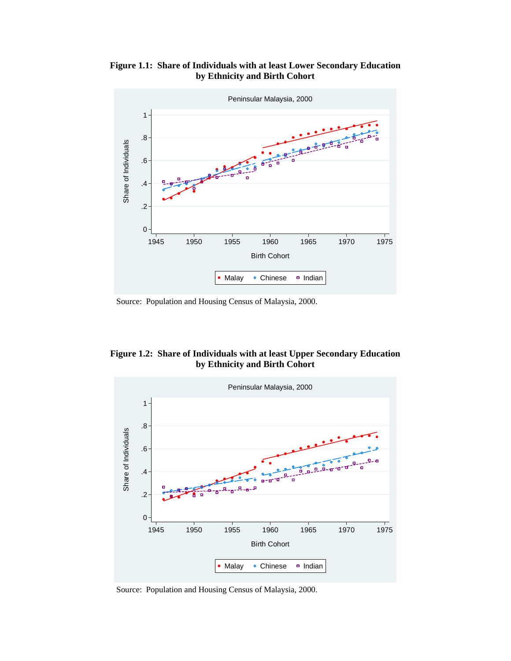**Figure 1.1: Share of Individuals with at least Lower Secondary Education by Ethnicity and Birth Cohort** 



Source: Population and Housing Census of Malaysia, 2000.





Source: Population and Housing Census of Malaysia, 2000.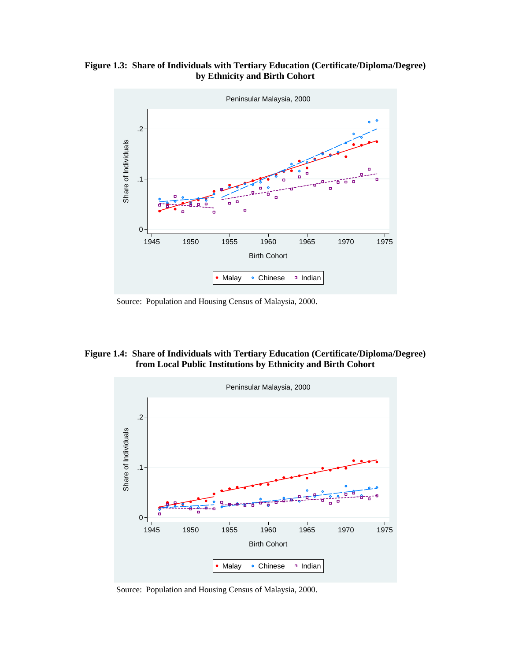**Figure 1.3: Share of Individuals with Tertiary Education (Certificate/Diploma/Degree) by Ethnicity and Birth Cohort** 



Source: Population and Housing Census of Malaysia, 2000.

### **Figure 1.4: Share of Individuals with Tertiary Education (Certificate/Diploma/Degree) from Local Public Institutions by Ethnicity and Birth Cohort**



Source: Population and Housing Census of Malaysia, 2000.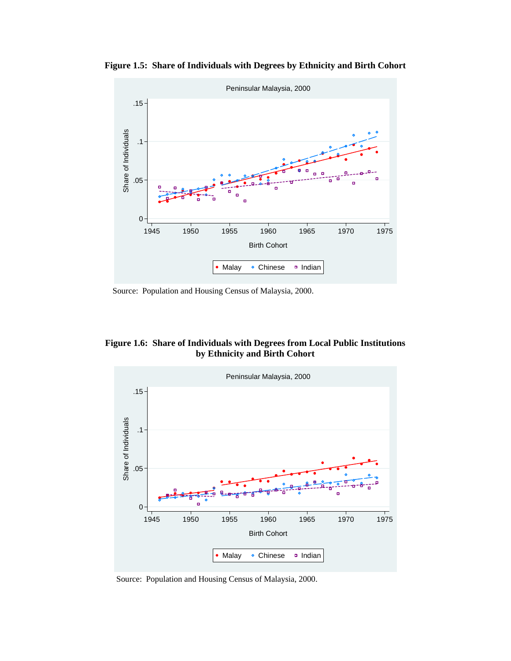

**Figure 1.5: Share of Individuals with Degrees by Ethnicity and Birth Cohort** 

Source: Population and Housing Census of Malaysia, 2000.





Source: Population and Housing Census of Malaysia, 2000.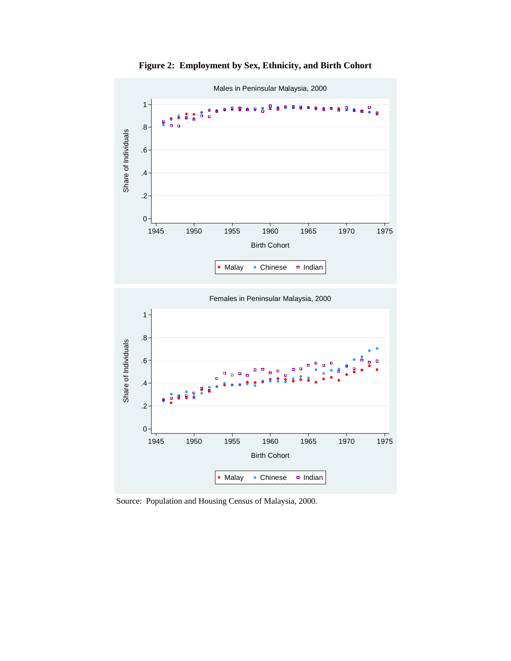

**Figure 2: Employment by Sex, Ethnicity, and Birth Cohort** 

Source: Population and Housing Census of Malaysia, 2000.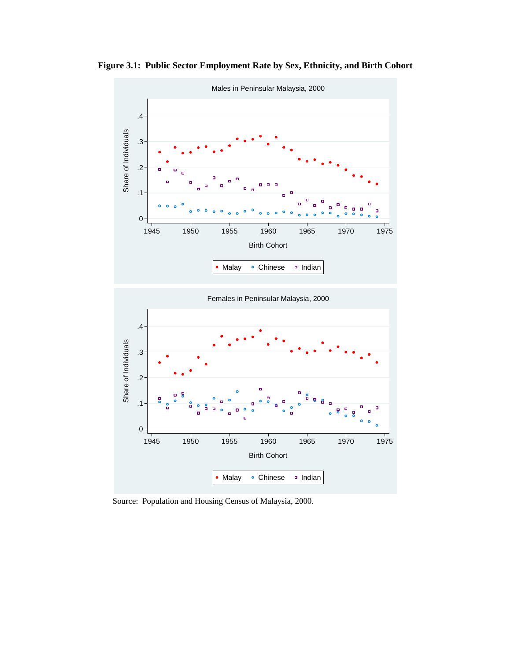

**Figure 3.1: Public Sector Employment Rate by Sex, Ethnicity, and Birth Cohort** 



Source: Population and Housing Census of Malaysia, 2000.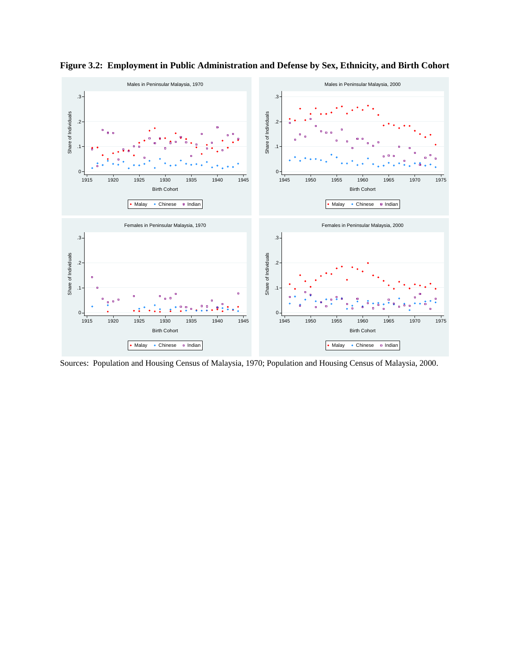

**Figure 3.2: Employment in Public Administration and Defense by Sex, Ethnicity, and Birth Cohort** 

Sources: Population and Housing Census of Malaysia, 1970; Population and Housing Census of Malaysia, 2000.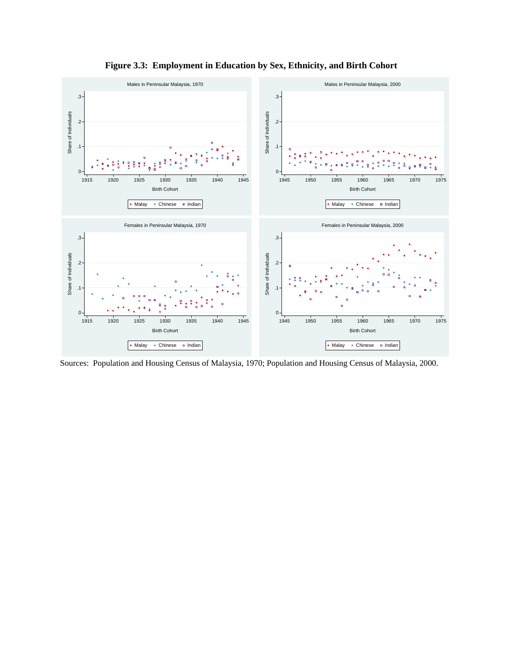

**Figure 3.3: Employment in Education by Sex, Ethnicity, and Birth Cohort** 

Sources: Population and Housing Census of Malaysia, 1970; Population and Housing Census of Malaysia, 2000.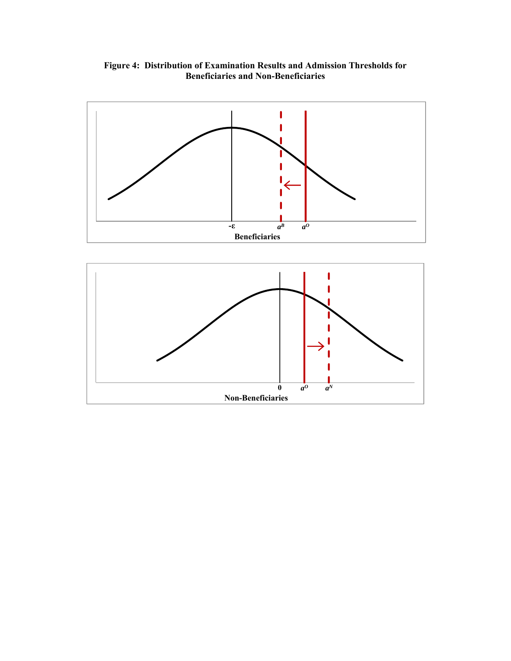**Figure 4: Distribution of Examination Results and Admission Thresholds for Beneficiaries and Non-Beneficiaries**



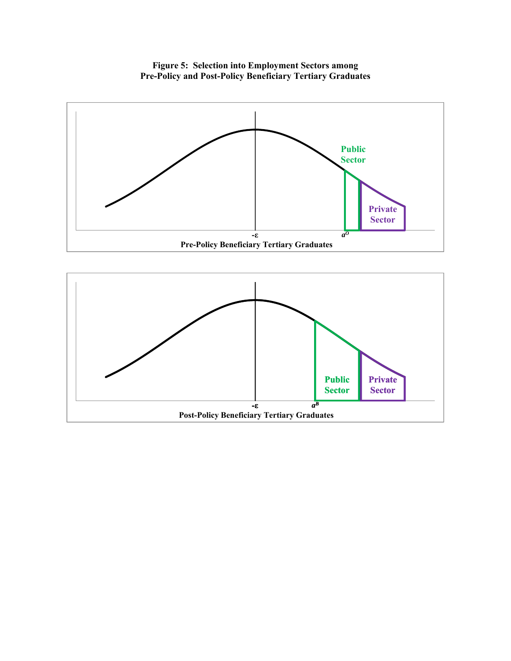**Figure 5: Selection into Employment Sectors among Pre-Policy and Post-Policy Beneficiary Tertiary Graduates** 



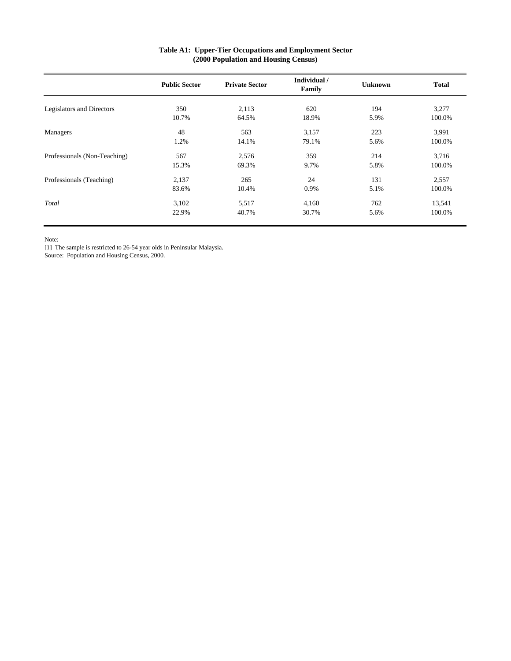|                              | <b>Public Sector</b> | <b>Private Sector</b> | Individual /<br>Family | <b>Unknown</b> | <b>Total</b> |
|------------------------------|----------------------|-----------------------|------------------------|----------------|--------------|
|                              |                      |                       |                        |                |              |
| Legislators and Directors    | 350                  | 2,113                 | 620                    | 194            | 3,277        |
|                              | 10.7%                | 64.5%                 | 18.9%                  | 5.9%           | 100.0%       |
| Managers                     | 48                   | 563                   | 3,157                  | 223            | 3,991        |
|                              | 1.2%                 | 14.1%                 | 79.1%                  | 5.6%           | 100.0%       |
| Professionals (Non-Teaching) | 567                  | 2,576                 | 359                    | 214            | 3,716        |
|                              | 15.3%                | 69.3%                 | 9.7%                   | 5.8%           | 100.0%       |
| Professionals (Teaching)     | 2,137                | 265                   | 24                     | 131            | 2,557        |
|                              | 83.6%                | 10.4%                 | 0.9%                   | 5.1%           | 100.0%       |
| Total                        | 3,102                | 5,517                 | 4,160                  | 762            | 13,541       |
|                              | 22.9%                | 40.7%                 | 30.7%                  | 5.6%           | 100.0%       |

#### **Table A1: Upper-Tier Occupations and Employment Sector (2000 Population and Housing Census)**

Note:

[1] The sample is restricted to 26-54 year olds in Peninsular Malaysia.

Source: Population and Housing Census, 2000.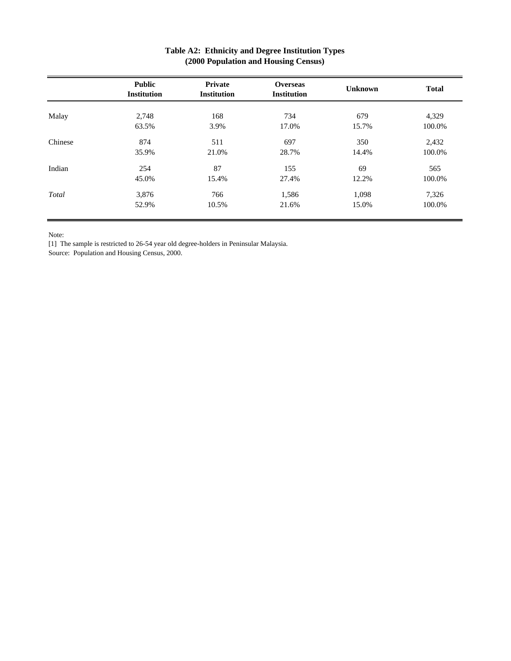|         | <b>Public</b><br><b>Institution</b> | Private<br><b>Institution</b> | <b>Overseas</b><br><b>Institution</b> | <b>Unknown</b> | <b>Total</b> |
|---------|-------------------------------------|-------------------------------|---------------------------------------|----------------|--------------|
| Malay   | 2,748                               | 168                           | 734                                   | 679            | 4,329        |
|         | 63.5%                               | 3.9%                          | 17.0%                                 | 15.7%          | 100.0%       |
| Chinese | 874                                 | 511                           | 697                                   | 350            | 2,432        |
|         | 35.9%                               | 21.0%                         | 28.7%                                 | 14.4%          | 100.0%       |
| Indian  | 254                                 | 87                            | 155                                   | 69             | 565          |
|         | 45.0%                               | 15.4%                         | 27.4%                                 | 12.2%          | 100.0%       |
| Total   | 3,876                               | 766                           | 1,586                                 | 1,098          | 7,326        |
|         | 52.9%                               | 10.5%                         | 21.6%                                 | 15.0%          | 100.0%       |

### **Table A2: Ethnicity and Degree Institution Types (2000 Population and Housing Census)**

Note:

[1] The sample is restricted to 26-54 year old degree-holders in Peninsular Malaysia.

Source: Population and Housing Census, 2000.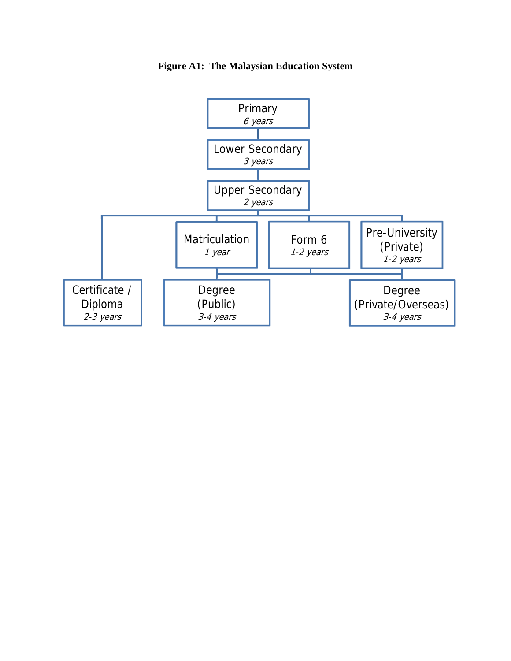

**Figure A1: The Malaysian Education System**